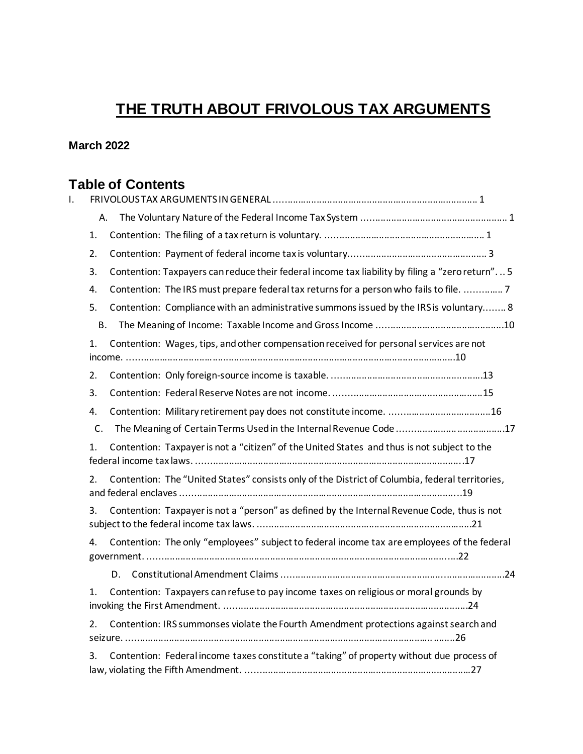# **THE TRUTH ABOUT FRIVOLOUS TAX ARGUMENTS**

## **March 2022**

## **Table of Contents**

| I. |                                                                                                       |  |
|----|-------------------------------------------------------------------------------------------------------|--|
|    | Α.                                                                                                    |  |
|    | 1.                                                                                                    |  |
|    | 2.                                                                                                    |  |
|    | Contention: Taxpayers can reduce their federal income tax liability by filing a "zero return" 5<br>3. |  |
|    | Contention: The IRS must prepare federal tax returns for a person who fails to file.  7<br>4.         |  |
|    | Contention: Compliance with an administrative summons issued by the IRS is voluntary 8<br>5.          |  |
|    | <b>B.</b>                                                                                             |  |
|    | Contention: Wages, tips, and other compensation received for personal services are not<br>1.          |  |
|    | 2.                                                                                                    |  |
|    | 3.                                                                                                    |  |
|    | 4.                                                                                                    |  |
|    | C.<br>The Meaning of Certain Terms Used in the Internal Revenue Code 17                               |  |
|    | Contention: Taxpayer is not a "citizen" of the United States and thus is not subject to the<br>1.     |  |
|    | Contention: The "United States" consists only of the District of Columbia, federal territories,<br>2. |  |
|    | Contention: Taxpayer is not a "person" as defined by the Internal Revenue Code, thus is not<br>3.     |  |
|    | Contention: The only "employees" subject to federal income tax are employees of the federal<br>4.     |  |
|    |                                                                                                       |  |
|    | Contention: Taxpayers can refuse to pay income taxes on religious or moral grounds by<br>1.           |  |
|    | Contention: IRS summonses violate the Fourth Amendment protections against search and<br>2.           |  |
|    | Contention: Federal income taxes constitute a "taking" of property without due process of<br>3.       |  |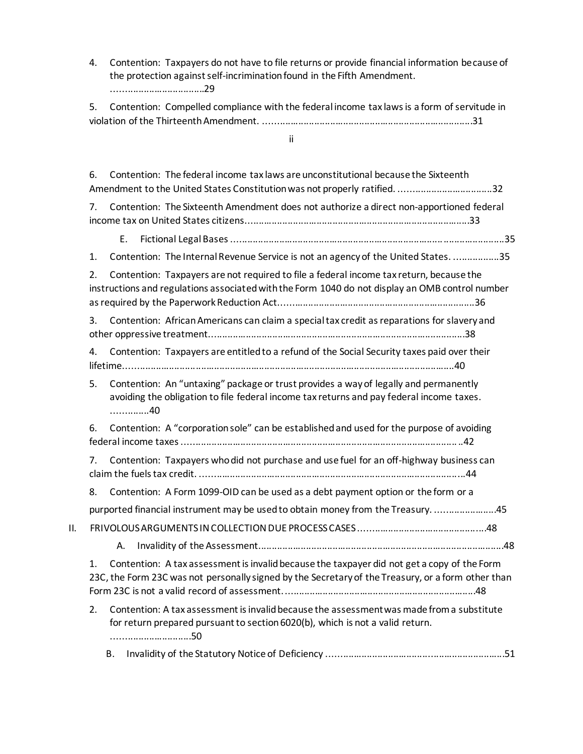4. Contention: Taxpayers do not have to file returns or provide financial information because of the protection against self-incrimination found in the Fifth Amendment. ...................................29

5. Contention: Compelled compliance with the federal income tax laws is a form of servitude in violation of the Thirteenth Amendment. ...............................................................................31

ii

6. Contention: The federal income tax laws are unconstitutional because the Sixteenth Amendment to the United States Constitution was not properly ratified. ...................................32 7. Contention: The Sixteenth Amendment does not authorize a direct non-apportioned federal income tax on United States citizens.....................................................................................33 E. Fictional Legal Bases .......................................................................................................35 1. Contention: The Internal Revenue Service is not an agency of the United States. .................35 2. Contention: Taxpayers are not required to file a federal income tax return, because the instructions and regulations associated with the Form 1040 do not display an OMB control number as required by the Paperwork Reduction Act..........................................................................36 3. Contention: African Americans can claim a special tax credit as reparations for slavery and other oppressive treatment.................................................................................................38 4. Contention: Taxpayers are entitled to a refund of the Social Security taxes paid over their lifetime.............................................................................................................................40 5. Contention: An "untaxing" package or trust provides a way of legally and permanently avoiding the obligation to file federal income tax returns and pay federal income taxes. ..............40 6. Contention: A "corporation sole" can be established and used for the purpose of avoiding federal income taxes ........................................................................................................ ..42 7. Contention: Taxpayers who did not purchase and use fuel for an off-highway business can claim the fuels tax credit. ....................................................................................................44 8. Contention: A Form 1099-OID can be used as a debt payment option or the form or a purported financial instrument may be used to obtain money from the Treasury. .......................45 II. FRIVOLOUS ARGUMENTS IN COLLECTION DUE PROCESS CASES ................................................48 A. Invalidity of the Assessment.............................................................................................48 1. Contention: A tax assessment is invalid because the taxpayer did not get a copy of the Form 23C, the Form 23C was not personally signed by the Secretary of the Treasury, or a form other than Form 23C is not a valid record of assessment. ........................................................................48 2. Contention: A tax assessment is invalid because the assessment was made from a substitute for return prepared pursuant to section 6020(b), which is not a valid return. ..............................50 B. Invalidity of the Statutory Notice of Deficiency ...................................................................51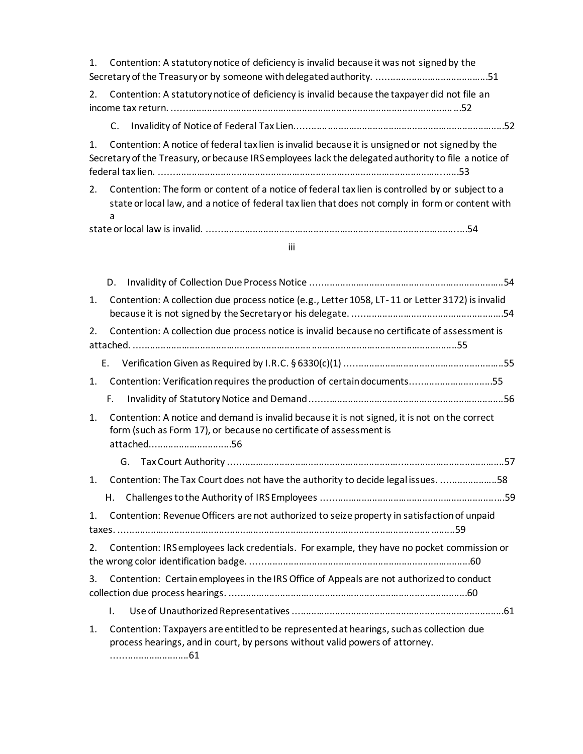| $\mathbf{1}$ . | Contention: A statutory notice of deficiency is invalid because it was not signed by the                                                                                                                   |  |  |  |  |  |
|----------------|------------------------------------------------------------------------------------------------------------------------------------------------------------------------------------------------------------|--|--|--|--|--|
| 2.             | Contention: A statutory notice of deficiency is invalid because the taxpayer did not file an                                                                                                               |  |  |  |  |  |
|                | $\mathsf{C}$ .                                                                                                                                                                                             |  |  |  |  |  |
| 1.             | Contention: A notice of federal tax lien is invalid because it is unsigned or not signed by the<br>Secretary of the Treasury, or because IRS employees lack the delegated authority to file a notice of    |  |  |  |  |  |
| 2.             | Contention: The form or content of a notice of federal tax lien is controlled by or subject to a<br>state or local law, and a notice of federal tax lien that does not comply in form or content with<br>a |  |  |  |  |  |
|                |                                                                                                                                                                                                            |  |  |  |  |  |
|                | iii                                                                                                                                                                                                        |  |  |  |  |  |
|                |                                                                                                                                                                                                            |  |  |  |  |  |
|                | D.                                                                                                                                                                                                         |  |  |  |  |  |
| 1.             | Contention: A collection due process notice (e.g., Letter 1058, LT-11 or Letter 3172) is invalid                                                                                                           |  |  |  |  |  |
| 2.             | Contention: A collection due process notice is invalid because no certificate of assessment is                                                                                                             |  |  |  |  |  |
|                |                                                                                                                                                                                                            |  |  |  |  |  |

1. Contention: Verification requires the production of certain documents...............................55

- F. Invalidity of Statutory Notice and Demand .........................................................................56
- 1. Contention: A notice and demand is invalid because it is not signed, it is not on the correct form (such as Form 17), or because no certificate of assessment is attached...............................56

| 1. | Contention: The Tax Court does not have the authority to decide legal issues. 58              |  |
|----|-----------------------------------------------------------------------------------------------|--|
|    |                                                                                               |  |
| 1. | Contention: Revenue Officers are not authorized to seize property in satisfaction of unpaid   |  |
|    | 2. Contention: IRS employees lack credentials. For example, they have no pocket commission or |  |
| 3. | Contention: Certain employees in the IRS Office of Appeals are not authorized to conduct      |  |

- I. Use of Unauthorized Representatives ................................................................................61
- 1. Contention: Taxpayers are entitled to be represented at hearings, such as collection due process hearings, and in court, by persons without valid powers of attorney. .............................61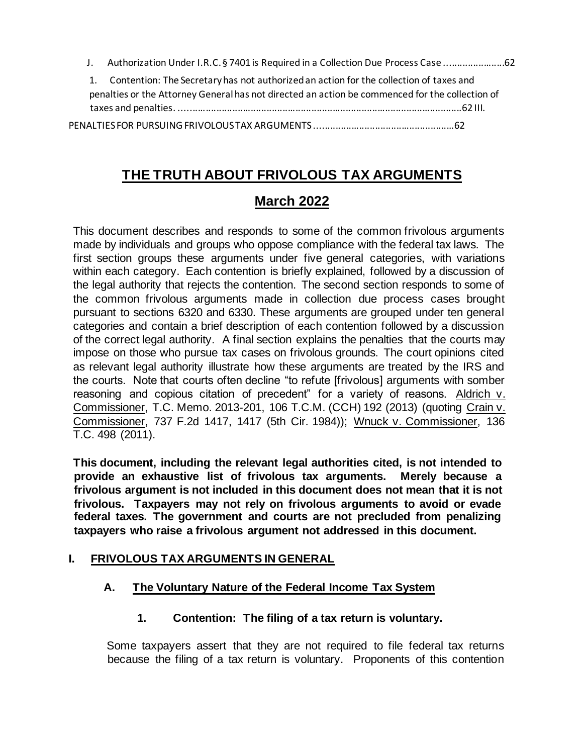| J. Authorization Under I.R.C. § 7401 is Required in a Collection Due Process Case 62            |  |
|-------------------------------------------------------------------------------------------------|--|
| 1. Contention: The Secretary has not authorized an action for the collection of taxes and       |  |
| penalties or the Attorney General has not directed an action be commenced for the collection of |  |
|                                                                                                 |  |
|                                                                                                 |  |

## **THE TRUTH ABOUT FRIVOLOUS TAX ARGUMENTS**

## **March 2022**

This document describes and responds to some of the common frivolous arguments made by individuals and groups who oppose compliance with the federal tax laws. The first section groups these arguments under five general categories, with variations within each category. Each contention is briefly explained, followed by a discussion of the legal authority that rejects the contention. The second section responds to some of the common frivolous arguments made in collection due process cases brought pursuant to sections 6320 and 6330. These arguments are grouped under ten general categories and contain a brief description of each contention followed by a discussion of the correct legal authority. A final section explains the penalties that the courts may impose on those who pursue tax cases on frivolous grounds. The court opinions cited as relevant legal authority illustrate how these arguments are treated by the IRS and the courts. Note that courts often decline "to refute [frivolous] arguments with somber reasoning and copious citation of precedent" for a variety of reasons. Aldrich v. Commissioner, T.C. Memo. 2013-201, 106 T.C.M. (CCH) 192 (2013) (quoting Crain v. Commissioner, 737 F.2d 1417, 1417 (5th Cir. 1984)); Wnuck v. Commissioner, 136 T.C. 498 (2011).

**This document, including the relevant legal authorities cited, is not intended to provide an exhaustive list of frivolous tax arguments. Merely because a frivolous argument is not included in this document does not mean that it is not frivolous. Taxpayers may not rely on frivolous arguments to avoid or evade federal taxes. The government and courts are not precluded from penalizing taxpayers who raise a frivolous argument not addressed in this document.**

## **I. FRIVOLOUS TAX ARGUMENTS IN GENERAL**

## **A. The Voluntary Nature of the Federal Income Tax System**

**1. Contention: The filing of a tax return is voluntary.** 

Some taxpayers assert that they are not required to file federal tax returns because the filing of a tax return is voluntary. Proponents of this contention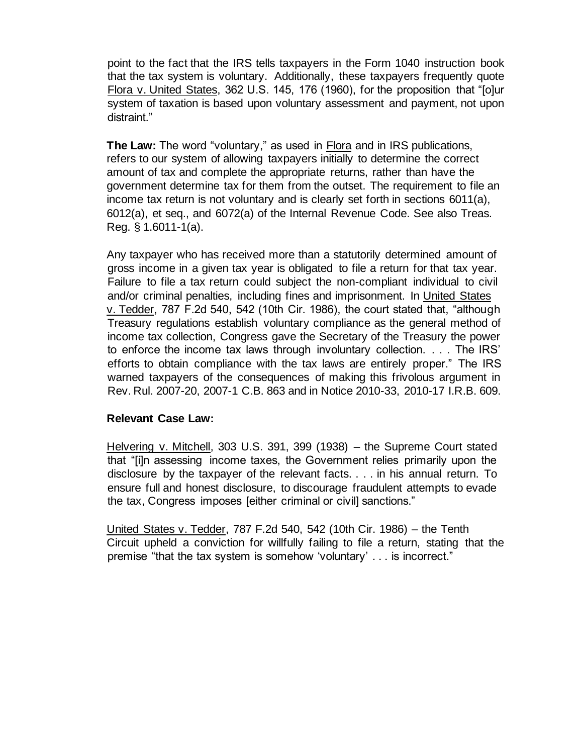point to the fact that the IRS tells taxpayers in the Form 1040 instruction book that the tax system is voluntary. Additionally, these taxpayers frequently quote Flora v. United States, 362 U.S. 145, 176 (1960), for the proposition that "[o]ur system of taxation is based upon voluntary assessment and payment, not upon distraint."

**The Law:** The word "voluntary," as used in Flora and in IRS publications, refers to our system of allowing taxpayers initially to determine the correct amount of tax and complete the appropriate returns, rather than have the government determine tax for them from the outset. The requirement to file an income tax return is not voluntary and is clearly set forth in sections 6011(a), 6012(a), et seq., and 6072(a) of the Internal Revenue Code. See also Treas. Reg. § 1.6011-1(a).

Any taxpayer who has received more than a statutorily determined amount of gross income in a given tax year is obligated to file a return for that tax year. Failure to file a tax return could subject the non-compliant individual to civil and/or criminal penalties, including fines and imprisonment. In United States v. Tedder, 787 F.2d 540, 542 (10th Cir. 1986), the court stated that, "although Treasury regulations establish voluntary compliance as the general method of income tax collection, Congress gave the Secretary of the Treasury the power to enforce the income tax laws through involuntary collection. . . . The IRS' efforts to obtain compliance with the tax laws are entirely proper." The IRS warned taxpayers of the consequences of making this frivolous argument in Rev. Rul. 2007-20, 2007-1 C.B. 863 and in Notice 2010-33, 2010-17 I.R.B. 609.

#### **Relevant Case Law:**

Helvering v. Mitchell, 303 U.S. 391, 399 (1938) – the Supreme Court stated that "[i]n assessing income taxes, the Government relies primarily upon the disclosure by the taxpayer of the relevant facts. . . . in his annual return. To ensure full and honest disclosure, to discourage fraudulent attempts to evade the tax, Congress imposes [either criminal or civil] sanctions."

United States v. Tedder, 787 F.2d 540, 542 (10th Cir. 1986) – the Tenth Circuit upheld a conviction for willfully failing to file a return, stating that the premise "that the tax system is somehow 'voluntary' . . . is incorrect."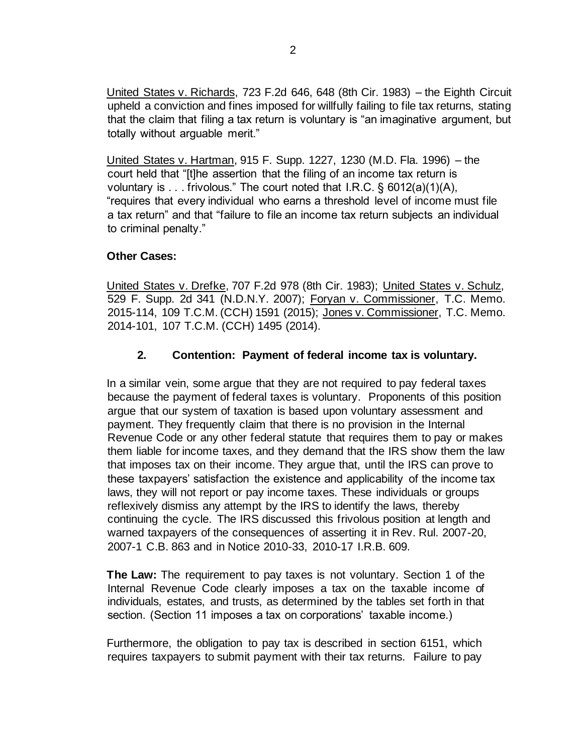United States v. Richards, 723 F.2d 646, 648 (8th Cir. 1983) – the Eighth Circuit upheld a conviction and fines imposed for willfully failing to file tax returns, stating that the claim that filing a tax return is voluntary is "an imaginative argument, but totally without arguable merit."

United States v. Hartman, 915 F. Supp. 1227, 1230 (M.D. Fla. 1996) – the court held that "[t]he assertion that the filing of an income tax return is voluntary is . . . frivolous." The court noted that I.R.C. § 6012(a)(1)(A), "requires that every individual who earns a threshold level of income must file a tax return" and that "failure to file an income tax return subjects an individual to criminal penalty."

## **Other Cases:**

United States v. Drefke, 707 F.2d 978 (8th Cir. 1983); [United States v. Schulz](https://www.justice.gov/archive/tax/Schultz_OrderIinContempt.pdf)[,](http://www.cheatingfrenzy.com/schulz30.pdf) 529 F. Supp. 2d 341 (N.D.N.Y. 2007); Foryan v. Commissioner, T.C. Memo. 2015-114, 109 T.C.M. (CCH) 1591 (2015); Jones v. Commissioner, T.C. Memo. 2014-101, 107 T.C.M. (CCH) 1495 (2014).

## **2. Contention: Payment of federal income tax is voluntary.**

In a similar vein, some argue that they are not required to pay federal taxes because the payment of federal taxes is voluntary. Proponents of this position argue that our system of taxation is based upon voluntary assessment and payment. They frequently claim that there is no provision in the Internal Revenue Code or any other federal statute that requires them to pay or makes them liable for income taxes, and they demand that the IRS show them the law that imposes tax on their income. They argue that, until the IRS can prove to these taxpayers' satisfaction the existence and applicability of the income tax laws, they will not report or pay income taxes. These individuals or groups reflexively dismiss any attempt by the IRS to identify the laws, thereby continuing the cycle. The IRS discussed this frivolous position at length and warned taxpayers of the consequences of asserting it in Rev. Rul. 2007-20, 2007-1 C.B. 863 and in Notice 2010-33, 2010-17 I.R.B. 609.

**The Law:** The requirement to pay taxes is not voluntary. Section 1 of the Internal Revenue Code clearly imposes a tax on the taxable income of individuals, estates, and trusts, as determined by the tables set forth in that section. (Section 11 imposes a tax on corporations' taxable income.)

Furthermore, the obligation to pay tax is described in section 6151, which requires taxpayers to submit payment with their tax returns. Failure to pay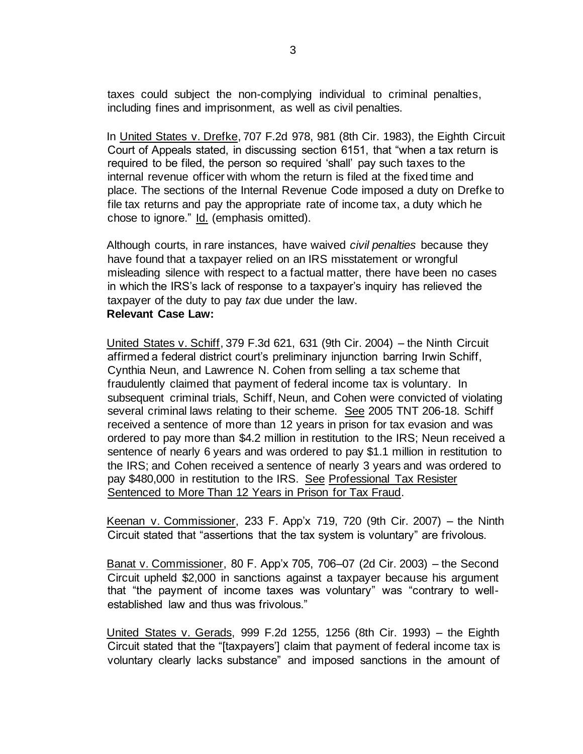taxes could subject the non-complying individual to criminal penalties, including fines and imprisonment, as well as civil penalties.

In United States v. Drefke, 707 F.2d 978, 981 (8th Cir. 1983), the Eighth Circuit Court of Appeals stated, in discussing section 6151, that "when a tax return is required to be filed, the person so required 'shall' pay such taxes to the internal revenue officer with whom the return is filed at the fixed time and place. The sections of the Internal Revenue Code imposed a duty on Drefke to file tax returns and pay the appropriate rate of income tax, a duty which he chose to ignore." Id. (emphasis omitted).

Although courts, in rare instances, have waived *civil penalties* because they have found that a taxpayer relied on an IRS misstatement or wrongful misleading silence with respect to a factual matter, there have been no cases in which the IRS's lack of response to a taxpayer's inquiry has relieved the taxpayer of the duty to pay *tax* due under the law. **Relevant Case Law:**

United States v. Schiff, 379 F.3d 621, 631 (9th Cir. 2004) – the Ninth Circuit affirmed a federal district court's preliminary injunction barring Irwin Schiff, Cynthia Neun, and Lawrence N. Cohen from selling a tax scheme that fraudulently claimed that payment of federal income tax is voluntary. In subsequent criminal trials, Schiff, Neun, and Cohen were convicted of violating several criminal laws relating to their scheme. See 2005 TNT 206-18. Schiff received a sentence of more than 12 years in prison for tax evasion and was ordered to pay more than \$4.2 million in restitution to the IRS; Neun received a sentence of nearly 6 years and was ordered to pay \$1.1 million in restitution to the IRS; and Cohen received a sentence of nearly 3 years and was ordered to pay \$480,000 in restitution to the IRS. See [Professional Tax Resister](https://www.justice.gov/archive/opa/pr/2006/February/06_tax_098.html)  [Sentenced to More Than 12 Years in Prison for Tax Fraud.](https://www.justice.gov/archive/opa/pr/2006/February/06_tax_098.html)

Keenan v. Commissioner, 233 F. App'x 719, 720 (9th Cir. 2007) – the Ninth Circuit stated that "assertions that the tax system is voluntary" are frivolous.

Banat v. Commissioner, 80 F. App'x 705, 706–07 (2d Cir. 2003) – the Second Circuit upheld \$2,000 in sanctions against a taxpayer because his argument that "the payment of income taxes was voluntary" was "contrary to wellestablished law and thus was frivolous."

United States v. Gerads, 999 F.2d 1255, 1256 (8th Cir. 1993) – the Eighth Circuit stated that the "[taxpayers'] claim that payment of federal income tax is voluntary clearly lacks substance" and imposed sanctions in the amount of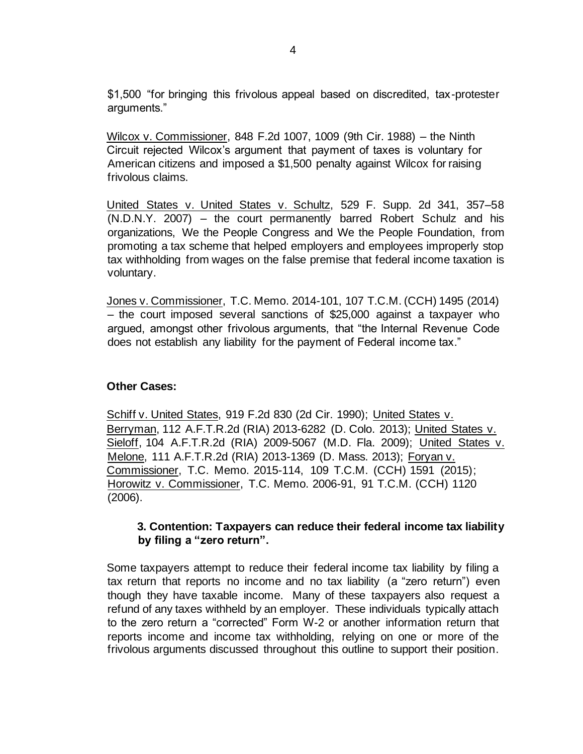\$1,500 "for bringing this frivolous appeal based on discredited, tax-protester arguments."

Wilcox v. Commissioner, 848 F.2d 1007, 1009 (9th Cir. 1988) – the Ninth Circuit rejected Wilcox's argument that payment of taxes is voluntary for American citizens and imposed a \$1,500 penalty against Wilcox for raising frivolous claims.

[United](http://www.cheatingfrenzy.com/schulz30.pdf) [States v.](http://www.cheatingfrenzy.com/schulz30.pdf) [United States v. Schultz](https://www.justice.gov/archive/tax/Schultz_OrderIinContempt.pdf)[,](http://www.cheatingfrenzy.com/schulz30.pdf) 529 F. Supp. 2d 341, 357–58 (N.D.N.Y. 2007) – the court permanently barred Robert Schulz and his organizations, We the People Congress and We the People Foundation, from promoting a tax scheme that helped employers and employees improperly stop tax withholding from wages on the false premise that federal income taxation is voluntary.

Jones v. Commissioner, T.C. Memo. 2014-101, 107 T.C.M. (CCH) 1495 (2014) – the court imposed several sanctions of \$25,000 against a taxpayer who argued, amongst other frivolous arguments, that "the Internal Revenue Code does not establish any liability for the payment of Federal income tax."

## **Other Cases:**

Schiff v. United States, 919 F.2d 830 (2d Cir. 1990); United States v. Berryman, 112 A.F.T.R.2d (RIA) 2013-6282 (D. Colo. 2013); United States v. Sieloff, 104 A.F.T.R.2d (RIA) 2009-5067 (M.D. Fla. 2009); United States v. Melone, 111 A.F.T.R.2d (RIA) 2013-1369 (D. Mass. 2013); Foryan v. Commissioner, T.C. Memo. 2015-114, 109 T.C.M. (CCH) 1591 (2015); Horowitz v. Commissioner, T.C. Memo. 2006-91, 91 T.C.M. (CCH) 1120 (2006).

## **3. Contention: Taxpayers can reduce their federal income tax liability by filing a "zero return".**

Some taxpayers attempt to reduce their federal income tax liability by filing a tax return that reports no income and no tax liability (a "zero return") even though they have taxable income. Many of these taxpayers also request a refund of any taxes withheld by an employer. These individuals typically attach to the zero return a "corrected" Form W-2 or another information return that reports income and income tax withholding, relying on one or more of the frivolous arguments discussed throughout this outline to support their position.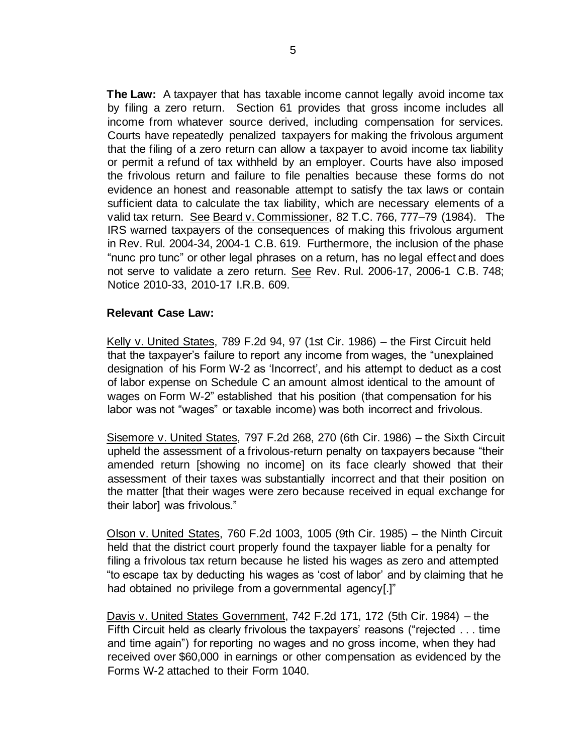**The Law:** A taxpayer that has taxable income cannot legally avoid income tax by filing a zero return. Section 61 provides that gross income includes all income from whatever source derived, including compensation for services. Courts have repeatedly penalized taxpayers for making the frivolous argument that the filing of a zero return can allow a taxpayer to avoid income tax liability or permit a refund of tax withheld by an employer. Courts have also imposed the frivolous return and failure to file penalties because these forms do not evidence an honest and reasonable attempt to satisfy the tax laws or contain sufficient data to calculate the tax liability, which are necessary elements of a valid tax return. See Beard v. Commissioner, 82 T.C. 766, 777–79 (1984). The IRS warned taxpayers of the consequences of making this frivolous argument in [Rev. Rul. 2004-34,](https://www.irs.gov/irb/2004-12_IRB#RR-2004-34) 2004-1 C.B. 619. Furthermore, the inclusion of the phase "nunc pro tunc" or other legal phrases on a return, has no legal effect and does not serve to validate a zero return. Se[e](http://www.irs.gov/irb/2006-15_IRB/ar10.html) [Rev. Rul. 2006-17,](https://www.irs.gov/irb/2006-15_IRB#RR-2006-17) 2006-1 C.B. 748; Notice 2010-33, 2010-17 I.R.B. 609.

#### **Relevant Case Law:**

Kelly v. United States, 789 F.2d 94, 97 (1st Cir. 1986) – the First Circuit held that the taxpayer's failure to report any income from wages, the "unexplained designation of his Form W-2 as 'Incorrect', and his attempt to deduct as a cost of labor expense on Schedule C an amount almost identical to the amount of wages on Form W-2" established that his position (that compensation for his labor was not "wages" or taxable income) was both incorrect and frivolous.

Sisemore v. United States, 797 F.2d 268, 270 (6th Cir. 1986) – the Sixth Circuit upheld the assessment of a frivolous-return penalty on taxpayers because "their amended return [showing no income] on its face clearly showed that their assessment of their taxes was substantially incorrect and that their position on the matter [that their wages were zero because received in equal exchange for their labor] was frivolous."

Olson v. United States, 760 F.2d 1003, 1005 (9th Cir. 1985) – the Ninth Circuit held that the district court properly found the taxpayer liable for a penalty for filing a frivolous tax return because he listed his wages as zero and attempted "to escape tax by deducting his wages as 'cost of labor' and by claiming that he had obtained no privilege from a governmental agency[.]"

Davis v. United States Government, 742 F.2d 171, 172 (5th Cir. 1984) – the Fifth Circuit held as clearly frivolous the taxpayers' reasons ("rejected . . . time and time again") for reporting no wages and no gross income, when they had received over \$60,000 in earnings or other compensation as evidenced by the Forms W-2 attached to their Form 1040.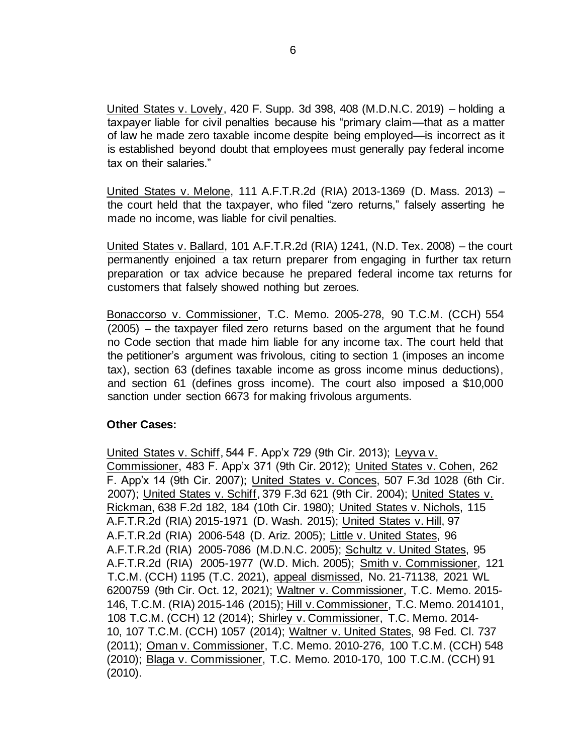United States v. Lovely, 420 F. Supp. 3d 398, 408 (M.D.N.C. 2019) – holding a taxpayer liable for civil penalties because his "primary claim—that as a matter of law he made zero taxable income despite being employed—is incorrect as it is established beyond doubt that employees must generally pay federal income tax on their salaries."

United States v. Melone, 111 A.F.T.R.2d (RIA) 2013-1369 (D. Mass. 2013) – the court held that the taxpayer, who filed "zero returns," falsely asserting he made no income, was liable for civil penalties.

United States v. Ballard, 101 A.F.T.R.2d (RIA) 1241, (N.D. Tex. 2008) – the court permanently enjoined a tax return preparer from engaging in further tax return preparation or tax advice because he prepared federal income tax returns for customers that falsely showed nothing but zeroes.

Bonaccorso v. Commissioner, T.C. Memo. 2005-278, 90 T.C.M. (CCH) 554 (2005) – the taxpayer filed zero returns based on the argument that he found no Code section that made him liable for any income tax. The court held that the petitioner's argument was frivolous, citing to section 1 (imposes an income tax), section 63 (defines taxable income as gross income minus deductions), and section 61 (defines gross income). The court also imposed a \$10,000 sanction under section 6673 for making frivolous arguments.

## **Other Cases:**

United States v. Schiff, 544 F. App'x 729 (9th Cir. 2013); Leyva v. Commissioner, 483 F. App'x 371 (9th Cir. 2012); United States v. Cohen, 262 F. App'x 14 (9th Cir. 2007); United States v. Conces, 507 F.3d 1028 (6th Cir. 2007); United States v. Schiff, 379 F.3d 621 (9th Cir. 2004); United States v. Rickman, 638 F.2d 182, 184 (10th Cir. 1980); United States v. Nichols, 115 A.F.T.R.2d (RIA) 2015-1971 (D. Wash. 2015); United States v. Hill, 97 A.F.T.R.2d (RIA) 2006-548 (D. Ariz. 2005); Little v. United States, 96 A.F.T.R.2d (RIA) 2005-7086 (M.D.N.C. 2005); Schultz v. United States, 95 A.F.T.R.2d (RIA) 2005-1977 (W.D. Mich. 2005); Smith v. Commissioner, 121 T.C.M. (CCH) 1195 (T.C. 2021), appeal dismissed, No. 21-71138, 2021 WL 6200759 (9th Cir. Oct. 12, 2021); Waltner v. Commissioner, T.C. Memo. 2015- 146, T.C.M. (RIA) 2015-146 (2015); Hill v. Commissioner, T.C. Memo. 2014101, 108 T.C.M. (CCH) 12 (2014); Shirley v. Commissioner, T.C. Memo. 2014- 10, 107 T.C.M. (CCH) 1057 (2014); Waltner v. United States, 98 Fed. Cl. 737 (2011); Oman v. Commissioner, T.C. Memo. 2010-276, 100 T.C.M. (CCH) 548 (2010); Blaga v. Commissioner, T.C. Memo. 2010-170, 100 T.C.M. (CCH) 91 (2010).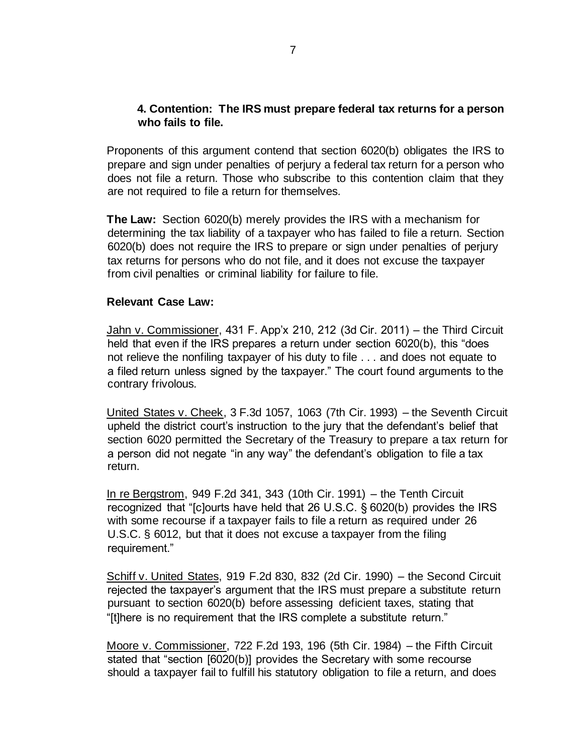## **4. Contention: The IRS must prepare federal tax returns for a person who fails to file.**

Proponents of this argument contend that section 6020(b) obligates the IRS to prepare and sign under penalties of perjury a federal tax return for a person who does not file a return. Those who subscribe to this contention claim that they are not required to file a return for themselves.

**The Law:** Section 6020(b) merely provides the IRS with a mechanism for determining the tax liability of a taxpayer who has failed to file a return. Section 6020(b) does not require the IRS to prepare or sign under penalties of perjury tax returns for persons who do not file, and it does not excuse the taxpayer from civil penalties or criminal liability for failure to file.

#### **Relevant Case Law:**

Jahn v. Commissioner, 431 F. App'x 210, 212 (3d Cir. 2011) – the Third Circuit held that even if the IRS prepares a return under section 6020(b), this "does not relieve the nonfiling taxpayer of his duty to file . . . and does not equate to a filed return unless signed by the taxpayer." The court found arguments to the contrary frivolous.

United States v. Cheek, 3 F.3d 1057, 1063 (7th Cir. 1993) – the Seventh Circuit upheld the district court's instruction to the jury that the defendant's belief that section 6020 permitted the Secretary of the Treasury to prepare a tax return for a person did not negate "in any way" the defendant's obligation to file a tax return.

In re Bergstrom, 949 F.2d 341, 343 (10th Cir. 1991) – the Tenth Circuit recognized that "[c]ourts have held that 26 U.S.C. § 6020(b) provides the IRS with some recourse if a taxpayer fails to file a return as required under 26 U.S.C. § 6012, but that it does not excuse a taxpayer from the filing requirement."

Schiff v. United States, 919 F.2d 830, 832 (2d Cir. 1990) – the Second Circuit rejected the taxpayer's argument that the IRS must prepare a substitute return pursuant to section 6020(b) before assessing deficient taxes, stating that "[t]here is no requirement that the IRS complete a substitute return."

Moore v. Commissioner, 722 F.2d 193, 196 (5th Cir. 1984) – the Fifth Circuit stated that "section [6020(b)] provides the Secretary with some recourse should a taxpayer fail to fulfill his statutory obligation to file a return, and does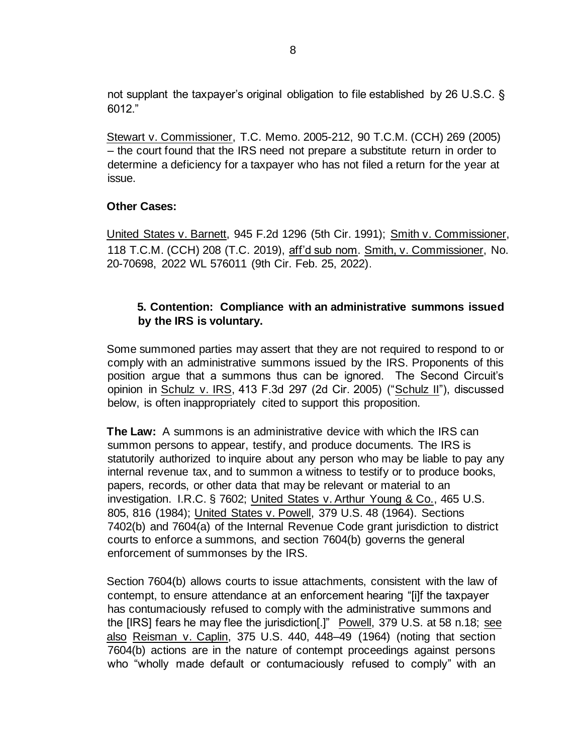not supplant the taxpayer's original obligation to file established by 26 U.S.C. § 6012."

Stewart v. Commissioner, T.C. Memo. 2005-212, 90 T.C.M. (CCH) 269 (2005) – the court found that the IRS need not prepare a substitute return in order to determine a deficiency for a taxpayer who has not filed a return for the year at issue.

## **Other Cases:**

United States v. Barnett, 945 F.2d 1296 (5th Cir. 1991); Smith v. Commissioner, 118 T.C.M. (CCH) 208 (T.C. 2019), aff'd sub nom. Smith, v. Commissioner, No. 20-70698, 2022 WL 576011 (9th Cir. Feb. 25, 2022).

## **5. Contention: Compliance with an administrative summons issued by the IRS is voluntary.**

Some summoned parties may assert that they are not required to respond to or comply with an administrative summons issued by the IRS. Proponents of this position argue that a summons thus can be ignored. The Second Circuit's opinion in Schulz v. IRS, 413 F.3d 297 (2d Cir. 2005) ("Schulz II"), discussed below, is often inappropriately cited to support this proposition.

**The Law:** A summons is an administrative device with which the IRS can summon persons to appear, testify, and produce documents. The IRS is statutorily authorized to inquire about any person who may be liable to pay any internal revenue tax, and to summon a witness to testify or to produce books, papers, records, or other data that may be relevant or material to an investigation. I.R.C. § 7602; United States v. Arthur Young & Co., 465 U.S. 805, 816 (1984); United States v. Powell, 379 U.S. 48 (1964). Sections 7402(b) and 7604(a) of the Internal Revenue Code grant jurisdiction to district courts to enforce a summons, and section 7604(b) governs the general enforcement of summonses by the IRS.

Section 7604(b) allows courts to issue attachments, consistent with the law of contempt, to ensure attendance at an enforcement hearing "[i]f the taxpayer has contumaciously refused to comply with the administrative summons and the [IRS] fears he may flee the jurisdiction[.]" Powell, 379 U.S. at 58 n.18; see also Reisman v. Caplin, 375 U.S. 440, 448-49  $(1964)$  (noting that section 7604(b) actions are in the nature of contempt proceedings against persons who "wholly made default or contumaciously refused to comply" with an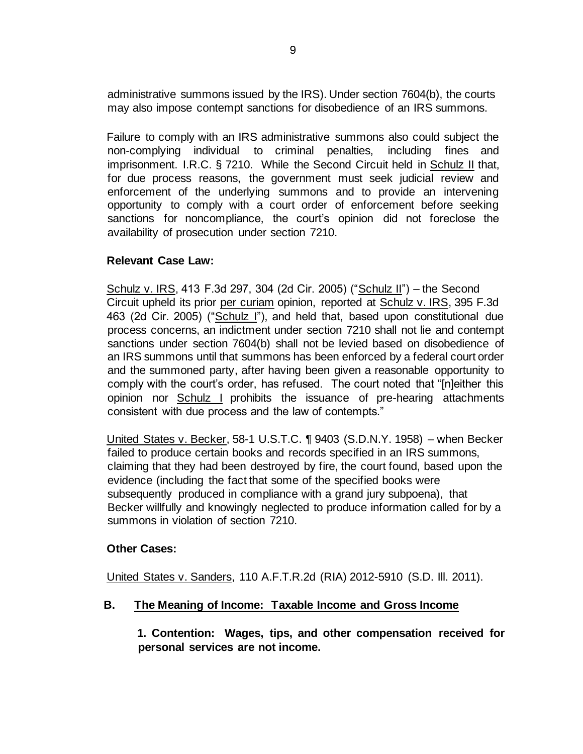administrative summons issued by the IRS). Under section 7604(b), the courts may also impose contempt sanctions for disobedience of an IRS summons.

Failure to comply with an IRS administrative summons also could subject the non-complying individual to criminal penalties, including fines and imprisonment. I.R.C. § 7210. While the Second Circuit held in Schulz II that, for due process reasons, the government must seek judicial review and enforcement of the underlying summons and to provide an intervening opportunity to comply with a court order of enforcement before seeking sanctions for noncompliance, the court's opinion did not foreclose the availability of prosecution under section 7210.

## **Relevant Case Law:**

Schulz v. IRS, 413 F.3d 297, 304 (2d Cir. 2005) ("Schulz II") – the Second Circuit upheld its prior per curiam opinion, reported at Schulz v. IRS, 395 F.3d 463 (2d Cir. 2005) ("Schulz I"), and held that, based upon constitutional due process concerns, an indictment under section 7210 shall not lie and contempt sanctions under section 7604(b) shall not be levied based on disobedience of an IRS summons until that summons has been enforced by a federal court order and the summoned party, after having been given a reasonable opportunity to comply with the court's order, has refused. The court noted that "[n]either this opinion nor Schulz I prohibits the issuance of pre-hearing attachments consistent with due process and the law of contempts."

United States v. Becker, 58-1 U.S.T.C. ¶ 9403 (S.D.N.Y. 1958) – when Becker failed to produce certain books and records specified in an IRS summons, claiming that they had been destroyed by fire, the court found, based upon the evidence (including the fact that some of the specified books were subsequently produced in compliance with a grand jury subpoena), that Becker willfully and knowingly neglected to produce information called for by a summons in violation of section 7210.

## **Other Cases:**

United States v. Sanders, 110 A.F.T.R.2d (RIA) 2012-5910 (S.D. Ill. 2011).

## **B. The Meaning of Income: Taxable Income and Gross Income**

**1. Contention: Wages, tips, and other compensation received for personal services are not income.**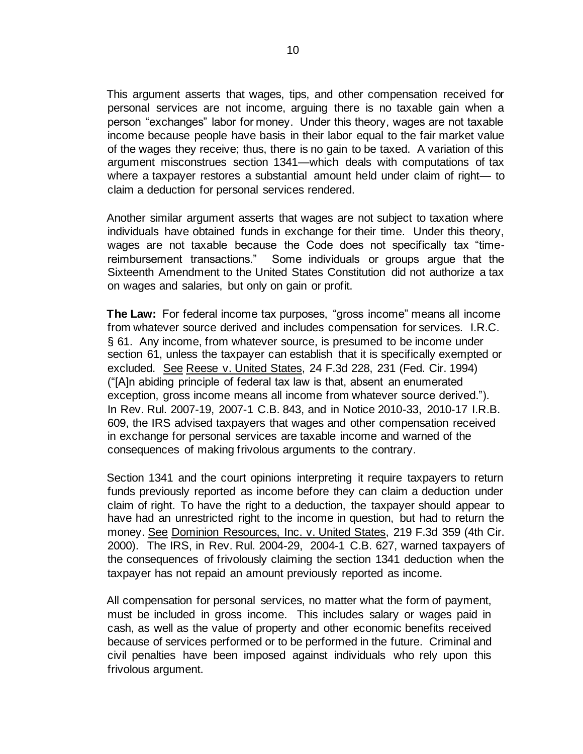This argument asserts that wages, tips, and other compensation received for personal services are not income, arguing there is no taxable gain when a person "exchanges" labor for money. Under this theory, wages are not taxable income because people have basis in their labor equal to the fair market value of the wages they receive; thus, there is no gain to be taxed. A variation of this argument misconstrues section 1341—which deals with computations of tax where a taxpayer restores a substantial amount held under claim of right— to claim a deduction for personal services rendered.

Another similar argument asserts that wages are not subject to taxation where individuals have obtained funds in exchange for their time. Under this theory, wages are not taxable because the Code does not specifically tax "timereimbursement transactions." Some individuals or groups argue that the Sixteenth Amendment to the United States Constitution did not authorize a tax on wages and salaries, but only on gain or profit.

**The Law:** For federal income tax purposes, "gross income" means all income from whatever source derived and includes compensation for services. I.R.C. § 61. Any income, from whatever source, is presumed to be income under section 61, unless the taxpayer can establish that it is specifically exempted or excluded. See Reese v. United States, 24 F.3d 228, 231 (Fed. Cir. 1994) ("[A]n abiding principle of federal tax law is that, absent an enumerated exception, gross income means all income from whatever source derived."). In Rev. Rul. 2007-19, 2007-1 C.B. 843, and in Notice 2010-33, 2010-17 I.R.B. 609, the IRS advised taxpayers that wages and other compensation received in exchange for personal services are taxable income and warned of the consequences of making frivolous arguments to the contrary.

Section 1341 and the court opinions interpreting it require taxpayers to return funds previously reported as income before they can claim a deduction under claim of right. To have the right to a deduction, the taxpayer should appear to have had an unrestricted right to the income in question, but had to return the money. See Dominion Resources, Inc. v. United States, 219 F.3d 359 (4th Cir. 2000). The IRS, in [Rev. Rul. 2004-29,](https://www.irs.gov/irb/2004-12_IRB#RR-2004-29) 2004-1 C.B. 627, warned taxpayers of the consequences of frivolously claiming the section 1341 deduction when the taxpayer has not repaid an amount previously reported as income.

All compensation for personal services, no matter what the form of payment, must be included in gross income. This includes salary or wages paid in cash, as well as the value of property and other economic benefits received because of services performed or to be performed in the future. Criminal and civil penalties have been imposed against individuals who rely upon this frivolous argument.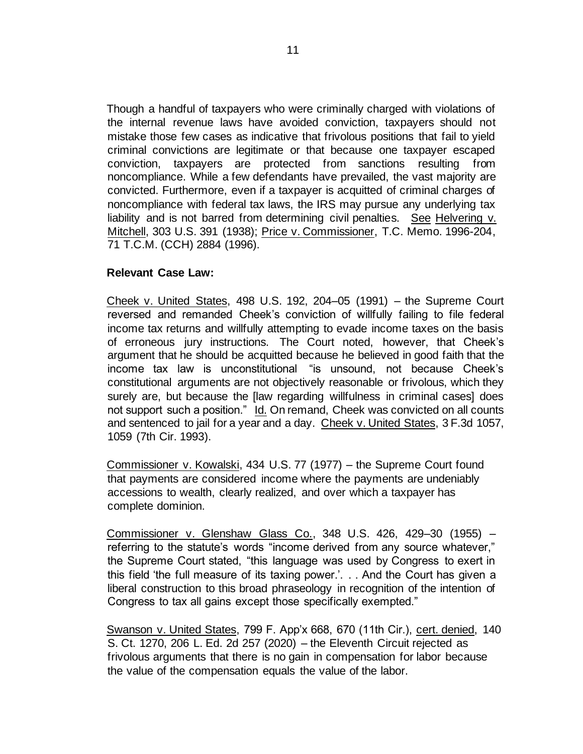Though a handful of taxpayers who were criminally charged with violations of the internal revenue laws have avoided conviction, taxpayers should not mistake those few cases as indicative that frivolous positions that fail to yield criminal convictions are legitimate or that because one taxpayer escaped conviction, taxpayers are protected from sanctions resulting from noncompliance. While a few defendants have prevailed, the vast majority are convicted. Furthermore, even if a taxpayer is acquitted of criminal charges of noncompliance with federal tax laws, the IRS may pursue any underlying tax liability and is not barred from determining civil penalties. See Helvering v. Mitchell, 303 U.S. 391 (1938); Price v. Commissioner, T.C. Memo. 1996-204, 71 T.C.M. (CCH) 2884 (1996).

#### **Relevant Case Law:**

Cheek v. United States, 498 U.S. 192, 204–05 (1991) – the Supreme Court reversed and remanded Cheek's conviction of willfully failing to file federal income tax returns and willfully attempting to evade income taxes on the basis of erroneous jury instructions. The Court noted, however, that Cheek's argument that he should be acquitted because he believed in good faith that the income tax law is unconstitutional "is unsound, not because Cheek's constitutional arguments are not objectively reasonable or frivolous, which they surely are, but because the [law regarding willfulness in criminal cases] does not support such a position." Id. On remand, Cheek was convicted on all counts and sentenced to jail for a year and a day. Cheek v. United States, 3 F.3d 1057, 1059 (7th Cir. 1993).

Commissioner v. Kowalski, 434 U.S. 77 (1977) – the Supreme Court found that payments are considered income where the payments are undeniably accessions to wealth, clearly realized, and over which a taxpayer has complete dominion.

Commissioner v. Glenshaw Glass Co., 348 U.S. 426, 429–30 (1955) – referring to the statute's words "income derived from any source whatever," the Supreme Court stated, "this language was used by Congress to exert in this field 'the full measure of its taxing power.'. . . And the Court has given a liberal construction to this broad phraseology in recognition of the intention of Congress to tax all gains except those specifically exempted."

Swanson v. United States, 799 F. App'x 668, 670 (11th Cir.), cert. denied, 140 S. Ct. 1270, 206 L. Ed. 2d 257 (2020) – the Eleventh Circuit rejected as frivolous arguments that there is no gain in compensation for labor because the value of the compensation equals the value of the labor.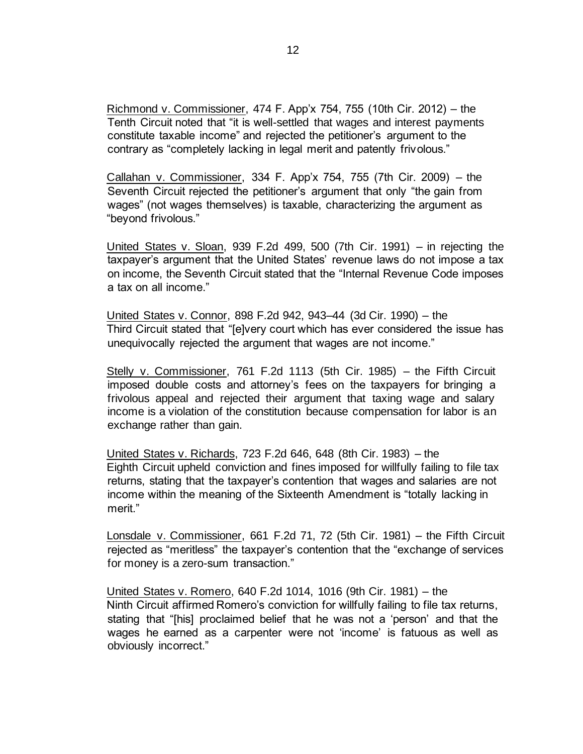Richmond v. Commissioner, 474 F. App'x 754, 755 (10th Cir. 2012) – the Tenth Circuit noted that "it is well-settled that wages and interest payments constitute taxable income" and rejected the petitioner's argument to the contrary as "completely lacking in legal merit and patently frivolous."

Callahan v. Commissioner, 334 F. App'x 754, 755 (7th Cir. 2009) – the Seventh Circuit rejected the petitioner's argument that only "the gain from wages" (not wages themselves) is taxable, characterizing the argument as "beyond frivolous."

United States v. Sloan, 939 F.2d 499, 500 (7th Cir. 1991) – in rejecting the taxpayer's argument that the United States' revenue laws do not impose a tax on income, the Seventh Circuit stated that the "Internal Revenue Code imposes a tax on all income."

United States v. Connor, 898 F.2d 942, 943–44 (3d Cir. 1990) – the Third Circuit stated that "[e]very court which has ever considered the issue has unequivocally rejected the argument that wages are not income."

Stelly v. Commissioner, 761 F.2d 1113 (5th Cir. 1985) – the Fifth Circuit imposed double costs and attorney's fees on the taxpayers for bringing a frivolous appeal and rejected their argument that taxing wage and salary income is a violation of the constitution because compensation for labor is an exchange rather than gain.

United States v. Richards, 723 F.2d 646, 648 (8th Cir. 1983) – the Eighth Circuit upheld conviction and fines imposed for willfully failing to file tax returns, stating that the taxpayer's contention that wages and salaries are not income within the meaning of the Sixteenth Amendment is "totally lacking in merit."

Lonsdale v. Commissioner, 661 F.2d 71, 72 (5th Cir. 1981) – the Fifth Circuit rejected as "meritless" the taxpayer's contention that the "exchange of services for money is a zero-sum transaction."

United States v. Romero, 640 F.2d 1014, 1016 (9th Cir. 1981) – the Ninth Circuit affirmed Romero's conviction for willfully failing to file tax returns, stating that "[his] proclaimed belief that he was not a 'person' and that the wages he earned as a carpenter were not 'income' is fatuous as well as obviously incorrect."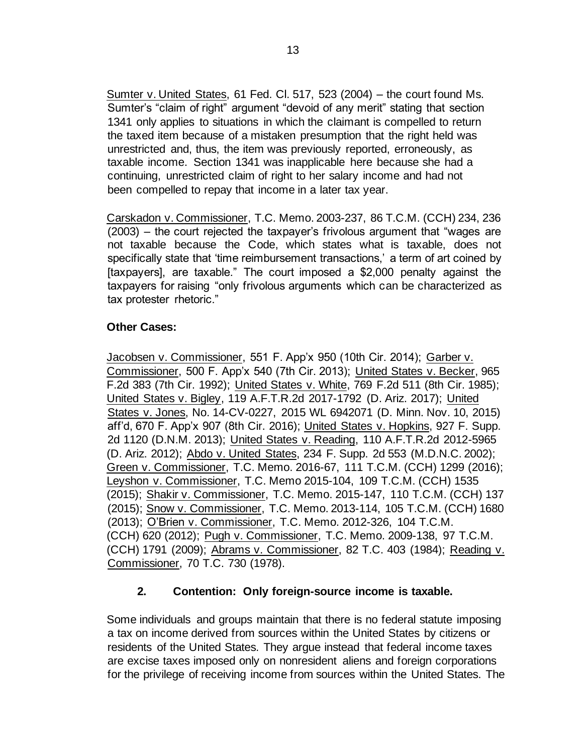Sumter v. United States, 61 Fed. Cl. 517, 523 (2004) – the court found Ms. Sumter's "claim of right" argument "devoid of any merit" stating that section 1341 only applies to situations in which the claimant is compelled to return the taxed item because of a mistaken presumption that the right held was unrestricted and, thus, the item was previously reported, erroneously, as taxable income. Section 1341 was inapplicable here because she had a continuing, unrestricted claim of right to her salary income and had not been compelled to repay that income in a later tax year.

Carskadon v. Commissioner, T.C. Memo. 2003-237, 86 T.C.M. (CCH) 234, 236 (2003) – the court rejected the taxpayer's frivolous argument that "wages are not taxable because the Code, which states what is taxable, does not specifically state that 'time reimbursement transactions,' a term of art coined by [taxpayers], are taxable." The court imposed a \$2,000 penalty against the taxpayers for raising "only frivolous arguments which can be characterized as tax protester rhetoric."

## **Other Cases:**

Jacobsen v. Commissioner, 551 F. App'x 950 (10th Cir. 2014); Garber v. Commissioner, 500 F. App'x 540 (7th Cir. 2013); United States v. Becker, 965 F.2d 383 (7th Cir. 1992); United States v. White, 769 F.2d 511 (8th Cir. 1985); United States v. Bigley, 119 A.F.T.R.2d 2017-1792 (D. Ariz. 2017); United States v. Jones, No. 14-CV-0227, 2015 WL 6942071 (D. Minn. Nov. 10, 2015) aff'd, 670 F. App'x 907 (8th Cir. 2016); United States v. Hopkins, 927 F. Supp. 2d 1120 (D.N.M. 2013); United States v. Reading, 110 A.F.T.R.2d 2012-5965 (D. Ariz. 2012); Abdo v. United States, 234 F. Supp. 2d 553 (M.D.N.C. 2002); Green v. Commissioner, T.C. Memo. 2016-67, 111 T.C.M. (CCH) 1299 (2016); Leyshon v. Commissioner, T.C. Memo 2015-104, 109 T.C.M. (CCH) 1535 (2015); Shakir v. Commissioner, T.C. Memo. 2015-147, 110 T.C.M. (CCH) 137 (2015); Snow v. Commissioner, T.C. Memo. 2013-114, 105 T.C.M. (CCH) 1680 (2013); O'Brien v. Commissioner, T.C. Memo. 2012-326, 104 T.C.M. (CCH) 620 (2012); Pugh v. Commissioner, T.C. Memo. 2009-138, 97 T.C.M. (CCH) 1791 (2009); Abrams v. Commissioner, 82 T.C. 403 (1984); Reading v. Commissioner, 70 T.C. 730 (1978).

## **2. Contention: Only foreign-source income is taxable.**

Some individuals and groups maintain that there is no federal statute imposing a tax on income derived from sources within the United States by citizens or residents of the United States. They argue instead that federal income taxes are excise taxes imposed only on nonresident aliens and foreign corporations for the privilege of receiving income from sources within the United States. The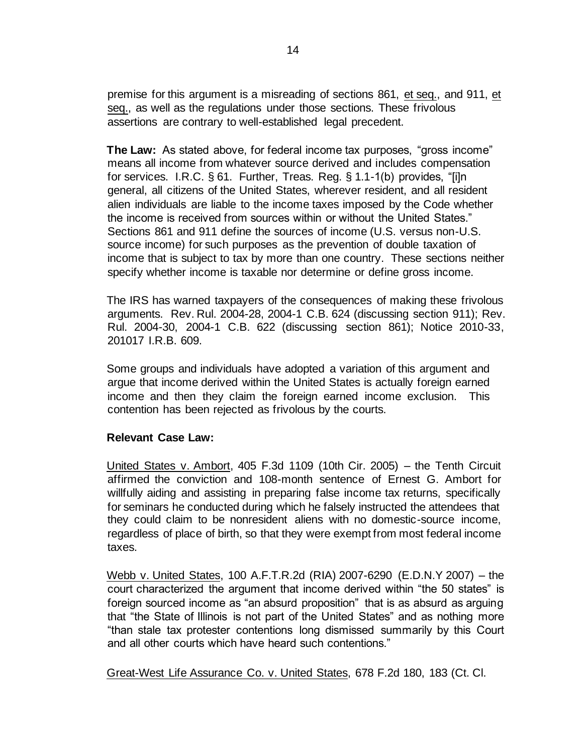premise for this argument is a misreading of sections 861, et seq., and 911, et seq., as well as the regulations under those sections. These frivolous assertions are contrary to well-established legal precedent.

**The Law:** As stated above, for federal income tax purposes, "gross income" means all income from whatever source derived and includes compensation for services. I.R.C. § 61. Further, Treas. Reg. § 1.1-1(b) provides, "[i]n general, all citizens of the United States, wherever resident, and all resident alien individuals are liable to the income taxes imposed by the Code whether the income is received from sources within or without the United States." Sections 861 and 911 define the sources of income (U.S. versus non-U.S. source income) for such purposes as the prevention of double taxation of income that is subject to tax by more than one country. These sections neither specify whether income is taxable nor determine or define gross income.

The IRS has warned taxpayers of the consequences of making these frivolous arguments.[Rev. Rul. 2004-28,](https://www.irs.gov/irb/2004-12_IRB#RR-2004-28) 2004-1 C.B. 624 (discussing section 911)[;](http://www.irs.gov/irb/2004-12_IRB/ar09.html) [Rev.](https://www.irs.gov/irb/2004-12_IRB#RR-2004-30)  [Rul. 2004-30,](https://www.irs.gov/irb/2004-12_IRB#RR-2004-30) 2004-1 C.B. 622 (discussing section 861); Notice 2010-33, 201017 I.R.B. 609.

Some groups and individuals have adopted a variation of this argument and argue that income derived within the United States is actually foreign earned income and then they claim the foreign earned income exclusion. This contention has been rejected as frivolous by the courts.

## **Relevant Case Law:**

United States v. Ambort, 405 F.3d 1109 (10th Cir. 2005) – the Tenth Circuit affirmed the conviction and 108-month sentence of Ernest G. Ambort for willfully aiding and assisting in preparing false income tax returns, specifically for seminars he conducted during which he falsely instructed the attendees that they could claim to be nonresident aliens with no domestic-source income, regardless of place of birth, so that they were exempt from most federal income taxes.

Webb v. United States, 100 A.F.T.R.2d (RIA) 2007-6290 (E.D.N.Y 2007) – the court characterized the argument that income derived within "the 50 states" is foreign sourced income as "an absurd proposition" that is as absurd as arguing that "the State of Illinois is not part of the United States" and as nothing more "than stale tax protester contentions long dismissed summarily by this Court and all other courts which have heard such contentions."

Great-West Life Assurance Co. v. United States, 678 F.2d 180, 183 (Ct. Cl.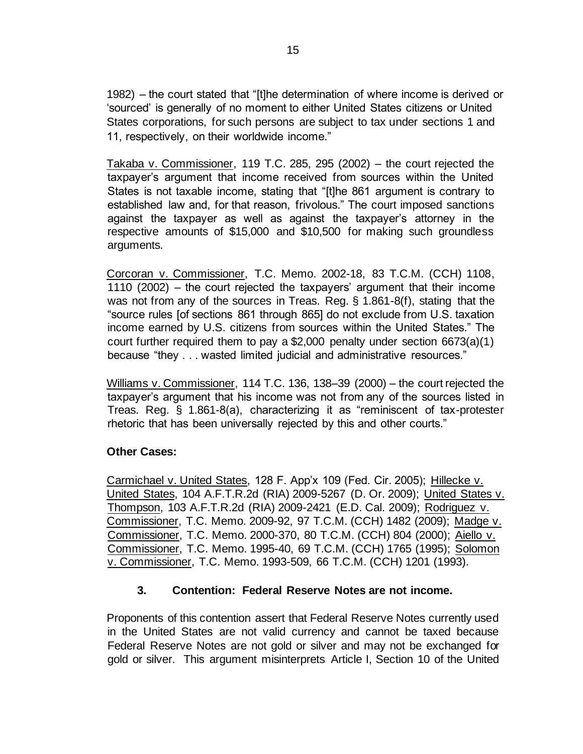1982) – the court stated that "[t]he determination of where income is derived or 'sourced' is generally of no moment to either United States citizens or United States corporations, for such persons are subject to tax under sections 1 and 11, respectively, on their worldwide income."

Takaba v. Commissioner, 119 T.C. 285, 295 (2002) – the court rejected the taxpayer's argument that income received from sources within the United States is not taxable income, stating that "[t]he 861 argument is contrary to established law and, for that reason, frivolous." The court imposed sanctions against the taxpayer as well as against the taxpayer's attorney in the respective amounts of \$15,000 and \$10,500 for making such groundless arguments.

Corcoran v. Commissioner, T.C. Memo. 2002-18, 83 T.C.M. (CCH) 1108, 1110 (2002) – the court rejected the taxpayers' argument that their income was not from any of the sources in Treas. Reg. § 1.861-8(f), stating that the "source rules [of sections 861 through 865] do not exclude from U.S. taxation income earned by U.S. citizens from sources within the United States." The court further required them to pay a \$2,000 penalty under section 6673(a)(1) because "they . . . wasted limited judicial and administrative resources."

Williams v. Commissioner, 114 T.C. 136, 138–39 (2000) – the court rejected the taxpayer's argument that his income was not from any of the sources listed in Treas. Reg. § 1.861-8(a), characterizing it as "reminiscent of tax-protester rhetoric that has been universally rejected by this and other courts."

## **Other Cases:**

Carmichael v. United States, 128 F. App'x 109 (Fed. Cir. 2005); Hillecke v. United States, 104 A.F.T.R.2d (RIA) 2009-5267 (D. Or. 2009); United States v. Thompson, 103 A.F.T.R.2d (RIA) 2009-2421 (E.D. Cal. 2009); Rodriguez v. Commissioner, T.C. Memo. 2009-92, 97 T.C.M. (CCH) 1482 (2009); Madge v. Commissioner, T.C. Memo. 2000-370, 80 T.C.M. (CCH) 804 (2000); Aiello v. Commissioner, T.C. Memo. 1995-40, 69 T.C.M. (CCH) 1765 (1995); Solomon v. Commissioner, T.C. Memo. 1993-509, 66 T.C.M. (CCH) 1201 (1993).

## **3. Contention: Federal Reserve Notes are not income.**

Proponents of this contention assert that Federal Reserve Notes currently used in the United States are not valid currency and cannot be taxed because Federal Reserve Notes are not gold or silver and may not be exchanged for gold or silver. This argument misinterprets Article I, Section 10 of the United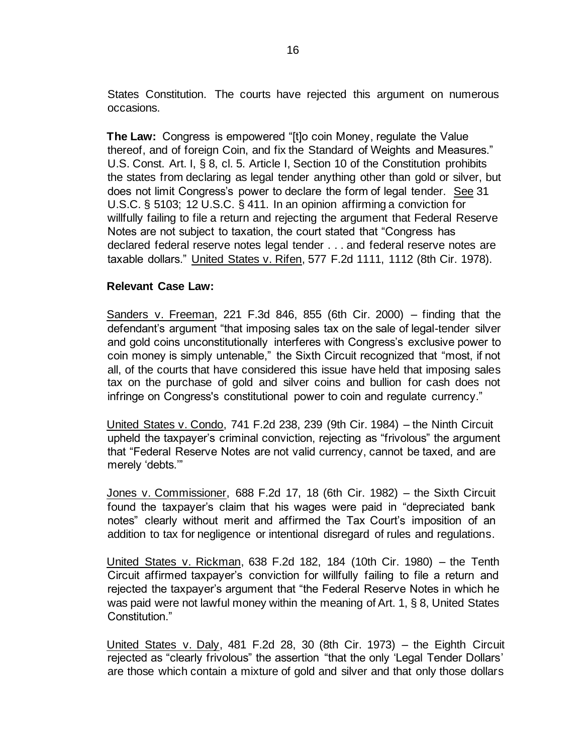States Constitution. The courts have rejected this argument on numerous occasions.

**The Law:** Congress is empowered "[t]o coin Money, regulate the Value thereof, and of foreign Coin, and fix the Standard of Weights and Measures." U.S. Const. Art. I, § 8, cl. 5. Article I, Section 10 of the Constitution prohibits the states from declaring as legal tender anything other than gold or silver, but does not limit Congress's power to declare the form of legal tender. See 31 U.S.C. § 5103; 12 U.S.C. § 411. In an opinion affirming a conviction for willfully failing to file a return and rejecting the argument that Federal Reserve Notes are not subject to taxation, the court stated that "Congress has declared federal reserve notes legal tender . . . and federal reserve notes are taxable dollars." United States v. Rifen, 577 F.2d 1111, 1112 (8th Cir. 1978).

#### **Relevant Case Law:**

Sanders v. Freeman, 221 F.3d 846, 855 (6th Cir. 2000) – finding that the defendant's argument "that imposing sales tax on the sale of legal-tender silver and gold coins unconstitutionally interferes with Congress's exclusive power to coin money is simply untenable," the Sixth Circuit recognized that "most, if not all, of the courts that have considered this issue have held that imposing sales tax on the purchase of gold and silver coins and bullion for cash does not infringe on Congress's constitutional power to coin and regulate currency."

United States v. Condo, 741 F.2d 238, 239 (9th Cir. 1984) – the Ninth Circuit upheld the taxpayer's criminal conviction, rejecting as "frivolous" the argument that "Federal Reserve Notes are not valid currency, cannot be taxed, and are merely 'debts.'"

Jones v. Commissioner, 688 F.2d 17, 18 (6th Cir. 1982) – the Sixth Circuit found the taxpayer's claim that his wages were paid in "depreciated bank notes" clearly without merit and affirmed the Tax Court's imposition of an addition to tax for negligence or intentional disregard of rules and regulations.

United States v. Rickman, 638 F.2d 182, 184 (10th Cir. 1980) – the Tenth Circuit affirmed taxpayer's conviction for willfully failing to file a return and rejected the taxpayer's argument that "the Federal Reserve Notes in which he was paid were not lawful money within the meaning of Art. 1, § 8, United States Constitution."

United States v. Daly, 481 F.2d 28, 30 (8th Cir. 1973) – the Eighth Circuit rejected as "clearly frivolous" the assertion "that the only 'Legal Tender Dollars' are those which contain a mixture of gold and silver and that only those dollars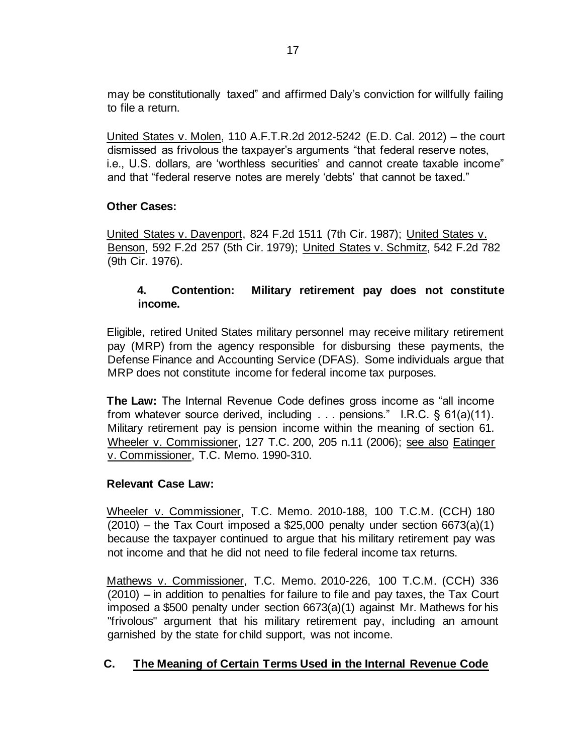may be constitutionally taxed" and affirmed Daly's conviction for willfully failing to file a return.

United States v. Molen, 110 A.F.T.R.2d 2012-5242 (E.D. Cal. 2012) – the court dismissed as frivolous the taxpayer's arguments "that federal reserve notes, i.e., U.S. dollars, are 'worthless securities' and cannot create taxable income" and that "federal reserve notes are merely 'debts' that cannot be taxed."

## **Other Cases:**

United States v. Davenport, 824 F.2d 1511 (7th Cir. 1987); United States v. Benson, 592 F.2d 257 (5th Cir. 1979); United States v. Schmitz, 542 F.2d 782 (9th Cir. 1976).

## **4. Contention: Military retirement pay does not constitute income.**

Eligible, retired United States military personnel may receive military retirement pay (MRP) from the agency responsible for disbursing these payments, the Defense Finance and Accounting Service (DFAS). Some individuals argue that MRP does not constitute income for federal income tax purposes.

**The Law:** The Internal Revenue Code defines gross income as "all income from whatever source derived, including . . . pensions." I.R.C. § 61(a)(11). Military retirement pay is pension income within the meaning of section 61. Wheeler v. Commissioner, 127 T.C. 200, 205 n.11 (2006); see also Eatinger v. Commissioner, T.C. Memo. 1990-310.

## **Relevant Case Law:**

Wheeler v. Commissioner, T.C. Memo. 2010-188, 100 T.C.M. (CCH) 180  $(2010)$  – the Tax Court imposed a \$25,000 penalty under section 6673(a)(1) because the taxpayer continued to argue that his military retirement pay was not income and that he did not need to file federal income tax returns.

Mathews v. Commissioner, T.C. Memo. 2010-226, 100 T.C.M. (CCH) 336 (2010) – in addition to penalties for failure to file and pay taxes, the Tax Court imposed a \$500 penalty under section 6673(a)(1) against Mr. Mathews for his "frivolous" argument that his military retirement pay, including an amount garnished by the state for child support, was not income.

## **C. The Meaning of Certain Terms Used in the Internal Revenue Code**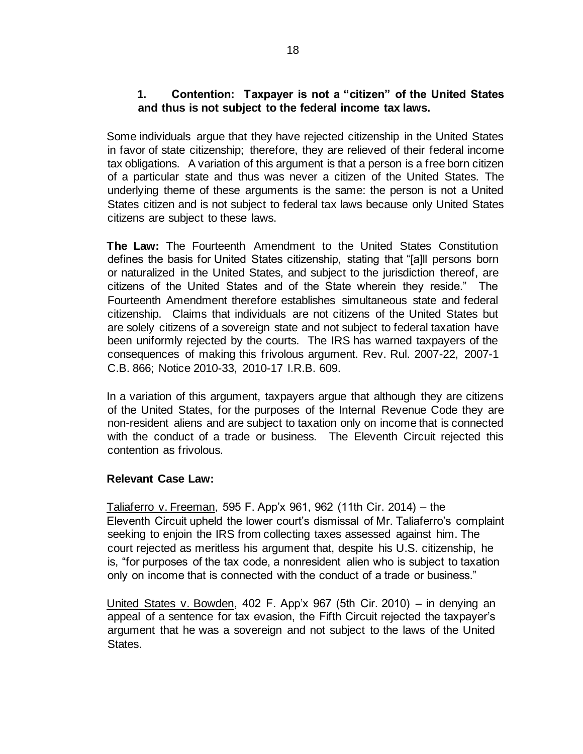## **1. Contention: Taxpayer is not a "citizen" of the United States and thus is not subject to the federal income tax laws.**

Some individuals argue that they have rejected citizenship in the United States in favor of state citizenship; therefore, they are relieved of their federal income tax obligations. A variation of this argument is that a person is a free born citizen of a particular state and thus was never a citizen of the United States. The underlying theme of these arguments is the same: the person is not a United States citizen and is not subject to federal tax laws because only United States citizens are subject to these laws.

**The Law:** The Fourteenth Amendment to the United States Constitution defines the basis for United States citizenship, stating that "[a]ll persons born or naturalized in the United States, and subject to the jurisdiction thereof, are citizens of the United States and of the State wherein they reside." The Fourteenth Amendment therefore establishes simultaneous state and federal citizenship. Claims that individuals are not citizens of the United States but are solely citizens of a sovereign state and not subject to federal taxation have been uniformly rejected by the courts. The IRS has warned taxpayers of the consequences of making this frivolous argument. Rev. Rul. 2007-22, 2007-1 C.B. 866; Notice 2010-33, 2010-17 I.R.B. 609.

In a variation of this argument, taxpayers argue that although they are citizens of the United States, for the purposes of the Internal Revenue Code they are non-resident aliens and are subject to taxation only on income that is connected with the conduct of a trade or business. The Eleventh Circuit rejected this contention as frivolous.

## **Relevant Case Law:**

Taliaferro v. Freeman, 595 F. App'x 961, 962 (11th Cir. 2014) – the Eleventh Circuit upheld the lower court's dismissal of Mr. Taliaferro's complaint seeking to enjoin the IRS from collecting taxes assessed against him. The court rejected as meritless his argument that, despite his U.S. citizenship, he is, "for purposes of the tax code, a nonresident alien who is subject to taxation only on income that is connected with the conduct of a trade or business."

United States v. Bowden, 402 F. App'x 967 (5th Cir. 2010) – in denying an appeal of a sentence for tax evasion, the Fifth Circuit rejected the taxpayer's argument that he was a sovereign and not subject to the laws of the United States.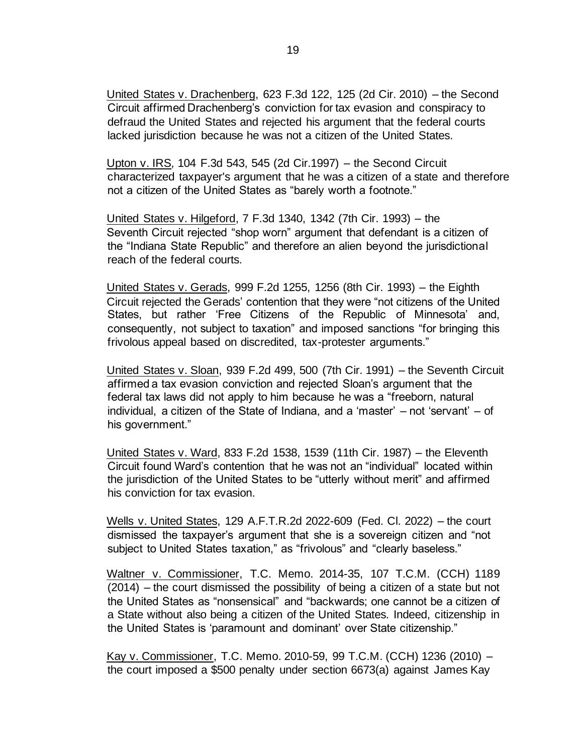United States v. Drachenberg, 623 F.3d 122, 125 (2d Cir. 2010) – the Second Circuit affirmed Drachenberg's conviction for tax evasion and conspiracy to defraud the United States and rejected his argument that the federal courts lacked jurisdiction because he was not a citizen of the United States.

Upton v. IRS*,* 104 F.3d 543, 545 (2d Cir.1997) – the Second Circuit characterized taxpayer's argument that he was a citizen of a state and therefore not a citizen of the United States as "barely worth a footnote."

United States v. Hilgeford, 7 F.3d 1340, 1342 (7th Cir. 1993) – the Seventh Circuit rejected "shop worn" argument that defendant is a citizen of the "Indiana State Republic" and therefore an alien beyond the jurisdictional reach of the federal courts.

United States v. Gerads, 999 F.2d 1255, 1256 (8th Cir. 1993) – the Eighth Circuit rejected the Gerads' contention that they were "not citizens of the United States, but rather 'Free Citizens of the Republic of Minnesota' and, consequently, not subject to taxation" and imposed sanctions "for bringing this frivolous appeal based on discredited, tax-protester arguments."

United States v. Sloan, 939 F.2d 499, 500 (7th Cir. 1991) – the Seventh Circuit affirmed a tax evasion conviction and rejected Sloan's argument that the federal tax laws did not apply to him because he was a "freeborn, natural individual, a citizen of the State of Indiana, and a 'master' – not 'servant' – of his government."

United States v. Ward, 833 F.2d 1538, 1539 (11th Cir. 1987) – the Eleventh Circuit found Ward's contention that he was not an "individual" located within the jurisdiction of the United States to be "utterly without merit" and affirmed his conviction for tax evasion.

Wells v. United States, 129 A.F.T.R.2d 2022-609 (Fed. Cl. 2022) – the court dismissed the taxpayer's argument that she is a sovereign citizen and "not subject to United States taxation," as "frivolous" and "clearly baseless."

Waltner v. Commissioner, T.C. Memo. 2014-35, 107 T.C.M. (CCH) 1189 (2014) – the court dismissed the possibility of being a citizen of a state but not the United States as "nonsensical" and "backwards; one cannot be a citizen of a State without also being a citizen of the United States. Indeed, citizenship in the United States is 'paramount and dominant' over State citizenship."

Kay v. Commissioner, T.C. Memo. 2010-59, 99 T.C.M. (CCH) 1236 (2010) – the court imposed a \$500 penalty under section 6673(a) against James Kay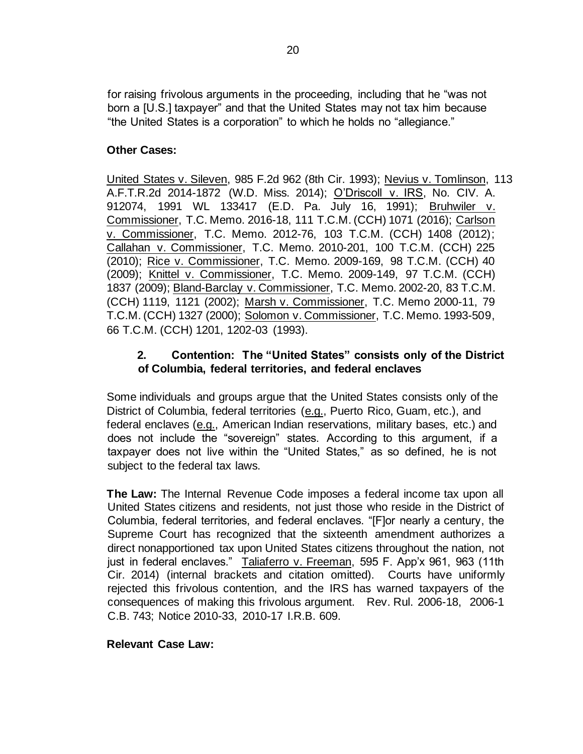for raising frivolous arguments in the proceeding, including that he "was not born a [U.S.] taxpayer" and that the United States may not tax him because "the United States is a corporation" to which he holds no "allegiance."

## **Other Cases:**

United States v. Sileven, 985 F.2d 962 (8th Cir. 1993); Nevius v. Tomlinson, 113 A.F.T.R.2d 2014-1872 (W.D. Miss. 2014); O'Driscoll v. IRS, No. CIV. A. 912074, 1991 WL 133417 (E.D. Pa. July 16, 1991); Bruhwiler v. Commissioner, T.C. Memo. 2016-18, 111 T.C.M. (CCH) 1071 (2016); Carlson v. Commissioner, T.C. Memo. 2012-76, 103 T.C.M. (CCH) 1408 (2012); Callahan v. Commissioner, T.C. Memo. 2010-201, 100 T.C.M. (CCH) 225 (2010); Rice v. Commissioner, T.C. Memo. 2009-169, 98 T.C.M. (CCH) 40 (2009); Knittel v. Commissioner, T.C. Memo. 2009-149, 97 T.C.M. (CCH) 1837 (2009); Bland-Barclay v. Commissioner, T.C. Memo. 2002-20, 83 T.C.M. (CCH) 1119, 1121 (2002); Marsh v. Commissioner, T.C. Memo 2000-11, 79 T.C.M. (CCH) 1327 (2000); Solomon v. Commissioner, T.C. Memo. 1993-509, 66 T.C.M. (CCH) 1201, 1202-03 (1993).

## **2. Contention: The "United States" consists only of the District of Columbia, federal territories, and federal enclaves**

Some individuals and groups argue that the United States consists only of the District of Columbia, federal territories (e.g., Puerto Rico, Guam, etc.), and federal enclaves (e.g., American Indian reservations, military bases, etc.) and does not include the "sovereign" states. According to this argument, if a taxpayer does not live within the "United States," as so defined, he is not subject to the federal tax laws.

**The Law:** The Internal Revenue Code imposes a federal income tax upon all United States citizens and residents, not just those who reside in the District of Columbia, federal territories, and federal enclaves. "[F]or nearly a century, the Supreme Court has recognized that the sixteenth amendment authorizes a direct nonapportioned tax upon United States citizens throughout the nation, not just in federal enclaves." Taliaferro v. Freeman, 595 F. App'x 961, 963 (11th Cir. 2014) (internal brackets and citation omitted). Courts have uniformly rejected this frivolous contention, and the IRS has warned taxpayers of the consequences of making this frivolous argument.[Rev. Rul. 2006-18,](https://www.irs.gov/irb/2006-15_IRB#RR-2006-18) 2006-1 C.B. 743; Notice 2010-33, 2010-17 I.R.B. 609.

## **Relevant Case Law:**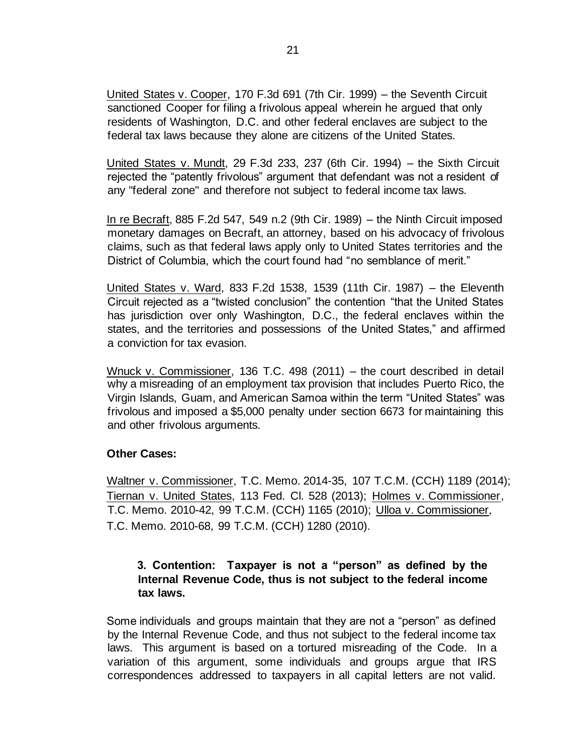United States v. Cooper, 170 F.3d 691 (7th Cir. 1999) – the Seventh Circuit sanctioned Cooper for filing a frivolous appeal wherein he argued that only residents of Washington, D.C. and other federal enclaves are subject to the federal tax laws because they alone are citizens of the United States.

United States v. Mundt, 29 F.3d 233, 237 (6th Cir. 1994) – the Sixth Circuit rejected the "patently frivolous" argument that defendant was not a resident of any "federal zone" and therefore not subject to federal income tax laws.

In re Becraft, 885 F.2d 547, 549 n.2 (9th Cir. 1989) – the Ninth Circuit imposed monetary damages on Becraft, an attorney, based on his advocacy of frivolous claims, such as that federal laws apply only to United States territories and the District of Columbia, which the court found had "no semblance of merit."

United States v. Ward, 833 F.2d 1538, 1539 (11th Cir. 1987) – the Eleventh Circuit rejected as a "twisted conclusion" the contention "that the United States has jurisdiction over only Washington, D.C., the federal enclaves within the states, and the territories and possessions of the United States," and affirmed a conviction for tax evasion.

Wnuck v. Commissioner, 136 T.C. 498 (2011) – the court described in detail why a misreading of an employment tax provision that includes Puerto Rico, the Virgin Islands, Guam, and American Samoa within the term "United States" was frivolous and imposed a \$5,000 penalty under section 6673 for maintaining this and other frivolous arguments.

## **Other Cases:**

Waltner v. Commissioner, T.C. Memo. 2014-35, 107 T.C.M. (CCH) 1189 (2014); Tiernan v. United States, 113 Fed. Cl. 528 (2013); Holmes v. Commissioner, T.C. Memo. 2010-42, 99 T.C.M. (CCH) 1165 (2010); Ulloa v. Commissioner, T.C. Memo. 2010-68, 99 T.C.M. (CCH) 1280 (2010).

## **3. Contention: Taxpayer is not a "person" as defined by the Internal Revenue Code, thus is not subject to the federal income tax laws.**

Some individuals and groups maintain that they are not a "person" as defined by the Internal Revenue Code, and thus not subject to the federal income tax laws. This argument is based on a tortured misreading of the Code. In a variation of this argument, some individuals and groups argue that IRS correspondences addressed to taxpayers in all capital letters are not valid.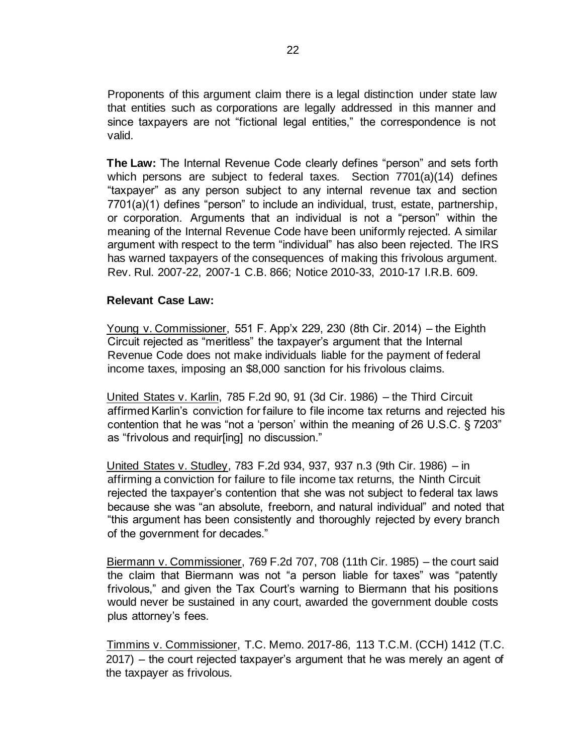Proponents of this argument claim there is a legal distinction under state law that entities such as corporations are legally addressed in this manner and since taxpayers are not "fictional legal entities," the correspondence is not valid.

**The Law:** The Internal Revenue Code clearly defines "person" and sets forth which persons are subject to federal taxes. Section 7701(a)(14) defines "taxpayer" as any person subject to any internal revenue tax and section 7701(a)(1) defines "person" to include an individual, trust, estate, partnership, or corporation. Arguments that an individual is not a "person" within the meaning of the Internal Revenue Code have been uniformly rejected. A similar argument with respect to the term "individual" has also been rejected. The IRS has warned taxpayers of the consequences of making this frivolous argument. Rev. Rul. 2007-22, 2007-1 C.B. 866; Notice 2010-33, 2010-17 I.R.B. 609.

#### **Relevant Case Law:**

Young v. Commissioner, 551 F. App'x 229, 230 (8th Cir. 2014) – the Eighth Circuit rejected as "meritless" the taxpayer's argument that the Internal Revenue Code does not make individuals liable for the payment of federal income taxes, imposing an \$8,000 sanction for his frivolous claims.

United States v. Karlin, 785 F.2d 90, 91 (3d Cir. 1986) – the Third Circuit affirmed Karlin's conviction for failure to file income tax returns and rejected his contention that he was "not a 'person' within the meaning of 26 U.S.C. § 7203" as "frivolous and requir[ing] no discussion."

United States v. Studley, 783 F.2d 934, 937, 937 n.3 (9th Cir. 1986) – in affirming a conviction for failure to file income tax returns, the Ninth Circuit rejected the taxpayer's contention that she was not subject to federal tax laws because she was "an absolute, freeborn, and natural individual" and noted that "this argument has been consistently and thoroughly rejected by every branch of the government for decades."

Biermann v. Commissioner, 769 F.2d 707, 708 (11th Cir. 1985) – the court said the claim that Biermann was not "a person liable for taxes" was "patently frivolous," and given the Tax Court's warning to Biermann that his positions would never be sustained in any court, awarded the government double costs plus attorney's fees.

 Timmins v. Commissioner, T.C. Memo. 2017-86, 113 T.C.M. (CCH) 1412 (T.C. 2017) – the court rejected taxpayer's argument that he was merely an agent of the taxpayer as frivolous.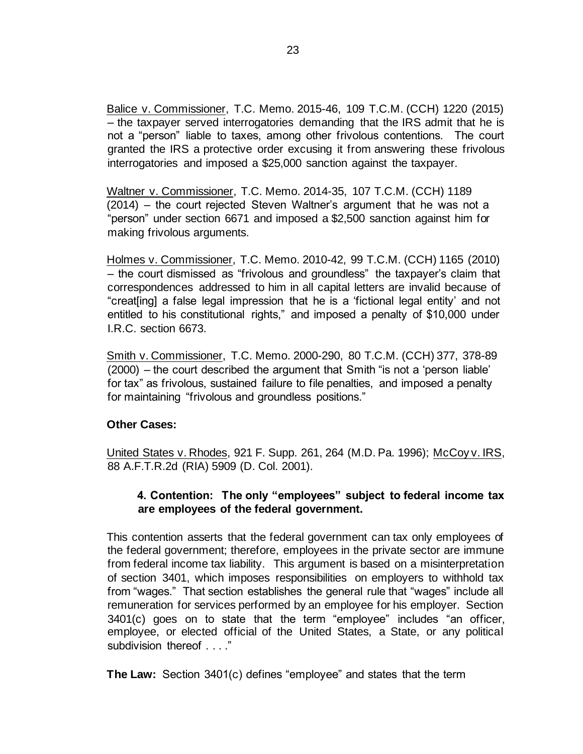Balice v. Commissioner, T.C. Memo. 2015-46, 109 T.C.M. (CCH) 1220 (2015) – the taxpayer served interrogatories demanding that the IRS admit that he is not a "person" liable to taxes, among other frivolous contentions. The court granted the IRS a protective order excusing it from answering these frivolous interrogatories and imposed a \$25,000 sanction against the taxpayer.

Waltner v. Commissioner, T.C. Memo. 2014-35, 107 T.C.M. (CCH) 1189 (2014) – the court rejected Steven Waltner's argument that he was not a "person" under section 6671 and imposed a \$2,500 sanction against him for making frivolous arguments.

Holmes v. Commissioner, T.C. Memo. 2010-42, 99 T.C.M. (CCH) 1165 (2010) – the court dismissed as "frivolous and groundless" the taxpayer's claim that correspondences addressed to him in all capital letters are invalid because of "creat[ing] a false legal impression that he is a 'fictional legal entity' and not entitled to his constitutional rights," and imposed a penalty of \$10,000 under I.R.C. section 6673.

Smith v. Commissioner, T.C. Memo. 2000-290, 80 T.C.M. (CCH) 377, 378-89 (2000) – the court described the argument that Smith "is not a 'person liable' for tax" as frivolous, sustained failure to file penalties, and imposed a penalty for maintaining "frivolous and groundless positions."

## **Other Cases:**

United States v. Rhodes, 921 F. Supp. 261, 264 (M.D. Pa. 1996); McCoy v. IRS, 88 A.F.T.R.2d (RIA) 5909 (D. Col. 2001).

## **4. Contention: The only "employees" subject to federal income tax are employees of the federal government.**

This contention asserts that the federal government can tax only employees of the federal government; therefore, employees in the private sector are immune from federal income tax liability. This argument is based on a misinterpretation of section 3401, which imposes responsibilities on employers to withhold tax from "wages." That section establishes the general rule that "wages" include all remuneration for services performed by an employee for his employer. Section 3401(c) goes on to state that the term "employee" includes "an officer, employee, or elected official of the United States, a State, or any political subdivision thereof . . . ."

**The Law:** Section 3401(c) defines "employee" and states that the term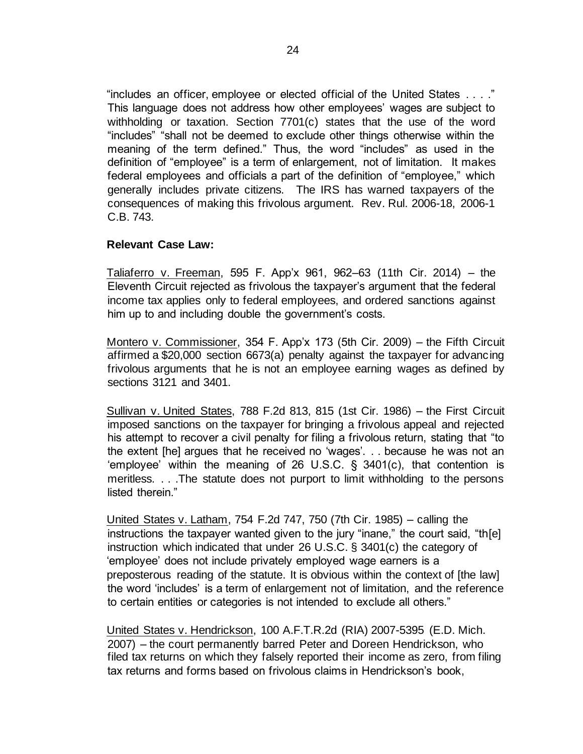"includes an officer, employee or elected official of the United States . . . ." This language does not address how other employees' wages are subject to withholding or taxation. Section 7701(c) states that the use of the word "includes" "shall not be deemed to exclude other things otherwise within the meaning of the term defined." Thus, the word "includes" as used in the definition of "employee" is a term of enlargement, not of limitation. It makes federal employees and officials a part of the definition of "employee," which generally includes private citizens. The IRS has warned taxpayers of the consequences of making this frivolous argument. [Rev.](http://www.irs.gov/irb/2006-15_IRB/ar07.html) [Rul.](http://www.irs.gov/irb/2006-15_IRB/ar07.html) [2006-18,](http://www.irs.gov/irb/2006-15_IRB/ar07.html) 2006-1 C.B. 743.

#### **Relevant Case Law:**

Taliaferro v. Freeman, 595 F. App'x 961, 962–63 (11th Cir. 2014) – the Eleventh Circuit rejected as frivolous the taxpayer's argument that the federal income tax applies only to federal employees, and ordered sanctions against him up to and including double the government's costs.

Montero v. Commissioner, 354 F. App'x 173 (5th Cir. 2009) – the Fifth Circuit affirmed a \$20,000 section 6673(a) penalty against the taxpayer for advancing frivolous arguments that he is not an employee earning wages as defined by sections 3121 and 3401.

Sullivan v. United States, 788 F.2d 813, 815 (1st Cir. 1986) – the First Circuit imposed sanctions on the taxpayer for bringing a frivolous appeal and rejected his attempt to recover a civil penalty for filing a frivolous return, stating that "to the extent [he] argues that he received no 'wages'. . . because he was not an 'employee' within the meaning of 26 U.S.C. § 3401(c), that contention is meritless. . . .The statute does not purport to limit withholding to the persons listed therein."

United States v. Latham, 754 F.2d 747, 750 (7th Cir. 1985) – calling the instructions the taxpayer wanted given to the jury "inane," the court said, "th[e] instruction which indicated that under 26 U.S.C. § 3401(c) the category of 'employee' does not include privately employed wage earners is a preposterous reading of the statute. It is obvious within the context of [the law] the word 'includes' is a term of enlargement not of limitation, and the reference to certain entities or categories is not intended to exclude all others."

United States v. Hendrickson, 100 A.F.T.R.2d (RIA) 2007-5395 (E.D. Mich. 2007) – the court permanently barred Peter and Doreen Hendrickson, who filed tax returns on which they falsely reported their income as zero, from filing tax returns and forms based on frivolous claims in Hendrickson's book,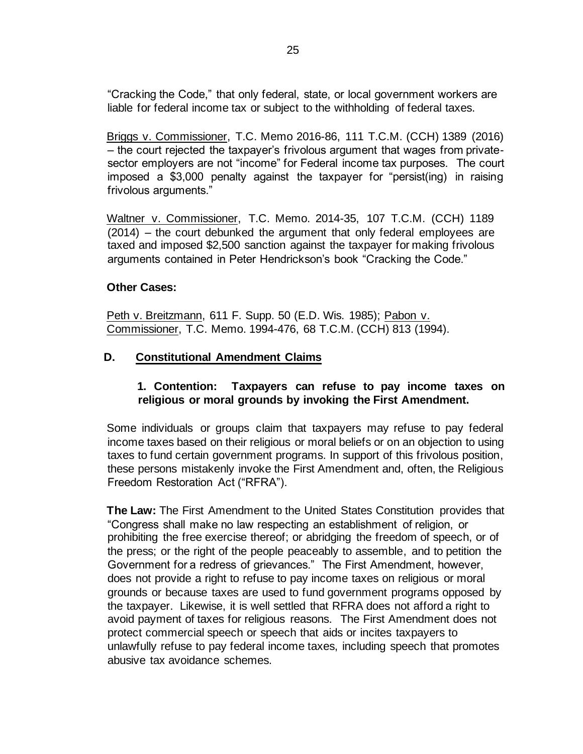"Cracking the Code," that only federal, state, or local government workers are liable for federal income tax or subject to the withholding of federal taxes.

Briggs v. Commissioner, T.C. Memo 2016-86, 111 T.C.M. (CCH) 1389 (2016) – the court rejected the taxpayer's frivolous argument that wages from privatesector employers are not "income" for Federal income tax purposes. The court imposed a \$3,000 penalty against the taxpayer for "persist(ing) in raising frivolous arguments."

Waltner v. Commissioner, T.C. Memo. 2014-35, 107 T.C.M. (CCH) 1189 (2014) – the court debunked the argument that only federal employees are taxed and imposed \$2,500 sanction against the taxpayer for making frivolous arguments contained in Peter Hendrickson's book "Cracking the Code."

#### **Other Cases:**

Peth v. Breitzmann, 611 F. Supp. 50 (E.D. Wis. 1985); Pabon v. Commissioner, T.C. Memo. 1994-476, 68 T.C.M. (CCH) 813 (1994).

## **D. Constitutional Amendment Claims**

## **1. Contention: Taxpayers can refuse to pay income taxes on religious or moral grounds by invoking the First Amendment.**

Some individuals or groups claim that taxpayers may refuse to pay federal income taxes based on their religious or moral beliefs or on an objection to using taxes to fund certain government programs. In support of this frivolous position, these persons mistakenly invoke the First Amendment and, often, the Religious Freedom Restoration Act ("RFRA").

**The Law:** The First Amendment to the United States Constitution provides that "Congress shall make no law respecting an establishment of religion, or prohibiting the free exercise thereof; or abridging the freedom of speech, or of the press; or the right of the people peaceably to assemble, and to petition the Government for a redress of grievances." The First Amendment, however, does not provide a right to refuse to pay income taxes on religious or moral grounds or because taxes are used to fund government programs opposed by the taxpayer. Likewise, it is well settled that RFRA does not afford a right to avoid payment of taxes for religious reasons. The First Amendment does not protect commercial speech or speech that aids or incites taxpayers to unlawfully refuse to pay federal income taxes, including speech that promotes abusive tax avoidance schemes.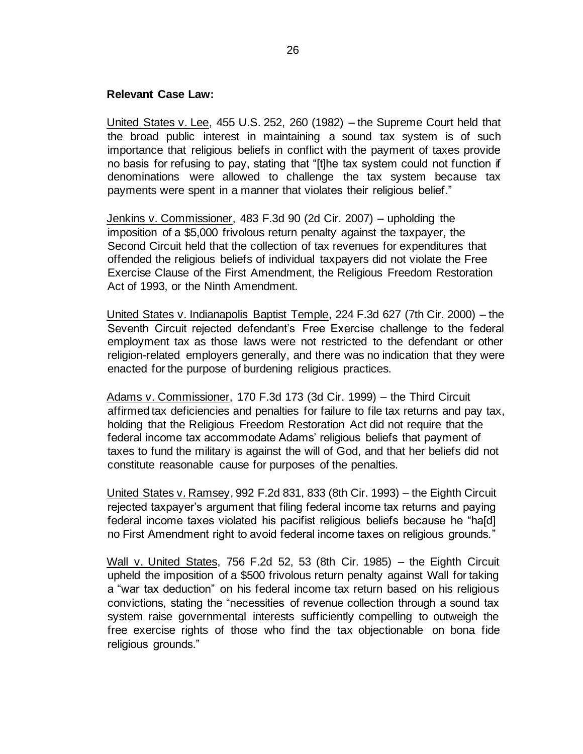#### **Relevant Case Law:**

United States v. Lee, 455 U.S. 252, 260 (1982) – the Supreme Court held that the broad public interest in maintaining a sound tax system is of such importance that religious beliefs in conflict with the payment of taxes provide no basis for refusing to pay, stating that "[t]he tax system could not function if denominations were allowed to challenge the tax system because tax payments were spent in a manner that violates their religious belief."

Jenkins v. Commissioner, 483 F.3d 90 (2d Cir. 2007) – upholding the imposition of a \$5,000 frivolous return penalty against the taxpayer, the Second Circuit held that the collection of tax revenues for expenditures that offended the religious beliefs of individual taxpayers did not violate the Free Exercise Clause of the First Amendment, the Religious Freedom Restoration Act of 1993, or the Ninth Amendment.

United States v. Indianapolis Baptist Temple, 224 F.3d 627 (7th Cir. 2000) – the Seventh Circuit rejected defendant's Free Exercise challenge to the federal employment tax as those laws were not restricted to the defendant or other religion-related employers generally, and there was no indication that they were enacted for the purpose of burdening religious practices.

Adams v. Commissioner, 170 F.3d 173 (3d Cir. 1999) – the Third Circuit affirmed tax deficiencies and penalties for failure to file tax returns and pay tax, holding that the Religious Freedom Restoration Act did not require that the federal income tax accommodate Adams' religious beliefs that payment of taxes to fund the military is against the will of God, and that her beliefs did not constitute reasonable cause for purposes of the penalties.

United States v. Ramsey, 992 F.2d 831, 833 (8th Cir. 1993) – the Eighth Circuit rejected taxpayer's argument that filing federal income tax returns and paying federal income taxes violated his pacifist religious beliefs because he "ha[d] no First Amendment right to avoid federal income taxes on religious grounds."

Wall v. United States, 756 F.2d 52, 53 (8th Cir. 1985) – the Eighth Circuit upheld the imposition of a \$500 frivolous return penalty against Wall for taking a "war tax deduction" on his federal income tax return based on his religious convictions, stating the "necessities of revenue collection through a sound tax system raise governmental interests sufficiently compelling to outweigh the free exercise rights of those who find the tax objectionable on bona fide religious grounds."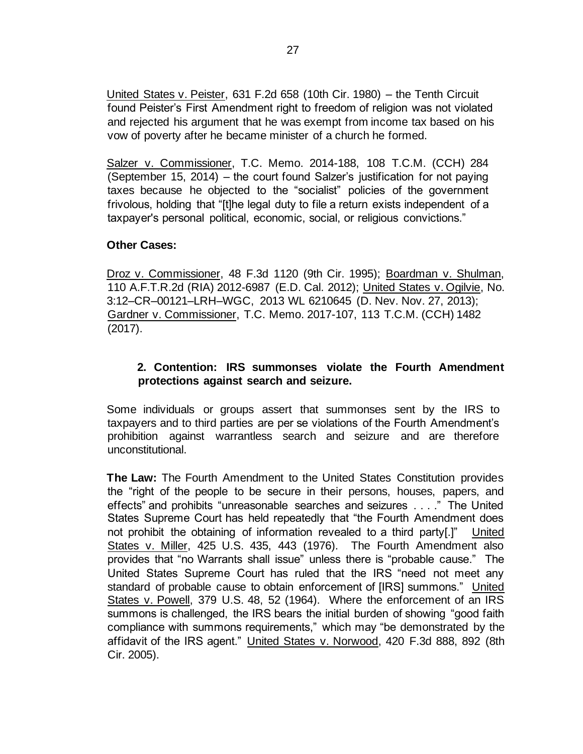United States v. Peister, 631 F.2d 658 (10th Cir. 1980) – the Tenth Circuit found Peister's First Amendment right to freedom of religion was not violated and rejected his argument that he was exempt from income tax based on his vow of poverty after he became minister of a church he formed.

Salzer v. Commissioner, T.C. Memo. 2014-188, 108 T.C.M. (CCH) 284 (September 15, 2014) – the court found Salzer's justification for not paying taxes because he objected to the "socialist" policies of the government frivolous, holding that "[t]he legal duty to file a return exists independent of a taxpayer's personal political, economic, social, or religious convictions."

## **Other Cases:**

Droz v. Commissioner, 48 F.3d 1120 (9th Cir. 1995); Boardman v. Shulman, 110 A.F.T.R.2d (RIA) 2012-6987 (E.D. Cal. 2012); United States v. Ogilvie, No. 3:12–CR–00121–LRH–WGC, 2013 WL 6210645 (D. Nev. Nov. 27, 2013); Gardner v. Commissioner, T.C. Memo. 2017-107, 113 T.C.M. (CCH) 1482 (2017).

## **2. Contention: IRS summonses violate the Fourth Amendment protections against search and seizure.**

Some individuals or groups assert that summonses sent by the IRS to taxpayers and to third parties are per se violations of the Fourth Amendment's prohibition against warrantless search and seizure and are therefore unconstitutional.

**The Law:** The Fourth Amendment to the United States Constitution provides the "right of the people to be secure in their persons, houses, papers, and effects" and prohibits "unreasonable searches and seizures . . . ." The United States Supreme Court has held repeatedly that "the Fourth Amendment does not prohibit the obtaining of information revealed to a third party[.]" United States v. Miller, 425 U.S. 435, 443 (1976). The Fourth Amendment also provides that "no Warrants shall issue" unless there is "probable cause." The United States Supreme Court has ruled that the IRS "need not meet any standard of probable cause to obtain enforcement of [IRS] summons." United States v. Powell, 379 U.S. 48, 52 (1964). Where the enforcement of an IRS summons is challenged, the IRS bears the initial burden of showing "good faith compliance with summons requirements," which may "be demonstrated by the affidavit of the IRS agent." United States v. Norwood, 420 F.3d 888, 892 (8th Cir. 2005).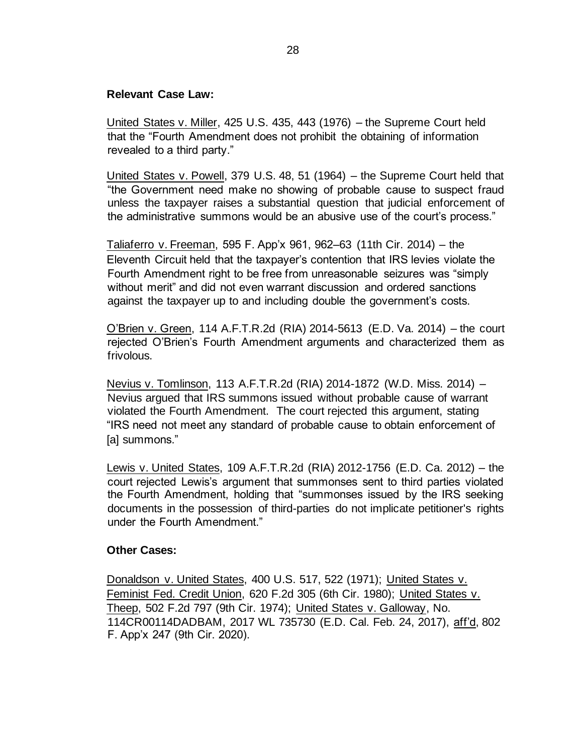#### **Relevant Case Law:**

United States v. Miller, 425 U.S. 435, 443 (1976) – the Supreme Court held that the "Fourth Amendment does not prohibit the obtaining of information revealed to a third party."

United States v. Powell, 379 U.S. 48, 51 (1964) – the Supreme Court held that "the Government need make no showing of probable cause to suspect fraud unless the taxpayer raises a substantial question that judicial enforcement of the administrative summons would be an abusive use of the court's process."

Taliaferro v. Freeman, 595 F. App'x 961, 962–63 (11th Cir. 2014) – the Eleventh Circuit held that the taxpayer's contention that IRS levies violate the Fourth Amendment right to be free from unreasonable seizures was "simply without merit" and did not even warrant discussion and ordered sanctions against the taxpayer up to and including double the government's costs.

O'Brien v. Green, 114 A.F.T.R.2d (RIA) 2014-5613 (E.D. Va. 2014) – the court rejected O'Brien's Fourth Amendment arguments and characterized them as frivolous.

Nevius v. Tomlinson, 113 A.F.T.R.2d (RIA) 2014-1872 (W.D. Miss. 2014) – Nevius argued that IRS summons issued without probable cause of warrant violated the Fourth Amendment. The court rejected this argument, stating "IRS need not meet any standard of probable cause to obtain enforcement of [a] summons."

Lewis v. United States, 109 A.F.T.R.2d (RIA) 2012-1756 (E.D. Ca. 2012) – the court rejected Lewis's argument that summonses sent to third parties violated the Fourth Amendment, holding that "summonses issued by the IRS seeking documents in the possession of third-parties do not implicate petitioner's rights under the Fourth Amendment."

## **Other Cases:**

Donaldson v. United States, 400 U.S. 517, 522 (1971); United States v. Feminist Fed. Credit Union, 620 F.2d 305 (6th Cir. 1980); United States v. Theep, 502 F.2d 797 (9th Cir. 1974); United States v. Galloway, No. 114CR00114DADBAM, 2017 WL 735730 (E.D. Cal. Feb. 24, 2017), aff'd, 802 F. App'x 247 (9th Cir. 2020).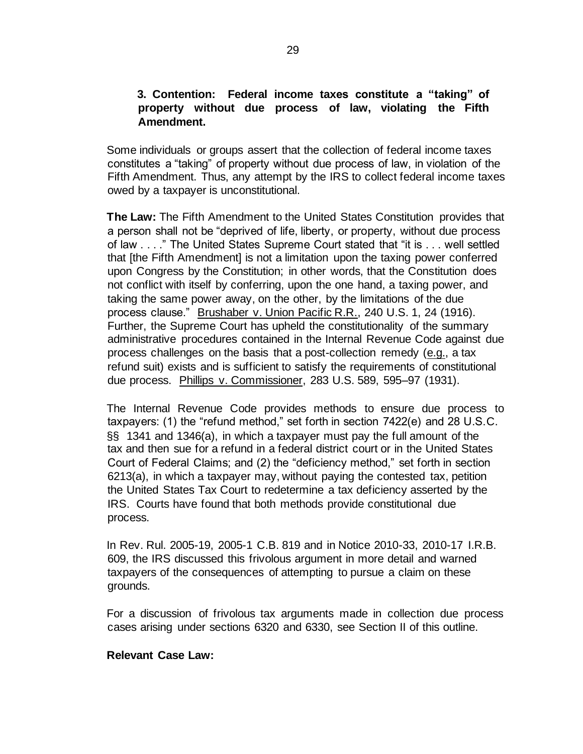#### **3. Contention: Federal income taxes constitute a "taking" of property without due process of law, violating the Fifth Amendment.**

Some individuals or groups assert that the collection of federal income taxes constitutes a "taking" of property without due process of law, in violation of the Fifth Amendment. Thus, any attempt by the IRS to collect federal income taxes owed by a taxpayer is unconstitutional.

**The Law:** The Fifth Amendment to the United States Constitution provides that a person shall not be "deprived of life, liberty, or property, without due process of law . . . ." The United States Supreme Court stated that "it is . . . well settled that [the Fifth Amendment] is not a limitation upon the taxing power conferred upon Congress by the Constitution; in other words, that the Constitution does not conflict with itself by conferring, upon the one hand, a taxing power, and taking the same power away, on the other, by the limitations of the due process clause." Brushaber v. Union Pacific R.R., 240 U.S. 1, 24 (1916). Further, the Supreme Court has upheld the constitutionality of the summary administrative procedures contained in the Internal Revenue Code against due process challenges on the basis that a post-collection remedy (e.g., a tax refund suit) exists and is sufficient to satisfy the requirements of constitutional due process. Phillips v. Commissioner, 283 U.S. 589, 595–97 (1931).

The Internal Revenue Code provides methods to ensure due process to taxpayers: (1) the "refund method," set forth in section 7422(e) and 28 U.S.C. §§ 1341 and 1346(a), in which a taxpayer must pay the full amount of the tax and then sue for a refund in a federal district court or in the United States Court of Federal Claims; and (2) the "deficiency method," set forth in section 6213(a), in which a taxpayer may, without paying the contested tax, petition the United States Tax Court to redetermine a tax deficiency asserted by the IRS. Courts have found that both methods provide constitutional due process.

In [Rev. Rul. 2005-19,](https://www.irs.gov/irb/2005-14_IRB#RR-2005-19) [2](http://www.irs.gov/irb/2005-14_IRB/ar11.html)005-1 C.B. 819 and in Notice 2010-33, 2010-17 I.R.B. 609, the IRS discussed this frivolous argument in more detail and warned taxpayers of the consequences of attempting to pursue a claim on these grounds.

For a discussion of frivolous tax arguments made in collection due process cases arising under sections 6320 and 6330, see Section II of this outline.

## **Relevant Case Law:**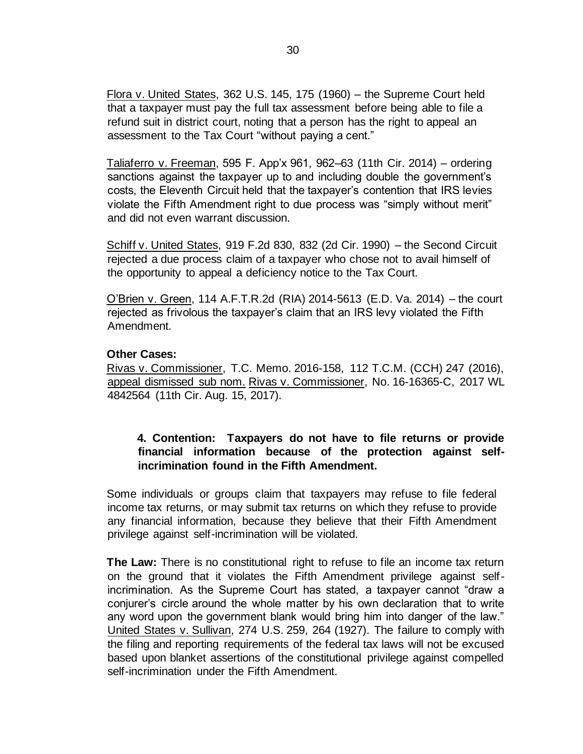Flora v. United States, 362 U.S. 145, 175 (1960) – the Supreme Court held that a taxpayer must pay the full tax assessment before being able to file a refund suit in district court, noting that a person has the right to appeal an assessment to the Tax Court "without paying a cent."

Taliaferro v. Freeman, 595 F. App'x 961, 962–63 (11th Cir. 2014) – ordering sanctions against the taxpayer up to and including double the government's costs, the Eleventh Circuit held that the taxpayer's contention that IRS levies violate the Fifth Amendment right to due process was "simply without merit" and did not even warrant discussion.

Schiff v. United States, 919 F.2d 830, 832 (2d Cir. 1990) – the Second Circuit rejected a due process claim of a taxpayer who chose not to avail himself of the opportunity to appeal a deficiency notice to the Tax Court.

O'Brien v. Green, 114 A.F.T.R.2d (RIA) 2014-5613 (E.D. Va. 2014) – the court rejected as frivolous the taxpayer's claim that an IRS levy violated the Fifth Amendment.

## **Other Cases:**

Rivas v. Commissioner, T.C. Memo. 2016-158, 112 T.C.M. (CCH) 247 (2016), appeal dismissed sub nom. Rivas v. Commissioner, No. 16-16365-C, 2017 WL 4842564 (11th Cir. Aug. 15, 2017).

## **4. Contention: Taxpayers do not have to file returns or provide financial information because of the protection against selfincrimination found in the Fifth Amendment.**

Some individuals or groups claim that taxpayers may refuse to file federal income tax returns, or may submit tax returns on which they refuse to provide any financial information, because they believe that their Fifth Amendment privilege against self-incrimination will be violated.

**The Law:** There is no constitutional right to refuse to file an income tax return on the ground that it violates the Fifth Amendment privilege against selfincrimination. As the Supreme Court has stated, a taxpayer cannot "draw a conjurer's circle around the whole matter by his own declaration that to write any word upon the government blank would bring him into danger of the law." United States v. Sullivan, 274 U.S. 259, 264 (1927). The failure to comply with the filing and reporting requirements of the federal tax laws will not be excused based upon blanket assertions of the constitutional privilege against compelled self-incrimination under the Fifth Amendment.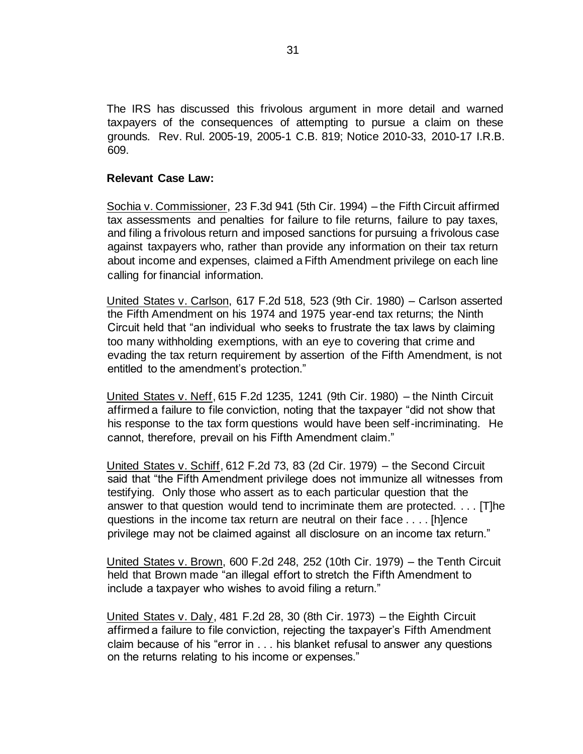The IRS has discussed this frivolous argument in more detail and warned taxpayers of the consequences of attempting to pursue a claim on these grounds.[Rev. Rul. 2005-19,](https://www.irs.gov/irb/2005-14_IRB#RR-2005-19) [2](http://www.irs.gov/irb/2005-14_IRB/ar11.html)005-1 C.B. 819; Notice 2010-33, 2010-17 I.R.B. 609.

#### **Relevant Case Law:**

Sochia v. Commissioner, 23 F.3d 941 (5th Cir. 1994) – the Fifth Circuit affirmed tax assessments and penalties for failure to file returns, failure to pay taxes, and filing a frivolous return and imposed sanctions for pursuing a frivolous case against taxpayers who, rather than provide any information on their tax return about income and expenses, claimed a Fifth Amendment privilege on each line calling for financial information.

United States v. Carlson, 617 F.2d 518, 523 (9th Cir. 1980) – Carlson asserted the Fifth Amendment on his 1974 and 1975 year-end tax returns; the Ninth Circuit held that "an individual who seeks to frustrate the tax laws by claiming too many withholding exemptions, with an eye to covering that crime and evading the tax return requirement by assertion of the Fifth Amendment, is not entitled to the amendment's protection."

United States v. Neff, 615 F.2d 1235, 1241 (9th Cir. 1980) – the Ninth Circuit affirmed a failure to file conviction, noting that the taxpayer "did not show that his response to the tax form questions would have been self-incriminating. He cannot, therefore, prevail on his Fifth Amendment claim."

United States v. Schiff, 612 F.2d 73, 83 (2d Cir. 1979) – the Second Circuit said that "the Fifth Amendment privilege does not immunize all witnesses from testifying. Only those who assert as to each particular question that the answer to that question would tend to incriminate them are protected. . . . [T]he questions in the income tax return are neutral on their face . . . . [h]ence privilege may not be claimed against all disclosure on an income tax return."

United States v. Brown, 600 F.2d 248, 252 (10th Cir. 1979) – the Tenth Circuit held that Brown made "an illegal effort to stretch the Fifth Amendment to include a taxpayer who wishes to avoid filing a return."

United States v. Daly, 481 F.2d 28, 30 (8th Cir. 1973) – the Eighth Circuit affirmed a failure to file conviction, rejecting the taxpayer's Fifth Amendment claim because of his "error in . . . his blanket refusal to answer any questions on the returns relating to his income or expenses."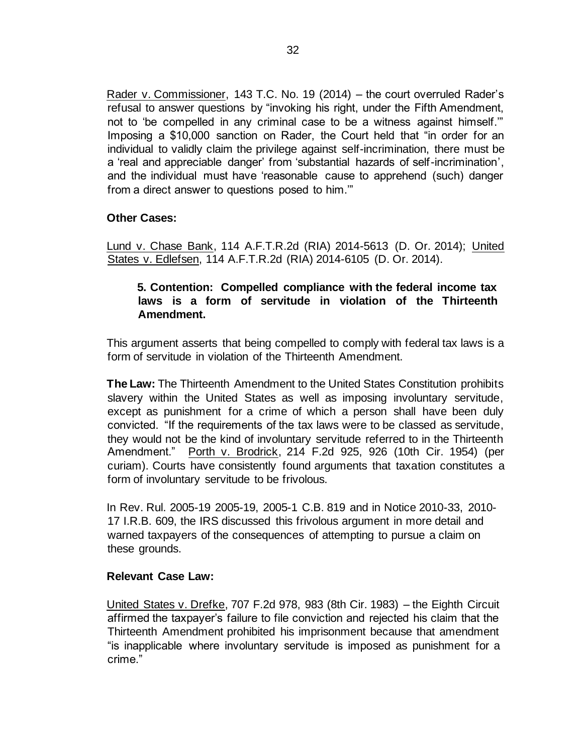Rader v. Commissioner, 143 T.C. No. 19 (2014) – the court overruled Rader's refusal to answer questions by "invoking his right, under the Fifth Amendment, not to 'be compelled in any criminal case to be a witness against himself.'" Imposing a \$10,000 sanction on Rader, the Court held that "in order for an individual to validly claim the privilege against self-incrimination, there must be a 'real and appreciable danger' from 'substantial hazards of self-incrimination', and the individual must have 'reasonable cause to apprehend (such) danger from a direct answer to questions posed to him.'"

## **Other Cases:**

Lund v. Chase Bank, 114 A.F.T.R.2d (RIA) 2014-5613 (D. Or. 2014); United States v. Edlefsen, 114 A.F.T.R.2d (RIA) 2014-6105 (D. Or. 2014).

## **5. Contention: Compelled compliance with the federal income tax laws is a form of servitude in violation of the Thirteenth Amendment.**

This argument asserts that being compelled to comply with federal tax laws is a form of servitude in violation of the Thirteenth Amendment.

**The Law:** The Thirteenth Amendment to the United States Constitution prohibits slavery within the United States as well as imposing involuntary servitude, except as punishment for a crime of which a person shall have been duly convicted. "If the requirements of the tax laws were to be classed as servitude, they would not be the kind of involuntary servitude referred to in the Thirteenth Amendment." Porth v. Brodrick, 214 F.2d 925, 926 (10th Cir. 1954) (per curiam). Courts have consistently found arguments that taxation constitutes a form of involuntary servitude to be frivolous.

In [Rev. Rul. 2005-19](https://www.irs.gov/irb/2005-14_IRB#RR-2005-19) [2005](https://www.irs.gov/irb/2005-14_IRB#RR-2005-19)[-19,](http://www.irs.gov/irb/2005-14_IRB/ar11.html) [2](http://www.irs.gov/irb/2005-14_IRB/ar11.html)005-1 C.B. 819 and in Notice 2010-33, 2010- 17 I.R.B. 609, the IRS discussed this frivolous argument in more detail and warned taxpayers of the consequences of attempting to pursue a claim on these grounds.

## **Relevant Case Law:**

United States v. Drefke, 707 F.2d 978, 983 (8th Cir. 1983) – the Eighth Circuit affirmed the taxpayer's failure to file conviction and rejected his claim that the Thirteenth Amendment prohibited his imprisonment because that amendment "is inapplicable where involuntary servitude is imposed as punishment for a crime."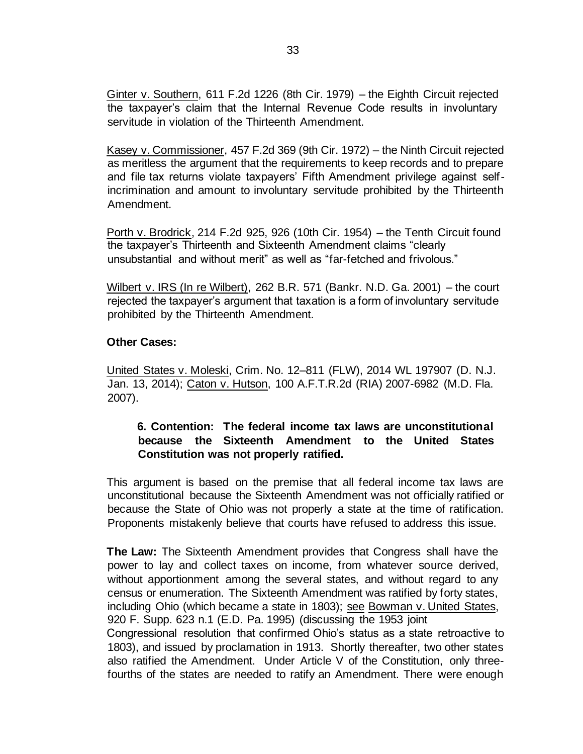Ginter v. Southern, 611 F.2d 1226 (8th Cir. 1979) – the Eighth Circuit rejected the taxpayer's claim that the Internal Revenue Code results in involuntary servitude in violation of the Thirteenth Amendment.

Kasey v. Commissioner, 457 F.2d 369 (9th Cir. 1972) – the Ninth Circuit rejected as meritless the argument that the requirements to keep records and to prepare and file tax returns violate taxpayers' Fifth Amendment privilege against selfincrimination and amount to involuntary servitude prohibited by the Thirteenth Amendment.

Porth v. Brodrick, 214 F.2d 925, 926 (10th Cir. 1954) – the Tenth Circuit found the taxpayer's Thirteenth and Sixteenth Amendment claims "clearly unsubstantial and without merit" as well as "far-fetched and frivolous."

Wilbert v. IRS (In re Wilbert), 262 B.R. 571 (Bankr. N.D. Ga. 2001) – the court rejected the taxpayer's argument that taxation is a form of involuntary servitude prohibited by the Thirteenth Amendment.

## **Other Cases:**

United States v. Moleski, Crim. No. 12–811 (FLW), 2014 WL 197907 (D. N.J. Jan. 13, 2014); Caton v. Hutson, 100 A.F.T.R.2d (RIA) 2007-6982 (M.D. Fla. 2007).

## **6. Contention: The federal income tax laws are unconstitutional because the Sixteenth Amendment to the United States Constitution was not properly ratified.**

This argument is based on the premise that all federal income tax laws are unconstitutional because the Sixteenth Amendment was not officially ratified or because the State of Ohio was not properly a state at the time of ratification. Proponents mistakenly believe that courts have refused to address this issue.

**The Law:** The Sixteenth Amendment provides that Congress shall have the power to lay and collect taxes on income, from whatever source derived, without apportionment among the several states, and without regard to any census or enumeration. The Sixteenth Amendment was ratified by forty states, including Ohio (which became a state in 1803); see Bowman v. United States, 920 F. Supp. 623 n.1 (E.D. Pa. 1995) (discussing the 1953 joint Congressional resolution that confirmed Ohio's status as a state retroactive to 1803), and issued by proclamation in 1913. Shortly thereafter, two other states also ratified the Amendment. Under Article V of the Constitution, only threefourths of the states are needed to ratify an Amendment. There were enough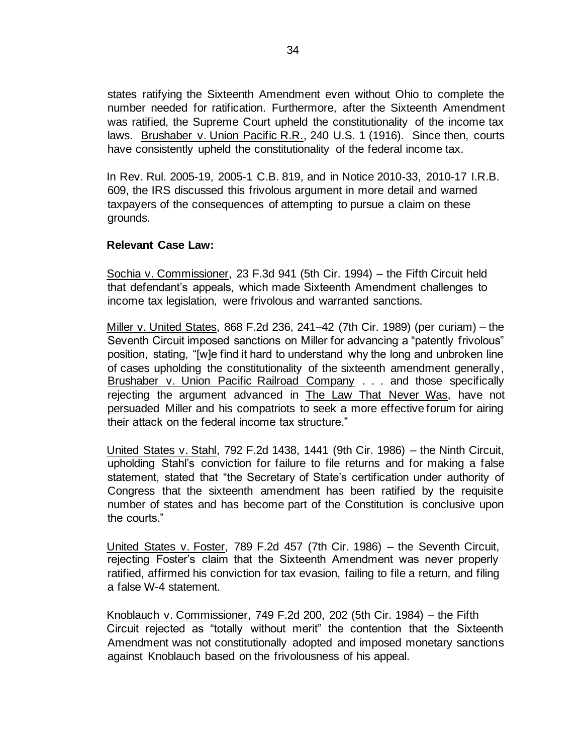states ratifying the Sixteenth Amendment even without Ohio to complete the number needed for ratification. Furthermore, after the Sixteenth Amendment was ratified, the Supreme Court upheld the constitutionality of the income tax laws. Brushaber v. Union Pacific R.R., 240 U.S. 1 (1916). Since then, courts have consistently upheld the constitutionality of the federal income tax.

In [Rev.](http://www.irs.gov/irb/2005-14_IRB/ar11.html) [Rul.](http://www.irs.gov/irb/2005-14_IRB/ar11.html) [2005](https://www.irs.gov/irb/2005-14_IRB#RR-2005-19)[-19,](http://www.irs.gov/irb/2005-14_IRB/ar11.html) [2](http://www.irs.gov/irb/2005-14_IRB/ar11.html)005-1 C.B. 819, and in Notice 2010-33, 2010-17 I.R.B. 609, the IRS discussed this frivolous argument in more detail and warned taxpayers of the consequences of attempting to pursue a claim on these grounds.

### **Relevant Case Law:**

Sochia v. Commissioner, 23 F.3d 941 (5th Cir. 1994) – the Fifth Circuit held that defendant's appeals, which made Sixteenth Amendment challenges to income tax legislation, were frivolous and warranted sanctions.

Miller v. United States, 868 F.2d 236, 241–42 (7th Cir. 1989) (per curiam) – the Seventh Circuit imposed sanctions on Miller for advancing a "patently frivolous" position, stating, "[w]e find it hard to understand why the long and unbroken line of cases upholding the constitutionality of the sixteenth amendment generally, Brushaber v. Union Pacific Railroad Company . . . and those specifically rejecting the argument advanced in The Law That Never Was, have not persuaded Miller and his compatriots to seek a more effective forum for airing their attack on the federal income tax structure."

United States v. Stahl, 792 F.2d 1438, 1441 (9th Cir. 1986) – the Ninth Circuit, upholding Stahl's conviction for failure to file returns and for making a false statement, stated that "the Secretary of State's certification under authority of Congress that the sixteenth amendment has been ratified by the requisite number of states and has become part of the Constitution is conclusive upon the courts."

United States v. Foster, 789 F.2d 457 (7th Cir. 1986) – the Seventh Circuit, rejecting Foster's claim that the Sixteenth Amendment was never properly ratified, affirmed his conviction for tax evasion, failing to file a return, and filing a false W-4 statement.

Knoblauch v. Commissioner, 749 F.2d 200, 202 (5th Cir. 1984) – the Fifth Circuit rejected as "totally without merit" the contention that the Sixteenth Amendment was not constitutionally adopted and imposed monetary sanctions against Knoblauch based on the frivolousness of his appeal.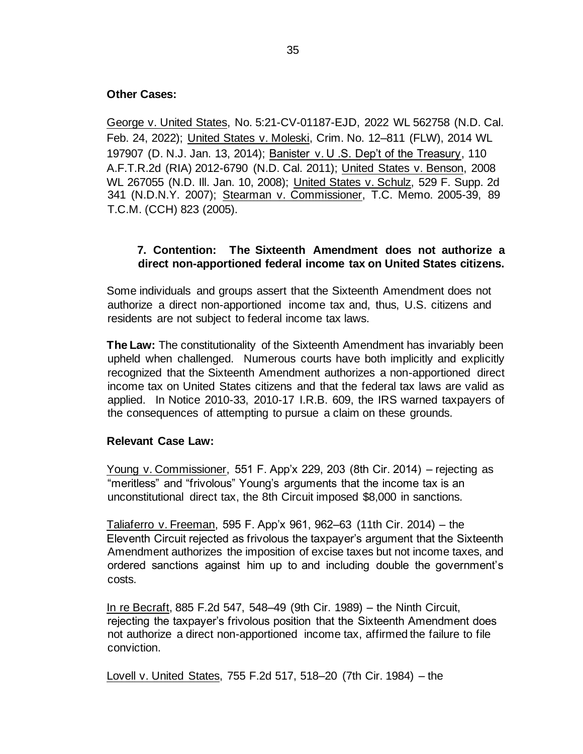### **Other Cases:**

George v. United States, No. 5:21-CV-01187-EJD, 2022 WL 562758 (N.D. Cal. Feb. 24, 2022); United States v. Moleski, Crim. No. 12–811 (FLW), 2014 WL 197907 (D. N.J. Jan. 13, 2014); Banister v. U .S. Dep't of the Treasury, 110 A.F.T.R.2d (RIA) 2012-6790 (N.D. Cal. 2011); United States v. Benson, 2008 WL 267055 (N.D. Ill. Jan. 10, 2008); [United States v. Schulz](https://www.justice.gov/archive/tax/Schultz_OrderIinContempt.pdf)[,](http://www.cheatingfrenzy.com/schulz30.pdf) 529 F. Supp. 2d 341 (N.D.N.Y. 2007); Stearman v. Commissioner, T.C. Memo. 2005-39, 89 T.C.M. (CCH) 823 (2005).

## **7. Contention: The Sixteenth Amendment does not authorize a direct non-apportioned federal income tax on United States citizens.**

Some individuals and groups assert that the Sixteenth Amendment does not authorize a direct non-apportioned income tax and, thus, U.S. citizens and residents are not subject to federal income tax laws.

**The Law:** The constitutionality of the Sixteenth Amendment has invariably been upheld when challenged. Numerous courts have both implicitly and explicitly recognized that the Sixteenth Amendment authorizes a non-apportioned direct income tax on United States citizens and that the federal tax laws are valid as applied. In Notice 2010-33, 2010-17 I.R.B. 609, the IRS warned taxpayers of the consequences of attempting to pursue a claim on these grounds.

#### **Relevant Case Law:**

Young v. Commissioner, 551 F. App'x 229, 203 (8th Cir. 2014) – rejecting as "meritless" and "frivolous" Young's arguments that the income tax is an unconstitutional direct tax, the 8th Circuit imposed \$8,000 in sanctions.

Taliaferro v. Freeman, 595 F. App'x 961, 962–63 (11th Cir. 2014) – the Eleventh Circuit rejected as frivolous the taxpayer's argument that the Sixteenth Amendment authorizes the imposition of excise taxes but not income taxes, and ordered sanctions against him up to and including double the government's costs.

In re Becraft, 885 F.2d 547, 548–49 (9th Cir. 1989) – the Ninth Circuit, rejecting the taxpayer's frivolous position that the Sixteenth Amendment does not authorize a direct non-apportioned income tax, affirmed the failure to file conviction.

Lovell v. United States, 755 F.2d 517, 518–20 (7th Cir. 1984) – the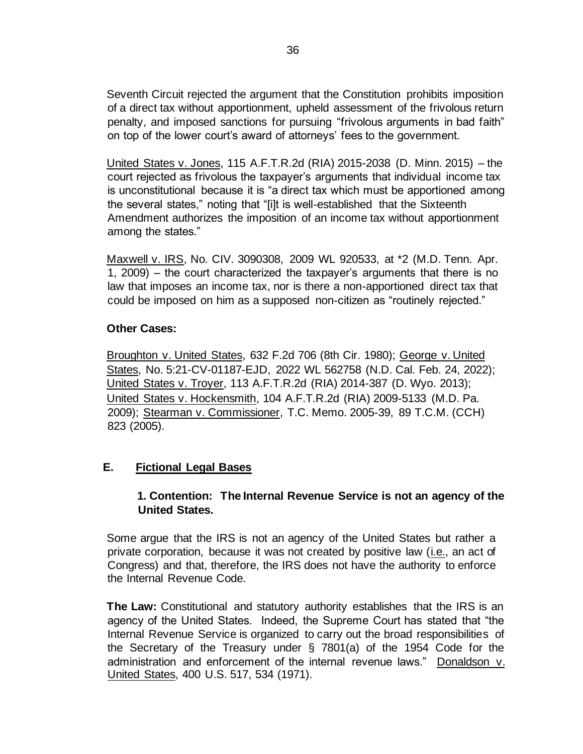Seventh Circuit rejected the argument that the Constitution prohibits imposition of a direct tax without apportionment, upheld assessment of the frivolous return penalty, and imposed sanctions for pursuing "frivolous arguments in bad faith" on top of the lower court's award of attorneys' fees to the government.

United States v. Jones, 115 A.F.T.R.2d (RIA) 2015-2038 (D. Minn. 2015) – the court rejected as frivolous the taxpayer's arguments that individual income tax is unconstitutional because it is "a direct tax which must be apportioned among the several states," noting that "[i]t is well-established that the Sixteenth Amendment authorizes the imposition of an income tax without apportionment among the states."

Maxwell v. IRS, No. CIV. 3090308, 2009 WL 920533, at \*2 (M.D. Tenn. Apr. 1, 2009) – the court characterized the taxpayer's arguments that there is no law that imposes an income tax, nor is there a non-apportioned direct tax that could be imposed on him as a supposed non-citizen as "routinely rejected."

### **Other Cases:**

Broughton v. United States, 632 F.2d 706 (8th Cir. 1980); George v. United States, No. 5:21-CV-01187-EJD, 2022 WL 562758 (N.D. Cal. Feb. 24, 2022); United States v. Troyer, 113 A.F.T.R.2d (RIA) 2014-387 (D. Wyo. 2013); United States v. Hockensmith, 104 A.F.T.R.2d (RIA) 2009-5133 (M.D. Pa. 2009); Stearman v. Commissioner, T.C. Memo. 2005-39, 89 T.C.M. (CCH) 823 (2005).

## **E. Fictional Legal Bases**

## **1. Contention: The Internal Revenue Service is not an agency of the United States.**

Some argue that the IRS is not an agency of the United States but rather a private corporation, because it was not created by positive law (i.e., an act of Congress) and that, therefore, the IRS does not have the authority to enforce the Internal Revenue Code.

**The Law:** Constitutional and statutory authority establishes that the IRS is an agency of the United States. Indeed, the Supreme Court has stated that "the Internal Revenue Service is organized to carry out the broad responsibilities of the Secretary of the Treasury under § 7801(a) of the 1954 Code for the administration and enforcement of the internal revenue laws." Donaldson v. United States, 400 U.S. 517, 534 (1971).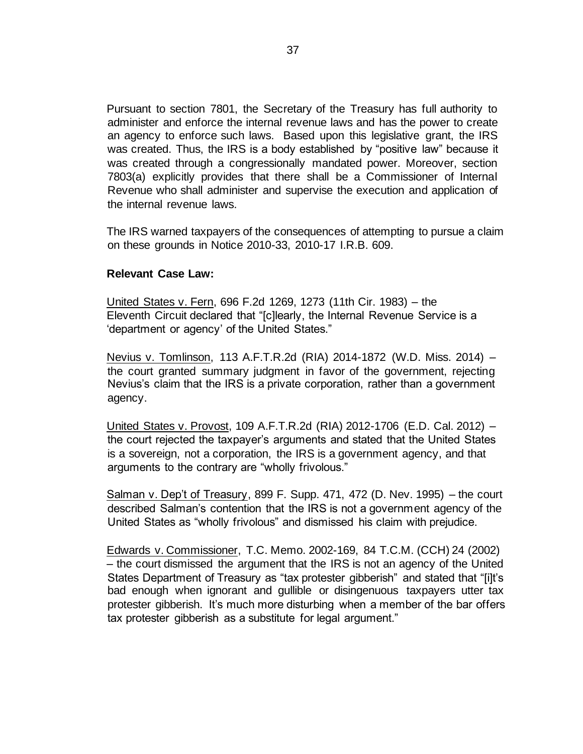Pursuant to section 7801, the Secretary of the Treasury has full authority to administer and enforce the internal revenue laws and has the power to create an agency to enforce such laws. Based upon this legislative grant, the IRS was created. Thus, the IRS is a body established by "positive law" because it was created through a congressionally mandated power. Moreover, section 7803(a) explicitly provides that there shall be a Commissioner of Internal Revenue who shall administer and supervise the execution and application of the internal revenue laws.

The IRS warned taxpayers of the consequences of attempting to pursue a claim on these grounds in Notice 2010-33, 2010-17 I.R.B. 609.

### **Relevant Case Law:**

United States v. Fern, 696 F.2d 1269, 1273 (11th Cir. 1983) – the Eleventh Circuit declared that "[c]learly, the Internal Revenue Service is a 'department or agency' of the United States."

Nevius v. Tomlinson, 113 A.F.T.R.2d (RIA) 2014-1872 (W.D. Miss. 2014) – the court granted summary judgment in favor of the government, rejecting Nevius's claim that the IRS is a private corporation, rather than a government agency.

United States v. Provost, 109 A.F.T.R.2d (RIA) 2012-1706 (E.D. Cal. 2012) – the court rejected the taxpayer's arguments and stated that the United States is a sovereign, not a corporation, the IRS is a government agency, and that arguments to the contrary are "wholly frivolous."

Salman v. Dep't of Treasury, 899 F. Supp. 471, 472 (D. Nev. 1995) – the court described Salman's contention that the IRS is not a government agency of the United States as "wholly frivolous" and dismissed his claim with prejudice.

Edwards v. Commissioner, T.C. Memo. 2002-169, 84 T.C.M. (CCH) 24 (2002) – the court dismissed the argument that the IRS is not an agency of the United States Department of Treasury as "tax protester gibberish" and stated that "[i]t's bad enough when ignorant and gullible or disingenuous taxpayers utter tax protester gibberish. It's much more disturbing when a member of the bar offers tax protester gibberish as a substitute for legal argument."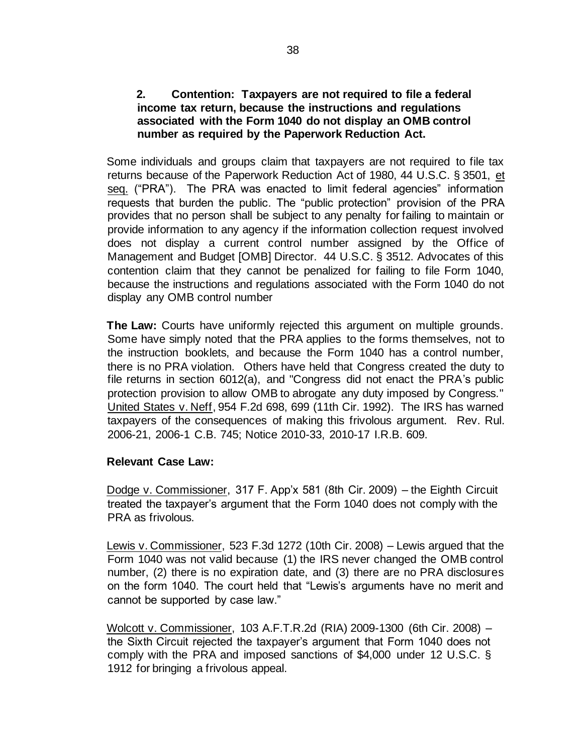## **2. Contention: Taxpayers are not required to file a federal income tax return, because the instructions and regulations associated with the Form 1040 do not display an OMB control number as required by the Paperwork Reduction Act.**

Some individuals and groups claim that taxpayers are not required to file tax returns because of the Paperwork Reduction Act of 1980, 44 U.S.C. § 3501, et seq. ("PRA"). The PRA was enacted to limit federal agencies" information requests that burden the public. The "public protection" provision of the PRA provides that no person shall be subject to any penalty for failing to maintain or provide information to any agency if the information collection request involved does not display a current control number assigned by the Office of Management and Budget [OMB] Director. 44 U.S.C. § 3512. Advocates of this contention claim that they cannot be penalized for failing to file Form 1040, because the instructions and regulations associated with the Form 1040 do not display any OMB control number

**The Law:** Courts have uniformly rejected this argument on multiple grounds. Some have simply noted that the PRA applies to the forms themselves, not to the instruction booklets, and because the Form 1040 has a control number, there is no PRA violation. Others have held that Congress created the duty to file returns in section 6012(a), and "Congress did not enact the PRA's public protection provision to allow OMB to abrogate any duty imposed by Congress." United States v. Neff, 954 F.2d 698, 699 (11th Cir. 1992). The IRS has warned taxpayers of the consequences of making this frivolous argument. [Rev. Rul.](https://www.irs.gov/irb/2006-15_IRB#RR-2006-21)  [2006-21,](https://www.irs.gov/irb/2006-15_IRB#RR-2006-21) 2006-1 C.B. 745; Notice 2010-33, 2010-17 I.R.B. 609.

#### **Relevant Case Law:**

Dodge v. Commissioner, 317 F. App'x 581 (8th Cir. 2009) – the Eighth Circuit treated the taxpayer's argument that the Form 1040 does not comply with the PRA as frivolous.

Lewis v. Commissioner, 523 F.3d 1272 (10th Cir. 2008) – Lewis argued that the Form 1040 was not valid because (1) the IRS never changed the OMB control number, (2) there is no expiration date, and (3) there are no PRA disclosures on the form 1040. The court held that "Lewis's arguments have no merit and cannot be supported by case law."

Wolcott v. Commissioner, 103 A.F.T.R.2d (RIA) 2009-1300 (6th Cir. 2008) – the Sixth Circuit rejected the taxpayer's argument that Form 1040 does not comply with the PRA and imposed sanctions of \$4,000 under 12 U.S.C. § 1912 for bringing a frivolous appeal.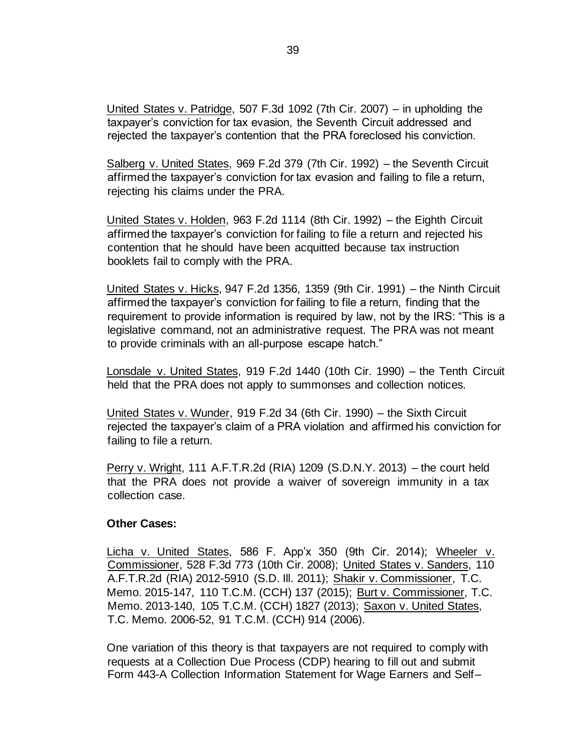United States v. Patridge, 507 F.3d 1092 (7th Cir. 2007) – in upholding the taxpayer's conviction for tax evasion, the Seventh Circuit addressed and rejected the taxpayer's contention that the PRA foreclosed his conviction.

Salberg v. United States, 969 F.2d 379 (7th Cir. 1992) – the Seventh Circuit affirmed the taxpayer's conviction for tax evasion and failing to file a return, rejecting his claims under the PRA.

United States v. Holden, 963 F.2d 1114 (8th Cir. 1992) – the Eighth Circuit affirmed the taxpayer's conviction for failing to file a return and rejected his contention that he should have been acquitted because tax instruction booklets fail to comply with the PRA.

United States v. Hicks, 947 F.2d 1356, 1359 (9th Cir. 1991) – the Ninth Circuit affirmed the taxpayer's conviction for failing to file a return, finding that the requirement to provide information is required by law, not by the IRS: "This is a legislative command, not an administrative request. The PRA was not meant to provide criminals with an all-purpose escape hatch."

Lonsdale v. United States, 919 F.2d 1440 (10th Cir. 1990) – the Tenth Circuit held that the PRA does not apply to summonses and collection notices.

United States v. Wunder, 919 F.2d 34 (6th Cir. 1990) – the Sixth Circuit rejected the taxpayer's claim of a PRA violation and affirmed his conviction for failing to file a return.

Perry v. Wright, 111 A.F.T.R.2d (RIA) 1209 (S.D.N.Y. 2013) – the court held that the PRA does not provide a waiver of sovereign immunity in a tax collection case.

#### **Other Cases:**

Licha v. United States, 586 F. App'x 350 (9th Cir. 2014); Wheeler v. Commissioner, 528 F.3d 773 (10th Cir. 2008); United States v. Sanders, 110 A.F.T.R.2d (RIA) 2012-5910 (S.D. Ill. 2011); Shakir v. Commissioner, T.C. Memo. 2015-147, 110 T.C.M. (CCH) 137 (2015); Burt v. Commissioner, T.C. Memo. 2013-140, 105 T.C.M. (CCH) 1827 (2013); Saxon v. United States, T.C. Memo. 2006-52, 91 T.C.M. (CCH) 914 (2006).

One variation of this theory is that taxpayers are not required to comply with requests at a Collection Due Process (CDP) hearing to fill out and submit Form 443-A Collection Information Statement for Wage Earners and Self–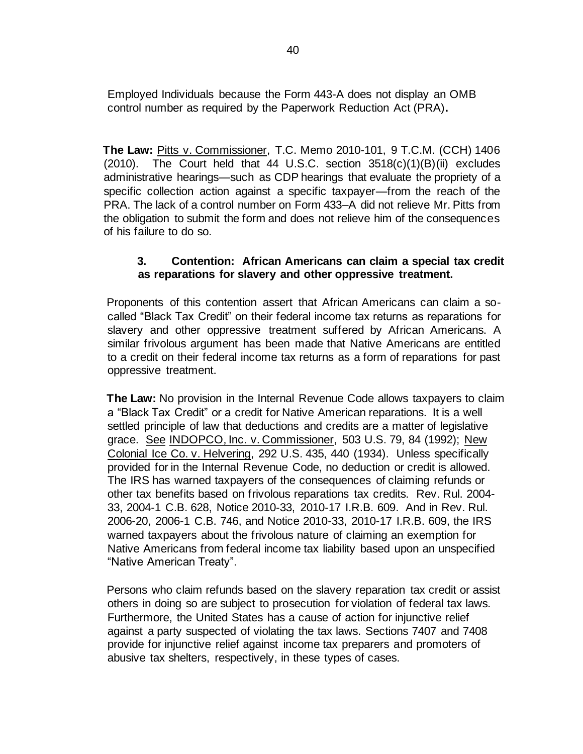Employed Individuals because the Form 443-A does not display an OMB control number as required by the Paperwork Reduction Act (PRA)**.** 

**The Law:** Pitts v. Commissioner, T.C. Memo 2010-101, 9 T.C.M. (CCH) 1406  $(2010)$ . The Court held that 44 U.S.C. section  $3518(c)(1)(B)(ii)$  excludes administrative hearings—such as CDP hearings that evaluate the propriety of a specific collection action against a specific taxpayer—from the reach of the PRA. The lack of a control number on Form 433–A did not relieve Mr. Pitts from the obligation to submit the form and does not relieve him of the consequences of his failure to do so.

## **3. Contention: African Americans can claim a special tax credit as reparations for slavery and other oppressive treatment.**

Proponents of this contention assert that African Americans can claim a socalled "Black Tax Credit" on their federal income tax returns as reparations for slavery and other oppressive treatment suffered by African Americans. A similar frivolous argument has been made that Native Americans are entitled to a credit on their federal income tax returns as a form of reparations for past oppressive treatment.

**The Law:** No provision in the Internal Revenue Code allows taxpayers to claim a "Black Tax Credit" or a credit for Native American reparations. It is a well settled principle of law that deductions and credits are a matter of legislative grace. See INDOPCO, Inc. v. Commissioner, 503 U.S. 79, 84 (1992); New Colonial Ice Co. v. Helvering, 292 U.S. 435, 440 (1934). Unless specifically provided for in the Internal Revenue Code, no deduction or credit is allowed. The IRS has warned taxpayers of the consequences of claiming refunds or other tax benefits based on frivolous reparations tax credits. [Rev.](http://www.irs.gov/irb/2004-12_IRB/ar13.html) [Rul.](https://www.irs.gov/irb/2004-12_IRB#RR-2004-33) [2004-](http://www.irs.gov/irb/2004-12_IRB/ar13.html) [33,](http://www.irs.gov/irb/2004-12_IRB/ar13.html) [2004-1](http://www.irs.gov/irb/2004-12_IRB/ar13.html) [C.B.](http://www.irs.gov/irb/2004-12_IRB/ar13.html) 628, [Notice 2010](https://www.irs.gov/irb/2010-17_IRB#NOT-2010-33)[-33, 2010-17 I.R.B. 609.](http://www.irs.gov/irb/2004-12_IRB/ar13.html) And in [Rev. Rul.](https://www.irs.gov/irb/2006-15_IRB#RR-2006-20)  [2006-20,](https://www.irs.gov/irb/2006-15_IRB#RR-2006-20) [2](http://www.irs.gov/irb/2006-15_IRB/ar09.html)006-1 C.B. 746, and Notice 2010-33, 2010-17 I.R.B. 609, the IRS warned taxpayers about the frivolous nature of claiming an exemption for Native Americans from federal income tax liability based upon an unspecified "Native American Treaty".

Persons who claim refunds based on the slavery reparation tax credit or assist others in doing so are subject to prosecution for violation of federal tax laws. Furthermore, the United States has a cause of action for injunctive relief against a party suspected of violating the tax laws. Sections 7407 and 7408 provide for injunctive relief against income tax preparers and promoters of abusive tax shelters, respectively, in these types of cases.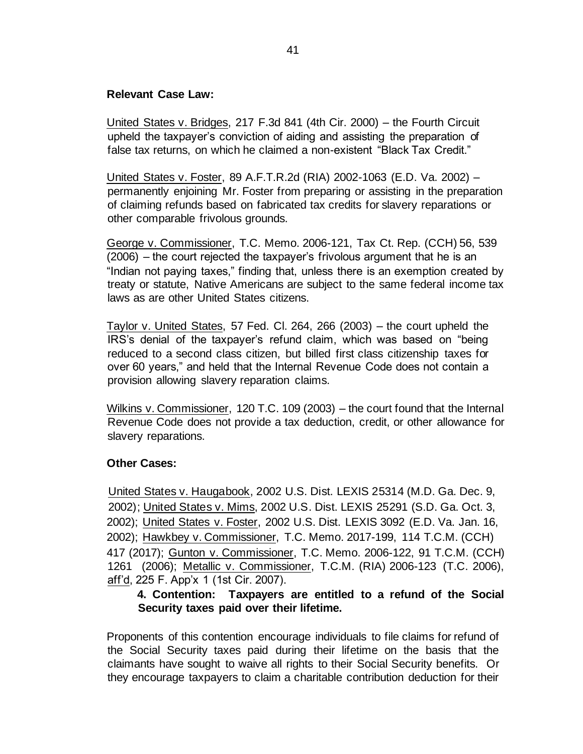### **Relevant Case Law:**

United States v. Bridges, 217 F.3d 841 (4th Cir. 2000) – the Fourth Circuit upheld the taxpayer's conviction of aiding and assisting the preparation of false tax returns, on which he claimed a non-existent "Black Tax Credit."

United States v. Foster, 89 A.F.T.R.2d (RIA) 2002-1063 (E.D. Va. 2002) – permanently enjoining Mr. Foster from preparing or assisting in the preparation of claiming refunds based on fabricated tax credits for slavery reparations or other comparable frivolous grounds.

George v. Commissioner, T.C. Memo. 2006-121, Tax Ct. Rep. (CCH) 56, 539 (2006) – the court rejected the taxpayer's frivolous argument that he is an "Indian not paying taxes," finding that, unless there is an exemption created by treaty or statute, Native Americans are subject to the same federal income tax laws as are other United States citizens.

Taylor v. United States, 57 Fed. Cl. 264, 266 (2003) – the court upheld the IRS's denial of the taxpayer's refund claim, which was based on "being reduced to a second class citizen, but billed first class citizenship taxes for over 60 years," and held that the Internal Revenue Code does not contain a provision allowing slavery reparation claims.

Wilkins v. Commissioner, 120 T.C. 109 (2003) – the court found that the Internal Revenue Code does not provide a tax deduction, credit, or other allowance for slavery reparations.

## **Other Cases:**

United States v. Haugabook, 2002 U.S. Dist. LEXIS 25314 (M.D. Ga. Dec. 9, 2002); United States v. Mims, 2002 U.S. Dist. LEXIS 25291 (S.D. Ga. Oct. 3, 2002); United States v. Foster, 2002 U.S. Dist. LEXIS 3092 (E.D. Va. Jan. 16, 2002); Hawkbey v. Commissioner, T.C. Memo. 2017-199, 114 T.C.M. (CCH) 417 (2017); Gunton v. Commissioner, T.C. Memo. 2006-122, 91 T.C.M. (CCH) 1261 (2006); Metallic v. Commissioner, T.C.M. (RIA) 2006-123 (T.C. 2006), aff'd, 225 F. App'x 1 (1st Cir. 2007).

## **4. Contention: Taxpayers are entitled to a refund of the Social Security taxes paid over their lifetime.**

Proponents of this contention encourage individuals to file claims for refund of the Social Security taxes paid during their lifetime on the basis that the claimants have sought to waive all rights to their Social Security benefits. Or they encourage taxpayers to claim a charitable contribution deduction for their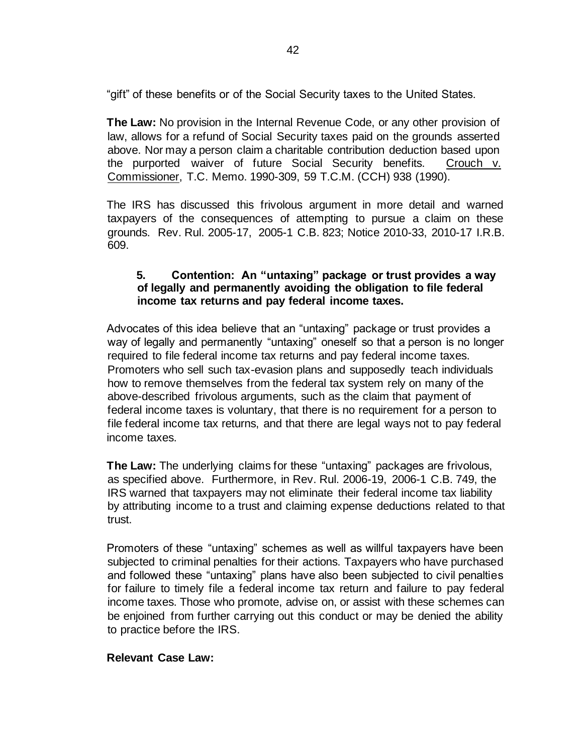"gift" of these benefits or of the Social Security taxes to the United States.

**The Law:** No provision in the Internal Revenue Code, or any other provision of law, allows for a refund of Social Security taxes paid on the grounds asserted above. Nor may a person claim a charitable contribution deduction based upon the purported waiver of future Social Security benefits. Crouch v. Commissioner, T.C. Memo. 1990-309, 59 T.C.M. (CCH) 938 (1990).

The IRS has discussed this frivolous argument in more detail and warned taxpayers of the consequences of attempting to pursue a claim on these grounds.[Rev. Rul. 2005-17,](https://www.irs.gov/irb/2005-14_IRB#RR-2005-17) [2](http://www.irs.gov/irb/2005-14_IRB/ar14.html)005-1 C.B. 823; Notice 2010-33, 2010-17 I.R.B. 609.

## **5. Contention: An "untaxing" package or trust provides a way of legally and permanently avoiding the obligation to file federal income tax returns and pay federal income taxes.**

Advocates of this idea believe that an "untaxing" package or trust provides a way of legally and permanently "untaxing" oneself so that a person is no longer required to file federal income tax returns and pay federal income taxes. Promoters who sell such tax-evasion plans and supposedly teach individuals how to remove themselves from the federal tax system rely on many of the above-described frivolous arguments, such as the claim that payment of federal income taxes is voluntary, that there is no requirement for a person to file federal income tax returns, and that there are legal ways not to pay federal income taxes.

**The Law:** The underlying claims for these "untaxing" packages are frivolous, as specified above. Furthermore, in [Rev. Rul. 2006-19,](https://www.irs.gov/irb/2006-15_IRB#RR-2006-19) 2006-1 C.B. 749, the IRS warned that taxpayers may not eliminate their federal income tax liability by attributing income to a trust and claiming expense deductions related to that trust.

Promoters of these "untaxing" schemes as well as willful taxpayers have been subjected to criminal penalties for their actions. Taxpayers who have purchased and followed these "untaxing" plans have also been subjected to civil penalties for failure to timely file a federal income tax return and failure to pay federal income taxes. Those who promote, advise on, or assist with these schemes can be enjoined from further carrying out this conduct or may be denied the ability to practice before the IRS.

#### **Relevant Case Law:**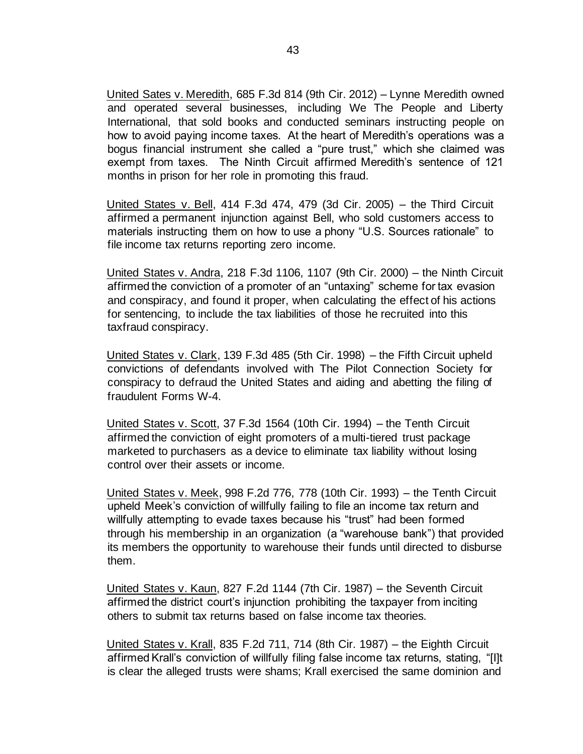United Sates v. Meredith, 685 F.3d 814 (9th Cir. 2012) – Lynne Meredith owned and operated several businesses, including We The People and Liberty International, that sold books and conducted seminars instructing people on how to avoid paying income taxes. At the heart of Meredith's operations was a bogus financial instrument she called a "pure trust," which she claimed was exempt from taxes. The Ninth Circuit affirmed Meredith's sentence of 121 months in prison for her role in promoting this fraud.

United States v. Bell, 414 F.3d 474, 479 (3d Cir. 2005) – the Third Circuit affirmed a permanent injunction against Bell, who sold customers access to materials instructing them on how to use a phony "U.S. Sources rationale" to file income tax returns reporting zero income.

United States v. Andra, 218 F.3d 1106, 1107 (9th Cir. 2000) – the Ninth Circuit affirmed the conviction of a promoter of an "untaxing" scheme for tax evasion and conspiracy, and found it proper, when calculating the effect of his actions for sentencing, to include the tax liabilities of those he recruited into this taxfraud conspiracy.

United States v. Clark, 139 F.3d 485 (5th Cir. 1998) – the Fifth Circuit upheld convictions of defendants involved with The Pilot Connection Society for conspiracy to defraud the United States and aiding and abetting the filing of fraudulent Forms W-4.

United States v. Scott, 37 F.3d 1564 (10th Cir. 1994) – the Tenth Circuit affirmed the conviction of eight promoters of a multi-tiered trust package marketed to purchasers as a device to eliminate tax liability without losing control over their assets or income.

United States v. Meek, 998 F.2d 776, 778 (10th Cir. 1993) – the Tenth Circuit upheld Meek's conviction of willfully failing to file an income tax return and willfully attempting to evade taxes because his "trust" had been formed through his membership in an organization (a "warehouse bank") that provided its members the opportunity to warehouse their funds until directed to disburse them.

United States v. Kaun, 827 F.2d 1144 (7th Cir. 1987) – the Seventh Circuit affirmed the district court's injunction prohibiting the taxpayer from inciting others to submit tax returns based on false income tax theories.

United States v. Krall, 835 F.2d 711, 714 (8th Cir. 1987) – the Eighth Circuit affirmed Krall's conviction of willfully filing false income tax returns, stating, "[I]t is clear the alleged trusts were shams; Krall exercised the same dominion and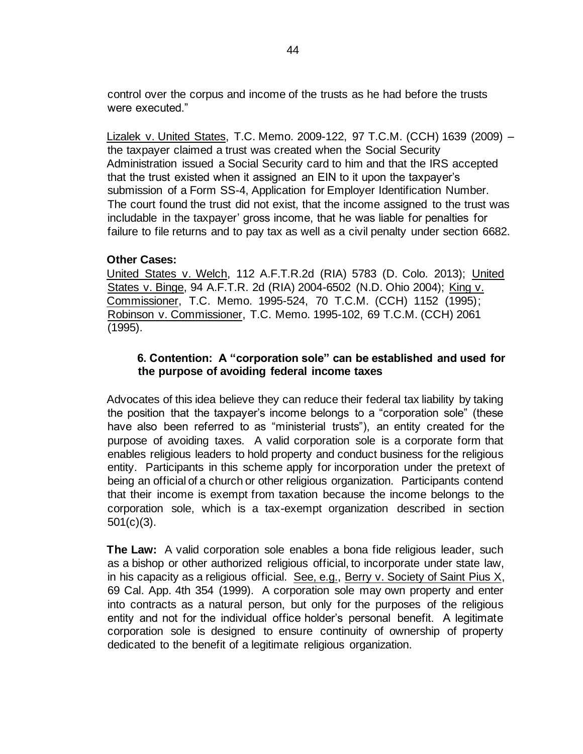control over the corpus and income of the trusts as he had before the trusts were executed."

Lizalek v. United States, T.C. Memo. 2009-122, 97 T.C.M. (CCH) 1639 (2009) – the taxpayer claimed a trust was created when the Social Security Administration issued a Social Security card to him and that the IRS accepted that the trust existed when it assigned an EIN to it upon the taxpayer's submission of a Form SS-4, Application for Employer Identification Number. The court found the trust did not exist, that the income assigned to the trust was includable in the taxpayer' gross income, that he was liable for penalties for failure to file returns and to pay tax as well as a civil penalty under section 6682.

## **Other Cases:**

United States v. Welch, 112 A.F.T.R.2d (RIA) 5783 (D. Colo. 2013); United States v. Binge, 94 A.F.T.R. 2d (RIA) 2004-6502 (N.D. Ohio 2004); King v. Commissioner, T.C. Memo. 1995-524, 70 T.C.M. (CCH) 1152 (1995); Robinson v. Commissioner, T.C. Memo. 1995-102, 69 T.C.M. (CCH) 2061 (1995).

## **6. Contention: A "corporation sole" can be established and used for the purpose of avoiding federal income taxes**

Advocates of this idea believe they can reduce their federal tax liability by taking the position that the taxpayer's income belongs to a "corporation sole" (these have also been referred to as "ministerial trusts"), an entity created for the purpose of avoiding taxes. A valid corporation sole is a corporate form that enables religious leaders to hold property and conduct business for the religious entity. Participants in this scheme apply for incorporation under the pretext of being an official of a church or other religious organization. Participants contend that their income is exempt from taxation because the income belongs to the corporation sole, which is a tax-exempt organization described in section 501(c)(3).

**The Law:** A valid corporation sole enables a bona fide religious leader, such as a bishop or other authorized religious official, to incorporate under state law, in his capacity as a religious official. See, e.g., Berry v. Society of Saint Pius X, 69 Cal. App. 4th 354 (1999). A corporation sole may own property and enter into contracts as a natural person, but only for the purposes of the religious entity and not for the individual office holder's personal benefit. A legitimate corporation sole is designed to ensure continuity of ownership of property dedicated to the benefit of a legitimate religious organization.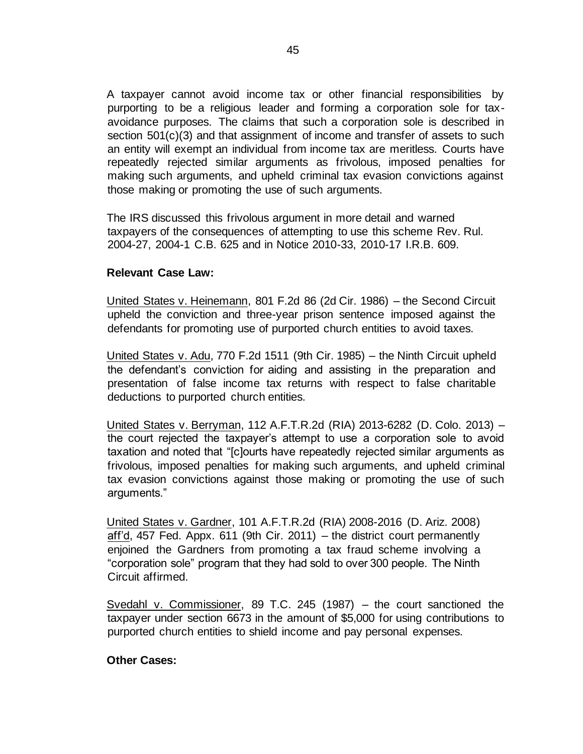A taxpayer cannot avoid income tax or other financial responsibilities by purporting to be a religious leader and forming a corporation sole for taxavoidance purposes. The claims that such a corporation sole is described in section 501(c)(3) and that assignment of income and transfer of assets to such an entity will exempt an individual from income tax are meritless. Courts have repeatedly rejected similar arguments as frivolous, imposed penalties for making such arguments, and upheld criminal tax evasion convictions against those making or promoting the use of such arguments.

The IRS discussed this frivolous argument in more detail and warned taxpayers of the consequences of attempting to use this scheme [Rev. Rul.](https://www.irs.gov/irb/2004-12_IRB#RR-2004-27)  [2004-27,](https://www.irs.gov/irb/2004-12_IRB#RR-2004-27) [2](http://www.irs.gov/irb/2004-12_IRB/ar11.html)004-1 C.B. 625 and in Notice 2010-33, 2010-17 I.R.B. 609.

### **Relevant Case Law:**

United States v. Heinemann, 801 F.2d 86 (2d Cir. 1986) – the Second Circuit upheld the conviction and three-year prison sentence imposed against the defendants for promoting use of purported church entities to avoid taxes.

United States v. Adu, 770 F.2d 1511 (9th Cir. 1985) – the Ninth Circuit upheld the defendant's conviction for aiding and assisting in the preparation and presentation of false income tax returns with respect to false charitable deductions to purported church entities.

United States v. Berryman, 112 A.F.T.R.2d (RIA) 2013-6282 (D. Colo. 2013) – the court rejected the taxpayer's attempt to use a corporation sole to avoid taxation and noted that "[c]ourts have repeatedly rejected similar arguments as frivolous, imposed penalties for making such arguments, and upheld criminal tax evasion convictions against those making or promoting the use of such arguments."

United States v. Gardner, 101 A.F.T.R.2d (RIA) 2008-2016 (D. Ariz. 2008) aff'd, 457 Fed. Appx. 611 (9th Cir. 2011) – the district court permanently enjoined the Gardners from promoting a tax fraud scheme involving a "corporation sole" program that they had sold to over 300 people. The Ninth Circuit affirmed.

Svedahl v. Commissioner, 89 T.C. 245 (1987) – the court sanctioned the taxpayer under section 6673 in the amount of \$5,000 for using contributions to purported church entities to shield income and pay personal expenses.

#### **Other Cases:**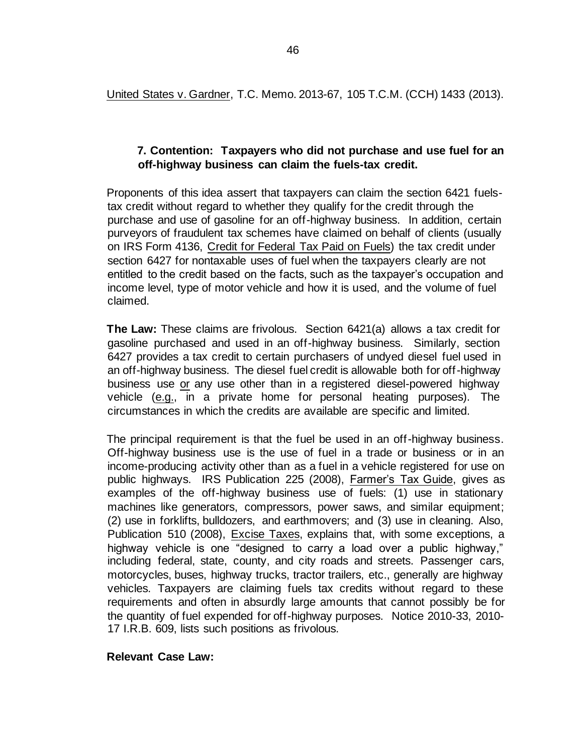United States v. Gardner, T.C. Memo. 2013-67, 105 T.C.M. (CCH) 1433 (2013).

### **7. Contention: Taxpayers who did not purchase and use fuel for an off-highway business can claim the fuels-tax credit.**

Proponents of this idea assert that taxpayers can claim the section 6421 fuelstax credit without regard to whether they qualify for the credit through the purchase and use of gasoline for an off-highway business. In addition, certain purveyors of fraudulent tax schemes have claimed on behalf of clients (usually on IRS Form 4136, Credit for Federal Tax Paid on Fuels) the tax credit under section 6427 for nontaxable uses of fuel when the taxpayers clearly are not entitled to the credit based on the facts, such as the taxpayer's occupation and income level, type of motor vehicle and how it is used, and the volume of fuel claimed.

**The Law:** These claims are frivolous. Section 6421(a) allows a tax credit for gasoline purchased and used in an off-highway business. Similarly, section 6427 provides a tax credit to certain purchasers of undyed diesel fuel used in an off-highway business. The diesel fuel credit is allowable both for off-highway business use or any use other than in a registered diesel-powered highway vehicle (e.g., in a private home for personal heating purposes). The circumstances in which the credits are available are specific and limited.

The principal requirement is that the fuel be used in an off-highway business. Off-highway business use is the use of fuel in a trade or business or in an income-producing activity other than as a fuel in a vehicle registered for use on public highways. IRS Publication 225 (2008), Farmer's Tax Guide, gives as examples of the off-highway business use of fuels: (1) use in stationary machines like generators, compressors, power saws, and similar equipment; (2) use in forklifts, bulldozers, and earthmovers; and (3) use in cleaning. Also, Publication 510 (2008), Excise Taxes, explains that, with some exceptions, a highway vehicle is one "designed to carry a load over a public highway," including federal, state, county, and city roads and streets. Passenger cars, motorcycles, buses, highway trucks, tractor trailers, etc., generally are highway vehicles. Taxpayers are claiming fuels tax credits without regard to these requirements and often in absurdly large amounts that cannot possibly be for the quantity of fuel expended for off-highway purposes. Notice 2010-33, 2010- 17 I.R.B. 609, lists such positions as frivolous.

#### **Relevant Case Law:**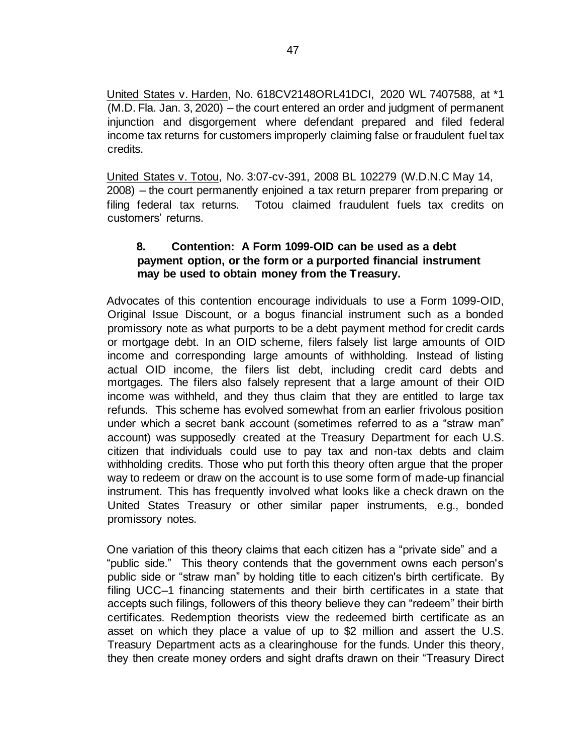United States v. Harden, No. 618CV2148ORL41DCI, 2020 WL 7407588, at \*1 (M.D. Fla. Jan. 3, 2020) – the court entered an order and judgment of permanent injunction and disgorgement where defendant prepared and filed federal income tax returns for customers improperly claiming false or fraudulent fuel tax credits.

United States v. Totou, No. 3:07-cv-391, 2008 BL 102279 (W.D.N.C May 14, 2008) – the court permanently enjoined a tax return preparer from preparing or filing federal tax returns. Totou claimed fraudulent fuels tax credits on customers' returns.

## **8. Contention: A Form 1099-OID can be used as a debt payment option, or the form or a purported financial instrument may be used to obtain money from the Treasury.**

Advocates of this contention encourage individuals to use a Form 1099-OID, Original Issue Discount, or a bogus financial instrument such as a bonded promissory note as what purports to be a debt payment method for credit cards or mortgage debt. In an OID scheme, filers falsely list large amounts of OID income and corresponding large amounts of withholding. Instead of listing actual OID income, the filers list debt, including credit card debts and mortgages. The filers also falsely represent that a large amount of their OID income was withheld, and they thus claim that they are entitled to large tax refunds. This scheme has evolved somewhat from an earlier frivolous position under which a secret bank account (sometimes referred to as a "straw man" account) was supposedly created at the Treasury Department for each U.S. citizen that individuals could use to pay tax and non-tax debts and claim withholding credits. Those who put forth this theory often argue that the proper way to redeem or draw on the account is to use some form of made-up financial instrument. This has frequently involved what looks like a check drawn on the United States Treasury or other similar paper instruments, e.g., bonded promissory notes.

One variation of this theory claims that each citizen has a "private side" and a "public side." This theory contends that the government owns each person's public side or "straw man" by holding title to each citizen's birth certificate. By filing UCC–1 financing statements and their birth certificates in a state that accepts such filings, followers of this theory believe they can "redeem" their birth certificates. Redemption theorists view the redeemed birth certificate as an asset on which they place a value of up to \$2 million and assert the U.S. Treasury Department acts as a clearinghouse for the funds. Under this theory, they then create money orders and sight drafts drawn on their "Treasury Direct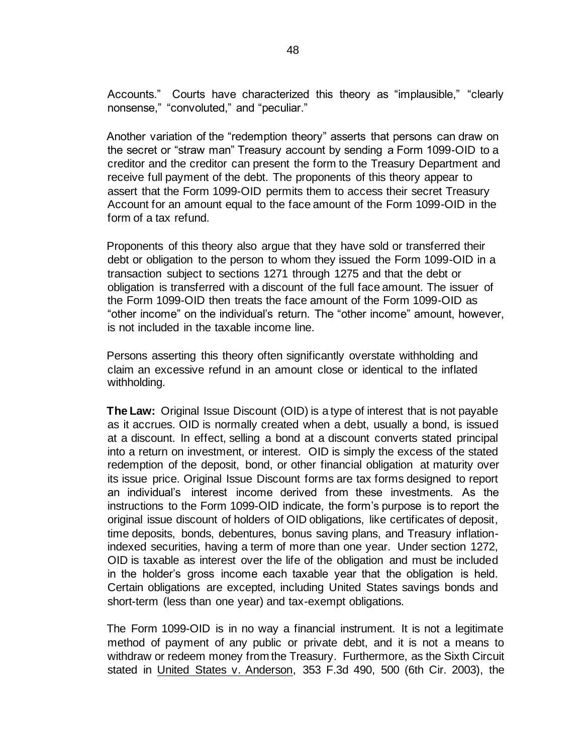Accounts." Courts have characterized this theory as "implausible," "clearly nonsense," "convoluted," and "peculiar."

Another variation of the "redemption theory" asserts that persons can draw on the secret or "straw man" Treasury account by sending a Form 1099-OID to a creditor and the creditor can present the form to the Treasury Department and receive full payment of the debt. The proponents of this theory appear to assert that the Form 1099-OID permits them to access their secret Treasury Account for an amount equal to the face amount of the Form 1099-OID in the form of a tax refund.

Proponents of this theory also argue that they have sold or transferred their debt or obligation to the person to whom they issued the Form 1099-OID in a transaction subject to sections 1271 through 1275 and that the debt or obligation is transferred with a discount of the full face amount. The issuer of the Form 1099-OID then treats the face amount of the Form 1099-OID as "other income" on the individual's return. The "other income" amount, however, is not included in the taxable income line.

Persons asserting this theory often significantly overstate withholding and claim an excessive refund in an amount close or identical to the inflated withholding.

**The Law:** Original Issue Discount (OID) is a type of interest that is not payable as it accrues. OID is normally created when a debt, usually a bond, is issued at a discount. In effect, selling a bond at a discount converts stated principal into a return on investment, or interest. OID is simply the excess of the stated redemption of the deposit, bond, or other financial obligation at maturity over its issue price. Original Issue Discount forms are tax forms designed to report an individual's interest income derived from these investments. As the instructions to the Form 1099-OID indicate, the form's purpose is to report the original issue discount of holders of OID obligations, like certificates of deposit, time deposits, bonds, debentures, bonus saving plans, and Treasury inflationindexed securities, having a term of more than one year. Under section 1272, OID is taxable as interest over the life of the obligation and must be included in the holder's gross income each taxable year that the obligation is held. Certain obligations are excepted, including United States savings bonds and short-term (less than one year) and tax-exempt obligations.

The Form 1099-OID is in no way a financial instrument. It is not a legitimate method of payment of any public or private debt, and it is not a means to withdraw or redeem money from the Treasury. Furthermore, as the Sixth Circuit stated in United States v. Anderson, 353 F.3d 490, 500 (6th Cir. 2003), the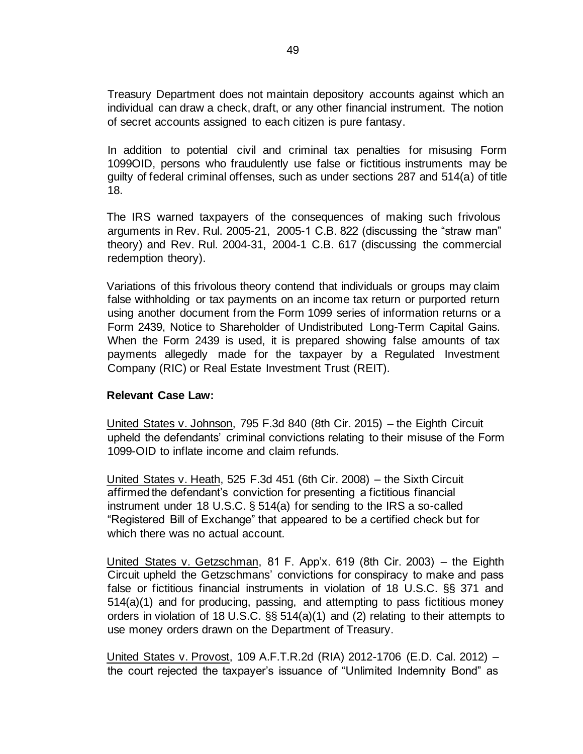Treasury Department does not maintain depository accounts against which an individual can draw a check, draft, or any other financial instrument. The notion of secret accounts assigned to each citizen is pure fantasy.

In addition to potential civil and criminal tax penalties for misusing Form 1099OID, persons who fraudulently use false or fictitious instruments may be guilty of federal criminal offenses, such as under sections 287 and 514(a) of title 18.

The IRS warned taxpayers of the consequences of making such frivolous arguments in [Rev. Rul. 2005-21,](https://www.irs.gov/irb/2005-14_IRB#RR-2005-21) [2](http://www.irs.gov/irb/2005-14_IRB/ar13.html)005-1 C.B. 822 (discussing the "straw man" theory) an[d](http://www.irs.gov/irb/2004-12_IRB/ar05.html) [Rev. Rul. 2004-31,](https://www.irs.gov/irb/2004-12_IRB#RR-2004-31) [2](http://www.irs.gov/irb/2004-12_IRB/ar05.html)004-1 C.B. 617 (discussing the commercial redemption theory).

Variations of this frivolous theory contend that individuals or groups may claim false withholding or tax payments on an income tax return or purported return using another document from the Form 1099 series of information returns or a Form 2439, Notice to Shareholder of Undistributed Long-Term Capital Gains. When the Form 2439 is used, it is prepared showing false amounts of tax payments allegedly made for the taxpayer by a Regulated Investment Company (RIC) or Real Estate Investment Trust (REIT).

#### **Relevant Case Law:**

United States v. Johnson, 795 F.3d 840 (8th Cir. 2015) – the Eighth Circuit upheld the defendants' criminal convictions relating to their misuse of the Form 1099-OID to inflate income and claim refunds.

United States v. Heath, 525 F.3d 451 (6th Cir. 2008) – the Sixth Circuit affirmed the defendant's conviction for presenting a fictitious financial instrument under 18 U.S.C. § 514(a) for sending to the IRS a so-called "Registered Bill of Exchange" that appeared to be a certified check but for which there was no actual account.

United States v. Getzschman, 81 F. App'x. 619 (8th Cir. 2003) – the Eighth Circuit upheld the Getzschmans' convictions for conspiracy to make and pass false or fictitious financial instruments in violation of 18 U.S.C. §§ 371 and 514(a)(1) and for producing, passing, and attempting to pass fictitious money orders in violation of 18 U.S.C. §§ 514(a)(1) and (2) relating to their attempts to use money orders drawn on the Department of Treasury.

United States v. Provost, 109 A.F.T.R.2d (RIA) 2012-1706 (E.D. Cal. 2012) – the court rejected the taxpayer's issuance of "Unlimited Indemnity Bond" as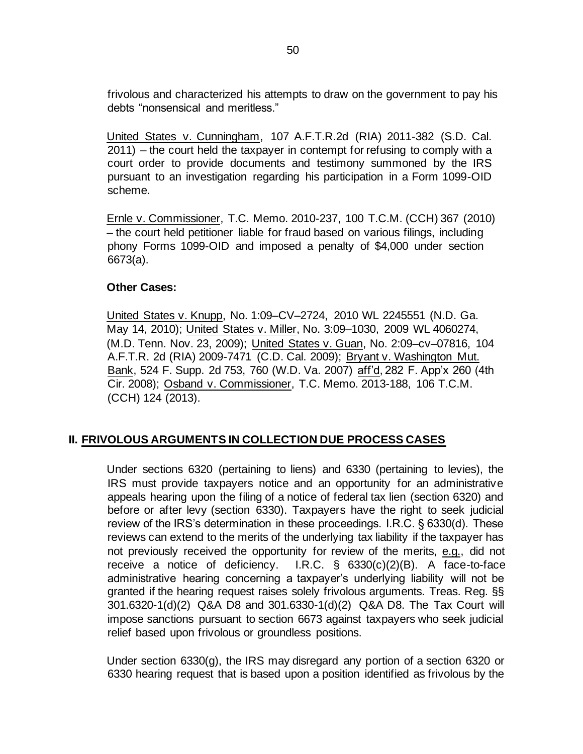frivolous and characterized his attempts to draw on the government to pay his debts "nonsensical and meritless."

United States v. Cunningham, 107 A.F.T.R.2d (RIA) 2011-382 (S.D. Cal. 2011) – the court held the taxpayer in contempt for refusing to comply with a court order to provide documents and testimony summoned by the IRS pursuant to an investigation regarding his participation in a Form 1099-OID scheme.

Ernle v. Commissioner, T.C. Memo. 2010-237, 100 T.C.M. (CCH) 367 (2010) – the court held petitioner liable for fraud based on various filings, including phony Forms 1099-OID and imposed a penalty of \$4,000 under section 6673(a).

#### **Other Cases:**

United States v. Knupp, No. 1:09–CV–2724, 2010 WL 2245551 (N.D. Ga. May 14, 2010); United States v. Miller, No. 3:09–1030, 2009 WL 4060274, (M.D. Tenn. Nov. 23, 2009); United States v. Guan, No. 2:09–cv–07816, 104 A.F.T.R. 2d (RIA) 2009-7471 (C.D. Cal. 2009); Bryant v. Washington Mut. Bank, 524 F. Supp. 2d 753, 760 (W.D. Va. 2007) aff'd, 282 F. App'x 260 (4th Cir. 2008); Osband v. Commissioner, T.C. Memo. 2013-188, 106 T.C.M. (CCH) 124 (2013).

#### **II. FRIVOLOUS ARGUMENTS IN COLLECTION DUE PROCESS CASES**

Under sections 6320 (pertaining to liens) and 6330 (pertaining to levies), the IRS must provide taxpayers notice and an opportunity for an administrative appeals hearing upon the filing of a notice of federal tax lien (section 6320) and before or after levy (section 6330). Taxpayers have the right to seek judicial review of the IRS's determination in these proceedings. I.R.C. § 6330(d). These reviews can extend to the merits of the underlying tax liability if the taxpayer has not previously received the opportunity for review of the merits, e.g., did not receive a notice of deficiency. I.R.C. § 6330(c)(2)(B). A face-to-face administrative hearing concerning a taxpayer's underlying liability will not be granted if the hearing request raises solely frivolous arguments. Treas. Reg. §§ 301.6320-1(d)(2) Q&A D8 and 301.6330-1(d)(2) Q&A D8. The Tax Court will impose sanctions pursuant to section 6673 against taxpayers who seek judicial relief based upon frivolous or groundless positions.

Under section 6330(g), the IRS may disregard any portion of a section 6320 or 6330 hearing request that is based upon a position identified as frivolous by the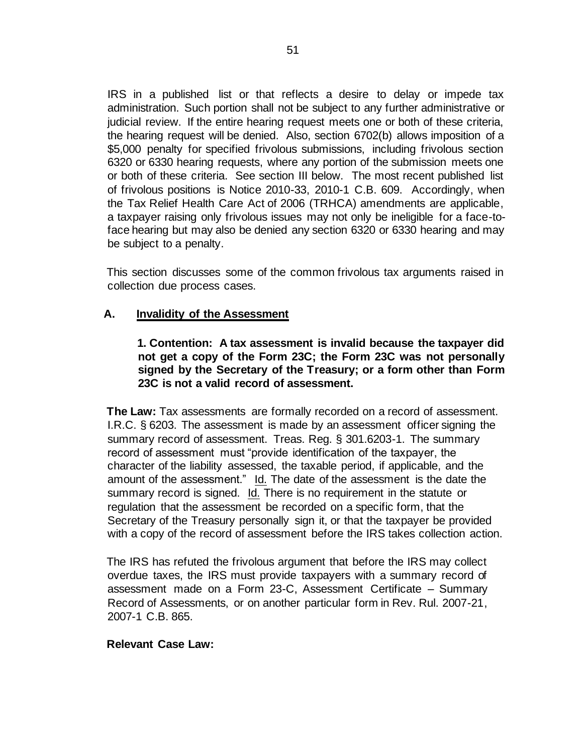IRS in a published list or that reflects a desire to delay or impede tax administration. Such portion shall not be subject to any further administrative or judicial review. If the entire hearing request meets one or both of these criteria, the hearing request will be denied. Also, section 6702(b) allows imposition of a \$5,000 penalty for specified frivolous submissions, including frivolous section 6320 or 6330 hearing requests, where any portion of the submission meets one or both of these criteria. See section III below. The most recent published list of frivolous positions is Notice 2010-33, 2010-1 C.B. 609. Accordingly, when the Tax Relief Health Care Act of 2006 (TRHCA) amendments are applicable, a taxpayer raising only frivolous issues may not only be ineligible for a face-toface hearing but may also be denied any section 6320 or 6330 hearing and may be subject to a penalty.

This section discusses some of the common frivolous tax arguments raised in collection due process cases.

## **A. Invalidity of the Assessment**

### **1. Contention: A tax assessment is invalid because the taxpayer did not get a copy of the Form 23C; the Form 23C was not personally signed by the Secretary of the Treasury; or a form other than Form 23C is not a valid record of assessment.**

**The Law:** Tax assessments are formally recorded on a record of assessment. I.R.C. § 6203. The assessment is made by an assessment officer signing the summary record of assessment. Treas. Reg. § 301.6203-1. The summary record of assessment must "provide identification of the taxpayer, the character of the liability assessed, the taxable period, if applicable, and the amount of the assessment." Id. The date of the assessment is the date the summary record is signed. Id. There is no requirement in the statute or regulation that the assessment be recorded on a specific form, that the Secretary of the Treasury personally sign it, or that the taxpayer be provided with a copy of the record of assessment before the IRS takes collection action.

The IRS has refuted the frivolous argument that before the IRS may collect overdue taxes, the IRS must provide taxpayers with a summary record of assessment made on a Form 23-C, Assessment Certificate – Summary Record of Assessments, or on another particular form in Rev. Rul. 2007-21, 2007-1 C.B. 865.

#### **Relevant Case Law:**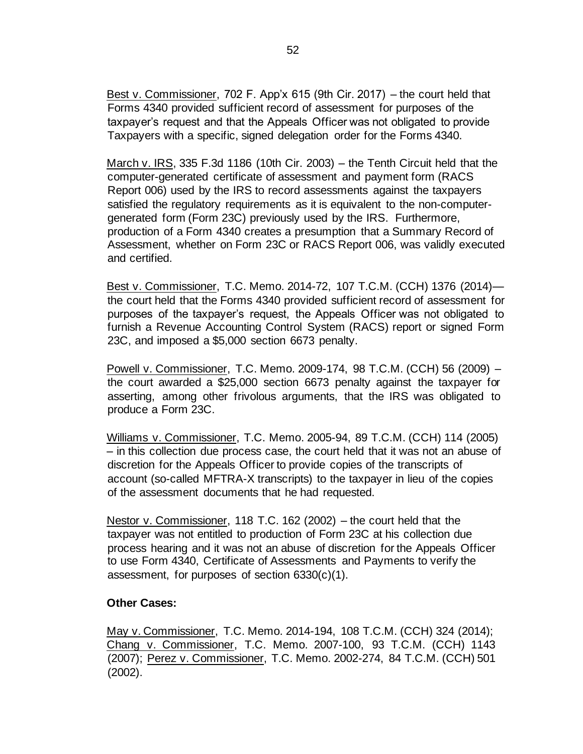Best v. Commissioner, 702 F. App'x 615 (9th Cir. 2017) – the court held that Forms 4340 provided sufficient record of assessment for purposes of the taxpayer's request and that the Appeals Officer was not obligated to provide Taxpayers with a specific, signed delegation order for the Forms 4340.

March v. IRS, 335 F.3d 1186 (10th Cir. 2003) – the Tenth Circuit held that the computer-generated certificate of assessment and payment form (RACS Report 006) used by the IRS to record assessments against the taxpayers satisfied the regulatory requirements as it is equivalent to the non-computergenerated form (Form 23C) previously used by the IRS. Furthermore, production of a Form 4340 creates a presumption that a Summary Record of Assessment, whether on Form 23C or RACS Report 006, was validly executed and certified.

Best v. Commissioner, T.C. Memo. 2014-72, 107 T.C.M. (CCH) 1376 (2014) the court held that the Forms 4340 provided sufficient record of assessment for purposes of the taxpayer's request, the Appeals Officer was not obligated to furnish a Revenue Accounting Control System (RACS) report or signed Form 23C, and imposed a \$5,000 section 6673 penalty.

Powell v. Commissioner, T.C. Memo. 2009-174, 98 T.C.M. (CCH) 56 (2009) – the court awarded a \$25,000 section 6673 penalty against the taxpayer for asserting, among other frivolous arguments, that the IRS was obligated to produce a Form 23C.

Williams v. Commissioner, T.C. Memo. 2005-94, 89 T.C.M. (CCH) 114 (2005) – in this collection due process case, the court held that it was not an abuse of discretion for the Appeals Officer to provide copies of the transcripts of account (so-called MFTRA-X transcripts) to the taxpayer in lieu of the copies of the assessment documents that he had requested.

Nestor v. Commissioner, 118 T.C. 162 (2002) – the court held that the taxpayer was not entitled to production of Form 23C at his collection due process hearing and it was not an abuse of discretion for the Appeals Officer to use Form 4340, Certificate of Assessments and Payments to verify the assessment, for purposes of section 6330(c)(1).

## **Other Cases:**

May v. Commissioner, T.C. Memo. 2014-194, 108 T.C.M. (CCH) 324 (2014); Chang v. Commissioner, T.C. Memo. 2007-100, 93 T.C.M. (CCH) 1143 (2007); Perez v. Commissioner, T.C. Memo. 2002-274, 84 T.C.M. (CCH) 501 (2002).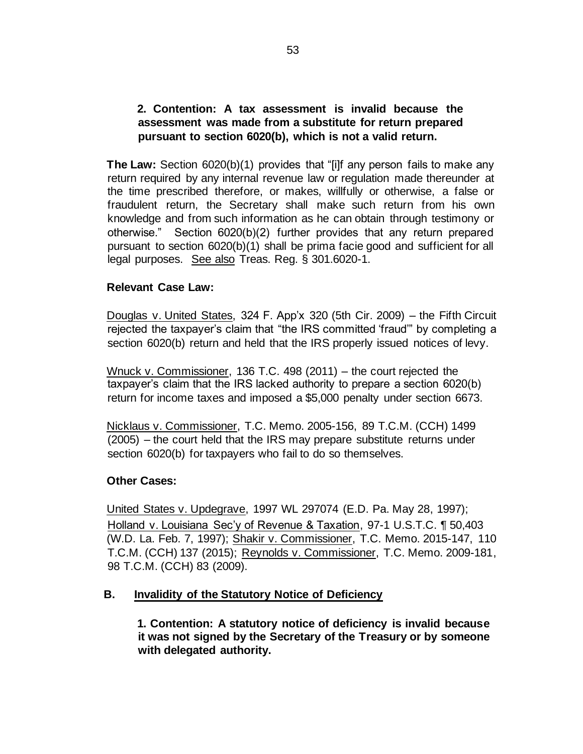## **2. Contention: A tax assessment is invalid because the assessment was made from a substitute for return prepared pursuant to section 6020(b), which is not a valid return.**

**The Law:** Section 6020(b)(1) provides that "[i]f any person fails to make any return required by any internal revenue law or regulation made thereunder at the time prescribed therefore, or makes, willfully or otherwise, a false or fraudulent return, the Secretary shall make such return from his own knowledge and from such information as he can obtain through testimony or otherwise." Section 6020(b)(2) further provides that any return prepared pursuant to section 6020(b)(1) shall be prima facie good and sufficient for all legal purposes. See also Treas. Reg. § 301.6020-1.

## **Relevant Case Law:**

Douglas v. United States, 324 F. App'x 320 (5th Cir. 2009) – the Fifth Circuit rejected the taxpayer's claim that "the IRS committed 'fraud'" by completing a section 6020(b) return and held that the IRS properly issued notices of levy.

Wnuck v. Commissioner, 136 T.C. 498 (2011) – the court rejected the taxpayer's claim that the IRS lacked authority to prepare a section 6020(b) return for income taxes and imposed a \$5,000 penalty under section 6673.

Nicklaus v. Commissioner, T.C. Memo. 2005-156, 89 T.C.M. (CCH) 1499 (2005) – the court held that the IRS may prepare substitute returns under section 6020(b) for taxpayers who fail to do so themselves.

## **Other Cases:**

United States v. Updegrave, 1997 WL 297074 (E.D. Pa. May 28, 1997); Holland v. Louisiana Sec'y of Revenue & Taxation, 97-1 U.S.T.C. ¶ 50,403 (W.D. La. Feb. 7, 1997); Shakir v. Commissioner, T.C. Memo. 2015-147, 110 T.C.M. (CCH) 137 (2015); Reynolds v. Commissioner, T.C. Memo. 2009-181, 98 T.C.M. (CCH) 83 (2009).

# **B. Invalidity of the Statutory Notice of Deficiency**

**1. Contention: A statutory notice of deficiency is invalid because it was not signed by the Secretary of the Treasury or by someone with delegated authority.**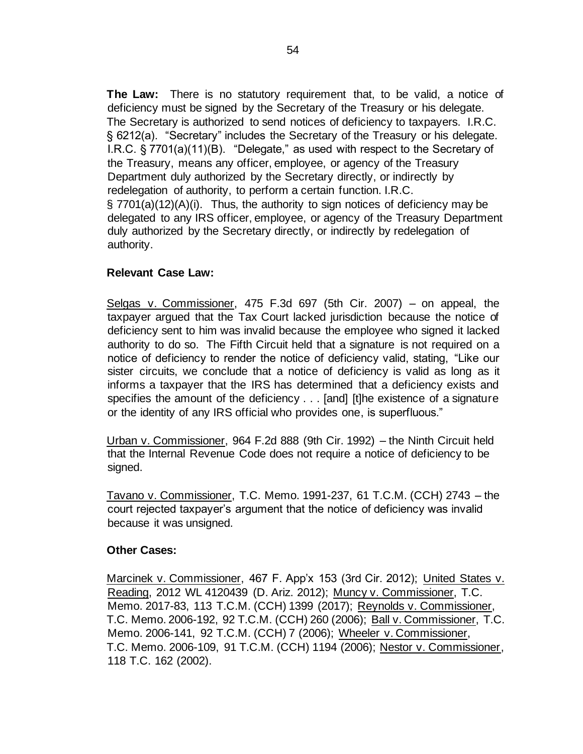**The Law:** There is no statutory requirement that, to be valid, a notice of deficiency must be signed by the Secretary of the Treasury or his delegate. The Secretary is authorized to send notices of deficiency to taxpayers. I.R.C. § 6212(a). "Secretary" includes the Secretary of the Treasury or his delegate. I.R.C. § 7701(a)(11)(B). "Delegate," as used with respect to the Secretary of the Treasury, means any officer, employee, or agency of the Treasury Department duly authorized by the Secretary directly, or indirectly by redelegation of authority, to perform a certain function. I.R.C. § 7701(a)(12)(A)(i). Thus, the authority to sign notices of deficiency may be delegated to any IRS officer, employee, or agency of the Treasury Department duly authorized by the Secretary directly, or indirectly by redelegation of authority.

## **Relevant Case Law:**

Selgas v. Commissioner, 475 F.3d 697 (5th Cir. 2007) – on appeal, the taxpayer argued that the Tax Court lacked jurisdiction because the notice of deficiency sent to him was invalid because the employee who signed it lacked authority to do so. The Fifth Circuit held that a signature is not required on a notice of deficiency to render the notice of deficiency valid, stating, "Like our sister circuits, we conclude that a notice of deficiency is valid as long as it informs a taxpayer that the IRS has determined that a deficiency exists and specifies the amount of the deficiency . . . [and] [t]he existence of a signature or the identity of any IRS official who provides one, is superfluous."

Urban v. Commissioner, 964 F.2d 888 (9th Cir. 1992) – the Ninth Circuit held that the Internal Revenue Code does not require a notice of deficiency to be signed.

Tavano v. Commissioner, T.C. Memo. 1991-237, 61 T.C.M. (CCH) 2743 – the court rejected taxpayer's argument that the notice of deficiency was invalid because it was unsigned.

#### **Other Cases:**

Marcinek v. Commissioner, 467 F. App'x 153 (3rd Cir. 2012); United States v. Reading, 2012 WL 4120439 (D. Ariz. 2012); Muncy v. Commissioner, T.C. Memo. 2017-83, 113 T.C.M. (CCH) 1399 (2017); Reynolds v. Commissioner, T.C. Memo. 2006-192, 92 T.C.M. (CCH) 260 (2006); Ball v. Commissioner, T.C. Memo. 2006-141, 92 T.C.M. (CCH) 7 (2006); Wheeler v. Commissioner, T.C. Memo. 2006-109, 91 T.C.M. (CCH) 1194 (2006); Nestor v. Commissioner, 118 T.C. 162 (2002).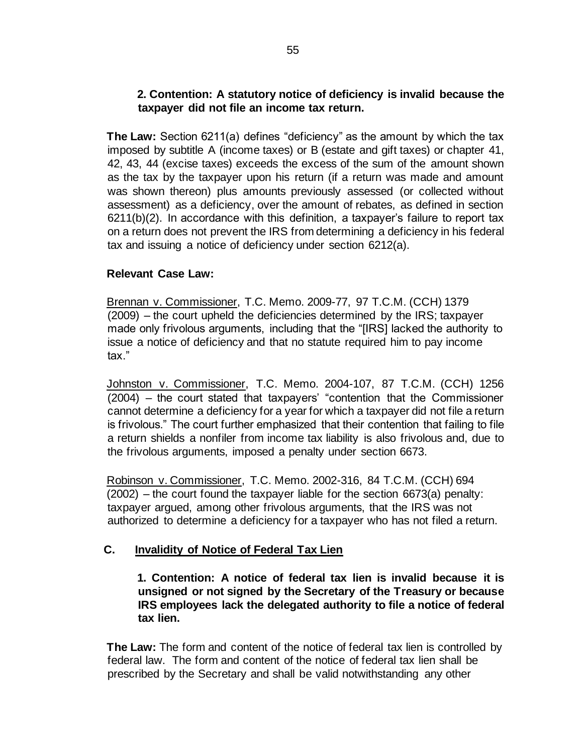## **2. Contention: A statutory notice of deficiency is invalid because the taxpayer did not file an income tax return.**

**The Law:** Section 6211(a) defines "deficiency" as the amount by which the tax imposed by subtitle A (income taxes) or B (estate and gift taxes) or chapter 41, 42, 43, 44 (excise taxes) exceeds the excess of the sum of the amount shown as the tax by the taxpayer upon his return (if a return was made and amount was shown thereon) plus amounts previously assessed (or collected without assessment) as a deficiency, over the amount of rebates, as defined in section 6211(b)(2). In accordance with this definition, a taxpayer's failure to report tax on a return does not prevent the IRS from determining a deficiency in his federal tax and issuing a notice of deficiency under section 6212(a).

## **Relevant Case Law:**

Brennan v. Commissioner, T.C. Memo. 2009-77, 97 T.C.M. (CCH) 1379 (2009) – the court upheld the deficiencies determined by the IRS; taxpayer made only frivolous arguments, including that the "[IRS] lacked the authority to issue a notice of deficiency and that no statute required him to pay income tax."

Johnston v. Commissioner, T.C. Memo. 2004-107, 87 T.C.M. (CCH) 1256 (2004) – the court stated that taxpayers' "contention that the Commissioner cannot determine a deficiency for a year for which a taxpayer did not file a return is frivolous." The court further emphasized that their contention that failing to file a return shields a nonfiler from income tax liability is also frivolous and, due to the frivolous arguments, imposed a penalty under section 6673.

Robinson v. Commissioner, T.C. Memo. 2002-316, 84 T.C.M. (CCH) 694 (2002) – the court found the taxpayer liable for the section 6673(a) penalty: taxpayer argued, among other frivolous arguments, that the IRS was not authorized to determine a deficiency for a taxpayer who has not filed a return.

# **C. Invalidity of Notice of Federal Tax Lien**

**1. Contention: A notice of federal tax lien is invalid because it is unsigned or not signed by the Secretary of the Treasury or because IRS employees lack the delegated authority to file a notice of federal tax lien.** 

**The Law:** The form and content of the notice of federal tax lien is controlled by federal law. The form and content of the notice of federal tax lien shall be prescribed by the Secretary and shall be valid notwithstanding any other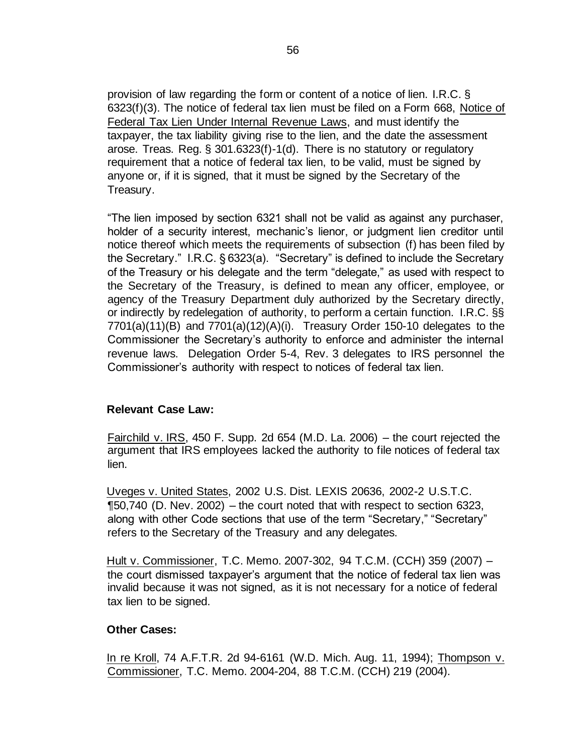provision of law regarding the form or content of a notice of lien. I.R.C. § 6323(f)(3). The notice of federal tax lien must be filed on a Form 668, Notice of Federal Tax Lien Under Internal Revenue Laws, and must identify the taxpayer, the tax liability giving rise to the lien, and the date the assessment arose. Treas. Reg. § 301.6323(f)-1(d). There is no statutory or regulatory requirement that a notice of federal tax lien, to be valid, must be signed by anyone or, if it is signed, that it must be signed by the Secretary of the Treasury.

"The lien imposed by section 6321 shall not be valid as against any purchaser, holder of a security interest, mechanic's lienor, or judgment lien creditor until notice thereof which meets the requirements of subsection (f) has been filed by the Secretary." I.R.C. § 6323(a). "Secretary" is defined to include the Secretary of the Treasury or his delegate and the term "delegate," as used with respect to the Secretary of the Treasury, is defined to mean any officer, employee, or agency of the Treasury Department duly authorized by the Secretary directly, or indirectly by redelegation of authority, to perform a certain function. I.R.C. §§  $7701(a)(11)(B)$  and  $7701(a)(12)(A)(i)$ . Treasury Order 150-10 delegates to the Commissioner the Secretary's authority to enforce and administer the internal revenue laws. Delegation Order 5-4, Rev. 3 delegates to IRS personnel the Commissioner's authority with respect to notices of federal tax lien.

#### **Relevant Case Law:**

Fairchild v. IRS, 450 F. Supp. 2d 654 (M.D. La. 2006) – the court rejected the argument that IRS employees lacked the authority to file notices of federal tax lien.

Uveges v. United States, 2002 U.S. Dist. LEXIS 20636, 2002-2 U.S.T.C.  $\P$ 50,740 (D. Nev. 2002) – the court noted that with respect to section 6323, along with other Code sections that use of the term "Secretary," "Secretary" refers to the Secretary of the Treasury and any delegates.

Hult v. Commissioner, T.C. Memo. 2007-302, 94 T.C.M. (CCH) 359 (2007) – the court dismissed taxpayer's argument that the notice of federal tax lien was invalid because it was not signed, as it is not necessary for a notice of federal tax lien to be signed.

#### **Other Cases:**

In re Kroll, 74 A.F.T.R. 2d 94-6161 (W.D. Mich. Aug. 11, 1994); Thompson v. Commissioner, T.C. Memo. 2004-204, 88 T.C.M. (CCH) 219 (2004).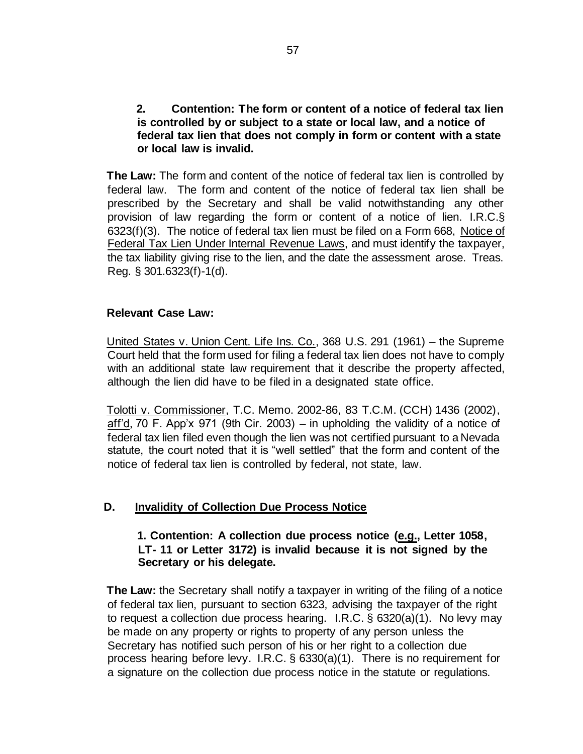## **2. Contention: The form or content of a notice of federal tax lien is controlled by or subject to a state or local law, and a notice of federal tax lien that does not comply in form or content with a state or local law is invalid.**

**The Law:** The form and content of the notice of federal tax lien is controlled by federal law. The form and content of the notice of federal tax lien shall be prescribed by the Secretary and shall be valid notwithstanding any other provision of law regarding the form or content of a notice of lien. I.R.C.§ 6323(f)(3). The notice of federal tax lien must be filed on a Form 668, Notice of Federal Tax Lien Under Internal Revenue Laws, and must identify the taxpayer, the tax liability giving rise to the lien, and the date the assessment arose. Treas. Reg. § 301.6323(f)-1(d).

## **Relevant Case Law:**

United States v. Union Cent. Life Ins. Co., 368 U.S. 291 (1961) – the Supreme Court held that the form used for filing a federal tax lien does not have to comply with an additional state law requirement that it describe the property affected, although the lien did have to be filed in a designated state office.

Tolotti v. Commissioner, T.C. Memo. 2002-86, 83 T.C.M. (CCH) 1436 (2002), aff'd, 70 F. App'x 971 (9th Cir. 2003) – in upholding the validity of a notice of federal tax lien filed even though the lien was not certified pursuant to a Nevada statute, the court noted that it is "well settled" that the form and content of the notice of federal tax lien is controlled by federal, not state, law.

# **D. Invalidity of Collection Due Process Notice**

## **1. Contention: A collection due process notice (e.g., Letter 1058, LT- 11 or Letter 3172) is invalid because it is not signed by the Secretary or his delegate.**

**The Law:** the Secretary shall notify a taxpayer in writing of the filing of a notice of federal tax lien, pursuant to section 6323, advising the taxpayer of the right to request a collection due process hearing. I.R.C. § 6320(a)(1). No levy may be made on any property or rights to property of any person unless the Secretary has notified such person of his or her right to a collection due process hearing before levy. I.R.C. § 6330(a)(1). There is no requirement for a signature on the collection due process notice in the statute or regulations.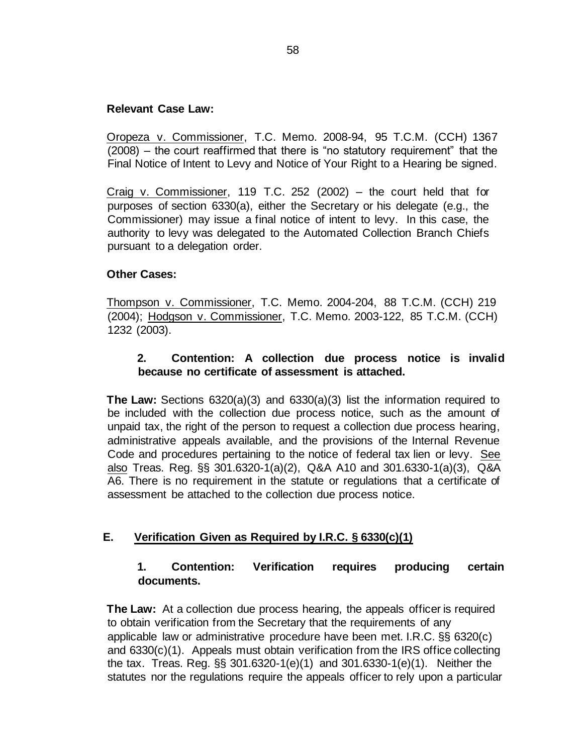## **Relevant Case Law:**

Oropeza v. Commissioner, T.C. Memo. 2008-94, 95 T.C.M. (CCH) 1367 (2008) – the court reaffirmed that there is "no statutory requirement" that the Final Notice of Intent to Levy and Notice of Your Right to a Hearing be signed.

Craig v. Commissioner, 119 T.C. 252 (2002) – the court held that for purposes of section 6330(a), either the Secretary or his delegate (e.g., the Commissioner) may issue a final notice of intent to levy. In this case, the authority to levy was delegated to the Automated Collection Branch Chiefs pursuant to a delegation order.

## **Other Cases:**

Thompson v. Commissioner, T.C. Memo. 2004-204, 88 T.C.M. (CCH) 219 (2004); Hodgson v. Commissioner, T.C. Memo. 2003-122, 85 T.C.M. (CCH) 1232 (2003).

## **2. Contention: A collection due process notice is invalid because no certificate of assessment is attached.**

**The Law:** Sections 6320(a)(3) and 6330(a)(3) list the information required to be included with the collection due process notice, such as the amount of unpaid tax, the right of the person to request a collection due process hearing, administrative appeals available, and the provisions of the Internal Revenue Code and procedures pertaining to the notice of federal tax lien or levy. See also Treas. Reg. §§ 301.6320-1(a)(2), Q&A A10 and 301.6330-1(a)(3), Q&A A6. There is no requirement in the statute or regulations that a certificate of assessment be attached to the collection due process notice.

## **E. Verification Given as Required by I.R.C. § 6330(c)(1)**

## **1. Contention: Verification requires producing certain documents.**

**The Law:** At a collection due process hearing, the appeals officer is required to obtain verification from the Secretary that the requirements of any applicable law or administrative procedure have been met. I.R.C. §§ 6320(c) and 6330(c)(1). Appeals must obtain verification from the IRS office collecting the tax. Treas. Reg. §§ 301.6320-1(e)(1) and 301.6330-1(e)(1). Neither the statutes nor the regulations require the appeals officer to rely upon a particular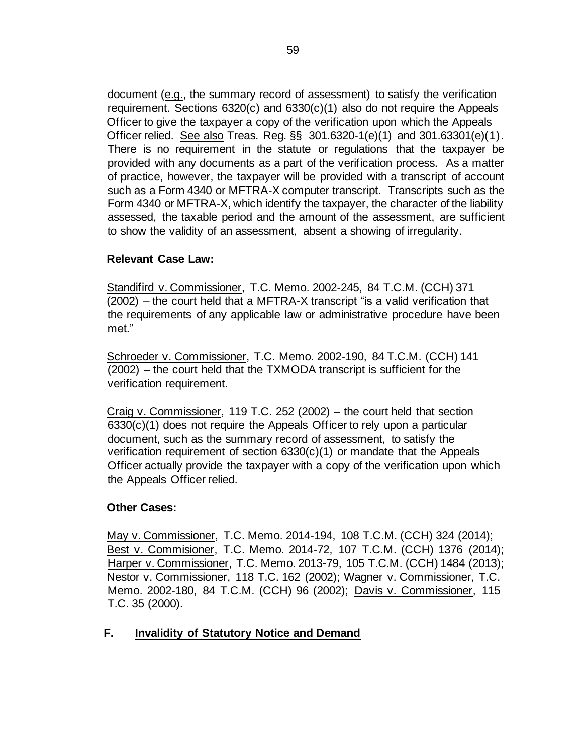document (e.g., the summary record of assessment) to satisfy the verification requirement. Sections 6320(c) and 6330(c)(1) also do not require the Appeals Officer to give the taxpayer a copy of the verification upon which the Appeals Officer relied. See also Treas. Reg. §§ 301.6320-1(e)(1) and 301.63301(e)(1). There is no requirement in the statute or regulations that the taxpayer be provided with any documents as a part of the verification process. As a matter of practice, however, the taxpayer will be provided with a transcript of account such as a Form 4340 or MFTRA-X computer transcript. Transcripts such as the Form 4340 or MFTRA-X, which identify the taxpayer, the character of the liability assessed, the taxable period and the amount of the assessment, are sufficient to show the validity of an assessment, absent a showing of irregularity.

## **Relevant Case Law:**

Standifird v. Commissioner, T.C. Memo. 2002-245, 84 T.C.M. (CCH) 371 (2002) – the court held that a MFTRA-X transcript "is a valid verification that the requirements of any applicable law or administrative procedure have been met."

Schroeder v. Commissioner, T.C. Memo. 2002-190, 84 T.C.M. (CCH) 141 (2002) – the court held that the TXMODA transcript is sufficient for the verification requirement.

Craig v. Commissioner, 119 T.C. 252 (2002) – the court held that section 6330(c)(1) does not require the Appeals Officer to rely upon a particular document, such as the summary record of assessment, to satisfy the verification requirement of section 6330(c)(1) or mandate that the Appeals Officer actually provide the taxpayer with a copy of the verification upon which the Appeals Officer relied.

## **Other Cases:**

May v. Commissioner, T.C. Memo. 2014-194, 108 T.C.M. (CCH) 324 (2014); Best v. Commisioner, T.C. Memo. 2014-72, 107 T.C.M. (CCH) 1376 (2014); Harper v. Commissioner, T.C. Memo. 2013-79, 105 T.C.M. (CCH) 1484 (2013); Nestor v. Commissioner, 118 T.C. 162 (2002); Wagner v. Commissioner, T.C. Memo. 2002-180, 84 T.C.M. (CCH) 96 (2002); Davis v. Commissioner, 115 T.C. 35 (2000).

# **F. Invalidity of Statutory Notice and Demand**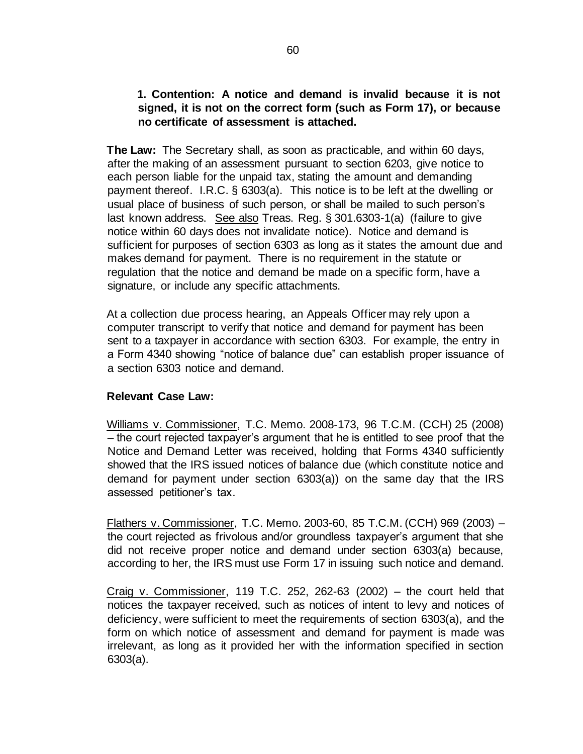## **1. Contention: A notice and demand is invalid because it is not signed, it is not on the correct form (such as Form 17), or because no certificate of assessment is attached.**

**The Law:** The Secretary shall, as soon as practicable, and within 60 days, after the making of an assessment pursuant to section 6203, give notice to each person liable for the unpaid tax, stating the amount and demanding payment thereof. I.R.C. § 6303(a). This notice is to be left at the dwelling or usual place of business of such person, or shall be mailed to such person's last known address. See also Treas. Reg. § 301.6303-1(a) (failure to give notice within 60 days does not invalidate notice). Notice and demand is sufficient for purposes of section 6303 as long as it states the amount due and makes demand for payment. There is no requirement in the statute or regulation that the notice and demand be made on a specific form, have a signature, or include any specific attachments.

At a collection due process hearing, an Appeals Officer may rely upon a computer transcript to verify that notice and demand for payment has been sent to a taxpayer in accordance with section 6303. For example, the entry in a Form 4340 showing "notice of balance due" can establish proper issuance of a section 6303 notice and demand.

## **Relevant Case Law:**

Williams v. Commissioner, T.C. Memo. 2008-173, 96 T.C.M. (CCH) 25 (2008) – the court rejected taxpayer's argument that he is entitled to see proof that the Notice and Demand Letter was received, holding that Forms 4340 sufficiently showed that the IRS issued notices of balance due (which constitute notice and demand for payment under section 6303(a)) on the same day that the IRS assessed petitioner's tax.

Flathers v. Commissioner, T.C. Memo. 2003-60, 85 T.C.M. (CCH) 969 (2003) – the court rejected as frivolous and/or groundless taxpayer's argument that she did not receive proper notice and demand under section 6303(a) because, according to her, the IRS must use Form 17 in issuing such notice and demand.

Craig v. Commissioner, 119 T.C. 252, 262-63 (2002) – the court held that notices the taxpayer received, such as notices of intent to levy and notices of deficiency, were sufficient to meet the requirements of section 6303(a), and the form on which notice of assessment and demand for payment is made was irrelevant, as long as it provided her with the information specified in section 6303(a).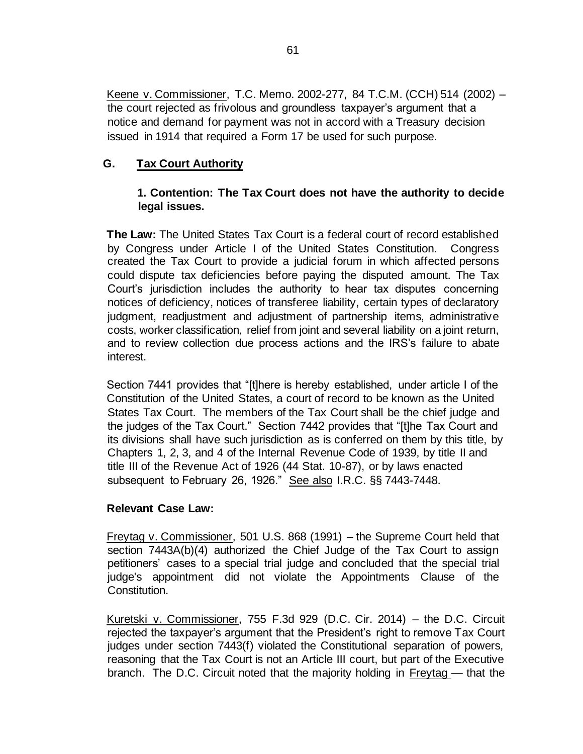Keene v. Commissioner, T.C. Memo. 2002-277, 84 T.C.M. (CCH) 514 (2002) – the court rejected as frivolous and groundless taxpayer's argument that a notice and demand for payment was not in accord with a Treasury decision issued in 1914 that required a Form 17 be used for such purpose.

# **G. Tax Court Authority**

# **1. Contention: The Tax Court does not have the authority to decide legal issues.**

**The Law:** The United States Tax Court is a federal court of record established by Congress under Article I of the United States Constitution. Congress created the Tax Court to provide a judicial forum in which affected persons could dispute tax deficiencies before paying the disputed amount. The Tax Court's jurisdiction includes the authority to hear tax disputes concerning notices of deficiency, notices of transferee liability, certain types of declaratory judgment, readjustment and adjustment of partnership items, administrative costs, worker classification, relief from joint and several liability on a joint return, and to review collection due process actions and the IRS's failure to abate interest.

Section 7441 provides that "[t]here is hereby established, under article I of the Constitution of the United States, a court of record to be known as the United States Tax Court. The members of the Tax Court shall be the chief judge and the judges of the Tax Court." Section 7442 provides that "[t]he Tax Court and its divisions shall have such jurisdiction as is conferred on them by this title, by Chapters 1, 2, 3, and 4 of the Internal Revenue Code of 1939, by title II and title III of the Revenue Act of 1926 (44 Stat. 10-87), or by laws enacted subsequent to February 26, 1926." See also I.R.C. §§ 7443-7448.

## **Relevant Case Law:**

Freytag v. Commissioner, 501 U.S. 868 (1991) – the Supreme Court held that section 7443A(b)(4) authorized the Chief Judge of the Tax Court to assign petitioners' cases to a special trial judge and concluded that the special trial judge's appointment did not violate the Appointments Clause of the Constitution.

Kuretski v. Commissioner, 755 F.3d 929 (D.C. Cir. 2014) – the D.C. Circuit rejected the taxpayer's argument that the President's right to remove Tax Court judges under section 7443(f) violated the Constitutional separation of powers, reasoning that the Tax Court is not an Article III court, but part of the Executive branch. The D.C. Circuit noted that the majority holding in Freytag — that the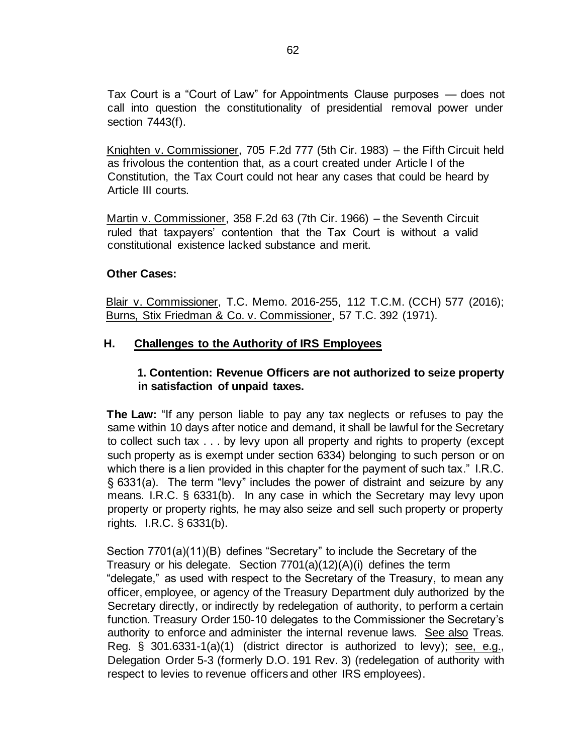Tax Court is a "Court of Law" for Appointments Clause purposes — does not call into question the constitutionality of presidential removal power under section 7443(f).

Knighten v. Commissioner, 705 F.2d 777 (5th Cir. 1983) – the Fifth Circuit held as frivolous the contention that, as a court created under Article I of the Constitution, the Tax Court could not hear any cases that could be heard by Article III courts.

Martin v. Commissioner, 358 F.2d 63 (7th Cir. 1966) – the Seventh Circuit ruled that taxpayers' contention that the Tax Court is without a valid constitutional existence lacked substance and merit.

## **Other Cases:**

Blair v. Commissioner, T.C. Memo. 2016-255, 112 T.C.M. (CCH) 577 (2016); Burns, Stix Friedman & Co. v. Commissioner, 57 T.C. 392 (1971).

## **H. Challenges to the Authority of IRS Employees**

# **1. Contention: Revenue Officers are not authorized to seize property in satisfaction of unpaid taxes.**

**The Law:** "If any person liable to pay any tax neglects or refuses to pay the same within 10 days after notice and demand, it shall be lawful for the Secretary to collect such tax . . . by levy upon all property and rights to property (except such property as is exempt under section 6334) belonging to such person or on which there is a lien provided in this chapter for the payment of such tax." I.R.C. § 6331(a). The term "levy" includes the power of distraint and seizure by any means. I.R.C. § 6331(b). In any case in which the Secretary may levy upon property or property rights, he may also seize and sell such property or property rights. I.R.C. § 6331(b).

Section 7701(a)(11)(B) defines "Secretary" to include the Secretary of the Treasury or his delegate. Section 7701(a)(12)(A)(i) defines the term "delegate," as used with respect to the Secretary of the Treasury, to mean any officer, employee, or agency of the Treasury Department duly authorized by the Secretary directly, or indirectly by redelegation of authority, to perform a certain function. Treasury Order 150-10 delegates to the Commissioner the Secretary's authority to enforce and administer the internal revenue laws. See also Treas. Reg. § 301.6331-1(a)(1) (district director is authorized to levy); see, e.g., Delegation Order 5-3 (formerly D.O. 191 Rev. 3) (redelegation of authority with respect to levies to revenue officers and other IRS employees).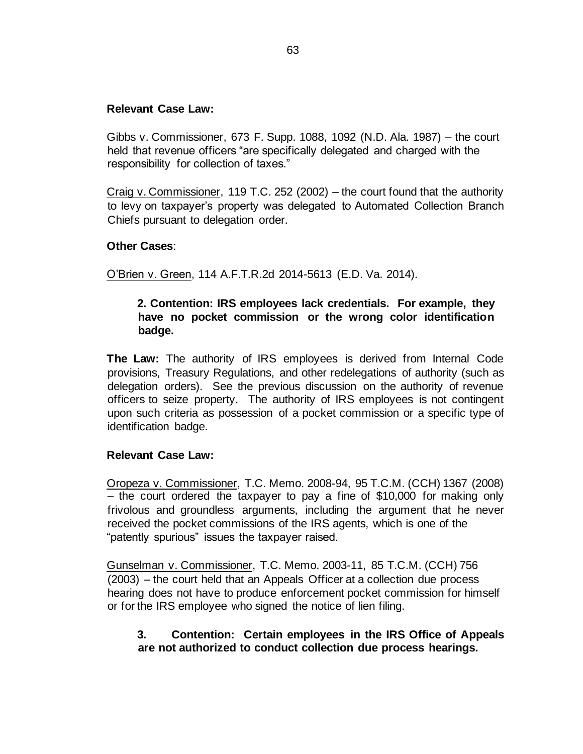### **Relevant Case Law:**

Gibbs v. Commissioner, 673 F. Supp. 1088, 1092 (N.D. Ala. 1987) – the court held that revenue officers "are specifically delegated and charged with the responsibility for collection of taxes."

Craig v. Commissioner, 119 T.C. 252 (2002) – the court found that the authority to levy on taxpayer's property was delegated to Automated Collection Branch Chiefs pursuant to delegation order.

### **Other Cases**:

O'Brien v. Green, 114 A.F.T.R.2d 2014-5613 (E.D. Va. 2014).

## **2. Contention: IRS employees lack credentials. For example, they have no pocket commission or the wrong color identification badge.**

**The Law:** The authority of IRS employees is derived from Internal Code provisions, Treasury Regulations, and other redelegations of authority (such as delegation orders). See the previous discussion on the authority of revenue officers to seize property. The authority of IRS employees is not contingent upon such criteria as possession of a pocket commission or a specific type of identification badge.

## **Relevant Case Law:**

Oropeza v. Commissioner, T.C. Memo. 2008-94, 95 T.C.M. (CCH) 1367 (2008) – the court ordered the taxpayer to pay a fine of \$10,000 for making only frivolous and groundless arguments, including the argument that he never received the pocket commissions of the IRS agents, which is one of the "patently spurious" issues the taxpayer raised.

Gunselman v. Commissioner, T.C. Memo. 2003-11, 85 T.C.M. (CCH) 756 (2003) – the court held that an Appeals Officer at a collection due process hearing does not have to produce enforcement pocket commission for himself or for the IRS employee who signed the notice of lien filing.

## **3. Contention: Certain employees in the IRS Office of Appeals are not authorized to conduct collection due process hearings.**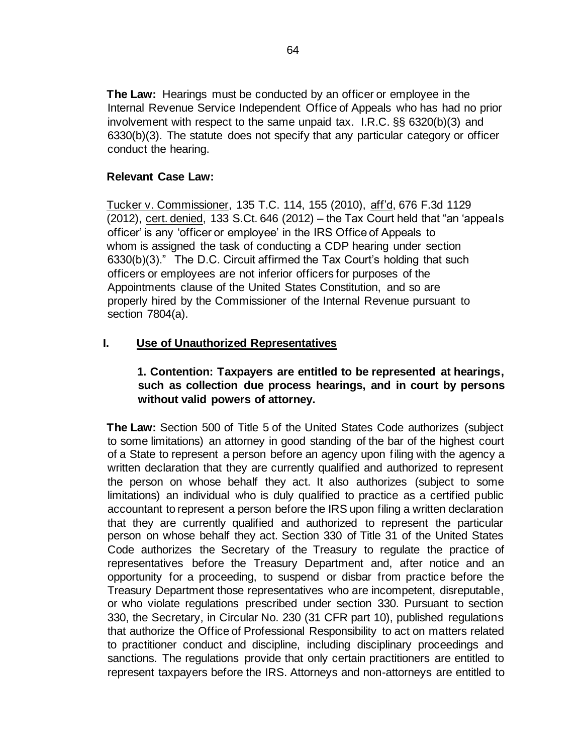**The Law:** Hearings must be conducted by an officer or employee in the Internal Revenue Service Independent Office of Appeals who has had no prior involvement with respect to the same unpaid tax. I.R.C. §§ 6320(b)(3) and 6330(b)(3). The statute does not specify that any particular category or officer conduct the hearing.

## **Relevant Case Law:**

Tucker v. Commissioner, 135 T.C. 114, 155 (2010), aff'd, 676 F.3d 1129 (2012), cert. denied, 133 S.Ct. 646 (2012) – the Tax Court held that "an 'appeals officer' is any 'officer or employee' in the IRS Office of Appeals to whom is assigned the task of conducting a CDP hearing under section 6330(b)(3)." The D.C. Circuit affirmed the Tax Court's holding that such officers or employees are not inferior officers for purposes of the Appointments clause of the United States Constitution, and so are properly hired by the Commissioner of the Internal Revenue pursuant to section 7804(a).

# **I. Use of Unauthorized Representatives**

## **1. Contention: Taxpayers are entitled to be represented at hearings, such as collection due process hearings, and in court by persons without valid powers of attorney.**

**The Law:** Section 500 of Title 5 of the United States Code authorizes (subject to some limitations) an attorney in good standing of the bar of the highest court of a State to represent a person before an agency upon filing with the agency a written declaration that they are currently qualified and authorized to represent the person on whose behalf they act. It also authorizes (subject to some limitations) an individual who is duly qualified to practice as a certified public accountant to represent a person before the IRS upon filing a written declaration that they are currently qualified and authorized to represent the particular person on whose behalf they act. Section 330 of Title 31 of the United States Code authorizes the Secretary of the Treasury to regulate the practice of representatives before the Treasury Department and, after notice and an opportunity for a proceeding, to suspend or disbar from practice before the Treasury Department those representatives who are incompetent, disreputable, or who violate regulations prescribed under section 330. Pursuant to section 330, the Secretary, in Circular No. 230 (31 CFR part 10), published regulations that authorize the Office of Professional Responsibility to act on matters related to practitioner conduct and discipline, including disciplinary proceedings and sanctions. The regulations provide that only certain practitioners are entitled to represent taxpayers before the IRS. Attorneys and non-attorneys are entitled to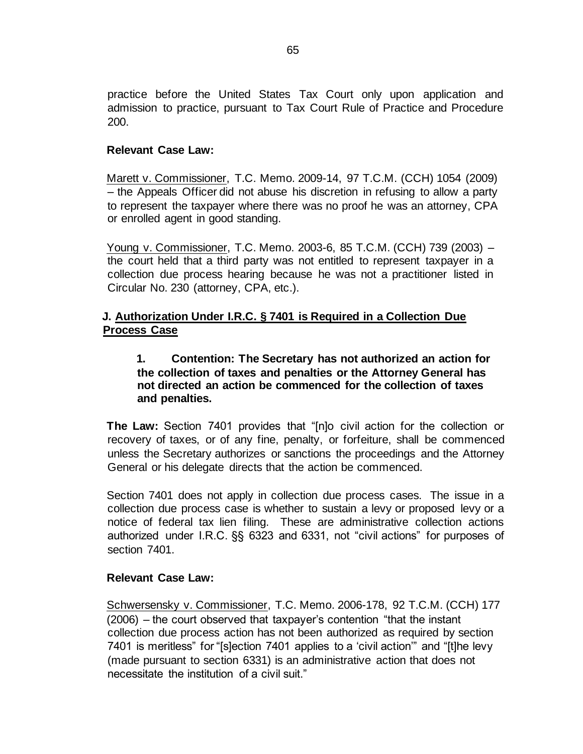practice before the United States Tax Court only upon application and admission to practice, pursuant to Tax Court Rule of Practice and Procedure 200.

## **Relevant Case Law:**

Marett v. Commissioner, T.C. Memo. 2009-14, 97 T.C.M. (CCH) 1054 (2009) – the Appeals Officer did not abuse his discretion in refusing to allow a party to represent the taxpayer where there was no proof he was an attorney, CPA or enrolled agent in good standing.

Young v. Commissioner, T.C. Memo. 2003-6, 85 T.C.M. (CCH) 739 (2003) – the court held that a third party was not entitled to represent taxpayer in a collection due process hearing because he was not a practitioner listed in Circular No. 230 (attorney, CPA, etc.).

# **J. Authorization Under I.R.C. § 7401 is Required in a Collection Due Process Case**

## **1. Contention: The Secretary has not authorized an action for the collection of taxes and penalties or the Attorney General has not directed an action be commenced for the collection of taxes and penalties.**

**The Law:** Section 7401 provides that "[n]o civil action for the collection or recovery of taxes, or of any fine, penalty, or forfeiture, shall be commenced unless the Secretary authorizes or sanctions the proceedings and the Attorney General or his delegate directs that the action be commenced.

Section 7401 does not apply in collection due process cases. The issue in a collection due process case is whether to sustain a levy or proposed levy or a notice of federal tax lien filing. These are administrative collection actions authorized under I.R.C. §§ 6323 and 6331, not "civil actions" for purposes of section 7401.

## **Relevant Case Law:**

Schwersensky v. Commissioner, T.C. Memo. 2006-178, 92 T.C.M. (CCH) 177 (2006) – the court observed that taxpayer's contention "that the instant collection due process action has not been authorized as required by section 7401 is meritless" for "[s]ection 7401 applies to a 'civil action'" and "[t]he levy (made pursuant to section 6331) is an administrative action that does not necessitate the institution of a civil suit."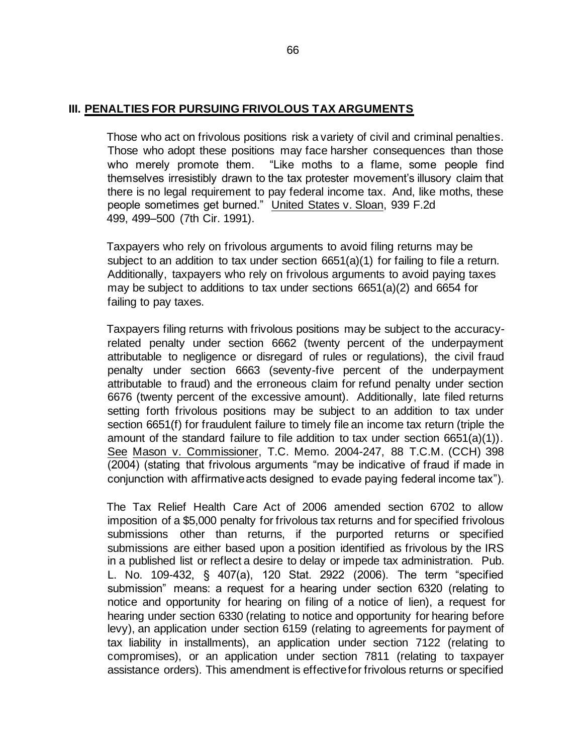### **III. PENALTIES FOR PURSUING FRIVOLOUS TAX ARGUMENTS**

Those who act on frivolous positions risk a variety of civil and criminal penalties. Those who adopt these positions may face harsher consequences than those who merely promote them. "Like moths to a flame, some people find themselves irresistibly drawn to the tax protester movement's illusory claim that there is no legal requirement to pay federal income tax. And, like moths, these people sometimes get burned." United States v. Sloan, 939 F.2d 499, 499–500 (7th Cir. 1991).

Taxpayers who rely on frivolous arguments to avoid filing returns may be subject to an addition to tax under section 6651(a)(1) for failing to file a return. Additionally, taxpayers who rely on frivolous arguments to avoid paying taxes may be subject to additions to tax under sections 6651(a)(2) and 6654 for failing to pay taxes.

Taxpayers filing returns with frivolous positions may be subject to the accuracyrelated penalty under section 6662 (twenty percent of the underpayment attributable to negligence or disregard of rules or regulations), the civil fraud penalty under section 6663 (seventy-five percent of the underpayment attributable to fraud) and the erroneous claim for refund penalty under section 6676 (twenty percent of the excessive amount). Additionally, late filed returns setting forth frivolous positions may be subject to an addition to tax under section 6651(f) for fraudulent failure to timely file an income tax return (triple the amount of the standard failure to file addition to tax under section  $6651(a)(1)$ . See Mason v. Commissioner, T.C. Memo. 2004-247, 88 T.C.M. (CCH) 398 (2004) (stating that frivolous arguments "may be indicative of fraud if made in conjunction with affirmative acts designed to evade paying federal income tax").

The Tax Relief Health Care Act of 2006 amended section 6702 to allow imposition of a \$5,000 penalty for frivolous tax returns and for specified frivolous submissions other than returns, if the purported returns or specified submissions are either based upon a position identified as frivolous by the IRS in a published list or reflect a desire to delay or impede tax administration. Pub. L. No. 109-432, § 407(a), 120 Stat. 2922 (2006). The term "specified submission" means: a request for a hearing under section 6320 (relating to notice and opportunity for hearing on filing of a notice of lien), a request for hearing under section 6330 (relating to notice and opportunity for hearing before levy), an application under section 6159 (relating to agreements for payment of tax liability in installments), an application under section 7122 (relating to compromises), or an application under section 7811 (relating to taxpayer assistance orders). This amendment is effective for frivolous returns or specified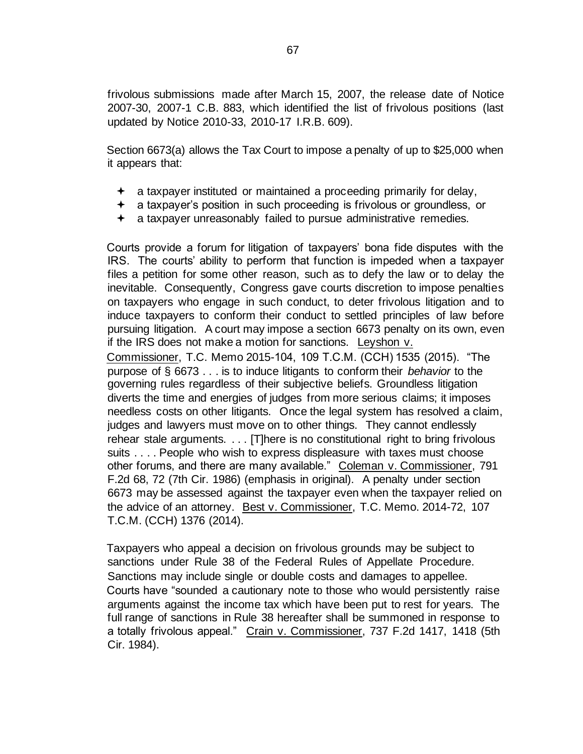frivolous submissions made after March 15, 2007, the release date of Notice 2007-30, 2007-1 C.B. 883, which identified the list of frivolous positions (last updated by Notice 2010-33, 2010-17 I.R.B. 609).

Section 6673(a) allows the Tax Court to impose a penalty of up to \$25,000 when it appears that:

- $\div$  a taxpayer instituted or maintained a proceeding primarily for delay,
- a taxpayer's position in such proceeding is frivolous or groundless, or
- a taxpayer unreasonably failed to pursue administrative remedies.

Courts provide a forum for litigation of taxpayers' bona fide disputes with the IRS. The courts' ability to perform that function is impeded when a taxpayer files a petition for some other reason, such as to defy the law or to delay the inevitable. Consequently, Congress gave courts discretion to impose penalties on taxpayers who engage in such conduct, to deter frivolous litigation and to induce taxpayers to conform their conduct to settled principles of law before pursuing litigation. A court may impose a section 6673 penalty on its own, even if the IRS does not make a motion for sanctions. Leyshon v.

Commissioner, T.C. Memo 2015-104, 109 T.C.M. (CCH) 1535 (2015). "The purpose of § 6673 . . . is to induce litigants to conform their *behavior* to the governing rules regardless of their subjective beliefs. Groundless litigation diverts the time and energies of judges from more serious claims; it imposes needless costs on other litigants. Once the legal system has resolved a claim, judges and lawyers must move on to other things. They cannot endlessly rehear stale arguments. . . . [T]here is no constitutional right to bring frivolous suits . . . . People who wish to express displeasure with taxes must choose other forums, and there are many available." Coleman v. Commissioner, 791 F.2d 68, 72 (7th Cir. 1986) (emphasis in original). A penalty under section 6673 may be assessed against the taxpayer even when the taxpayer relied on the advice of an attorney. Best v. Commissioner, T.C. Memo. 2014-72, 107 T.C.M. (CCH) 1376 (2014).

Taxpayers who appeal a decision on frivolous grounds may be subject to sanctions under Rule 38 of the Federal Rules of Appellate Procedure. Sanctions may include single or double costs and damages to appellee. Courts have "sounded a cautionary note to those who would persistently raise arguments against the income tax which have been put to rest for years. The full range of sanctions in Rule 38 hereafter shall be summoned in response to a totally frivolous appeal." Crain v. Commissioner, 737 F.2d 1417, 1418 (5th Cir. 1984).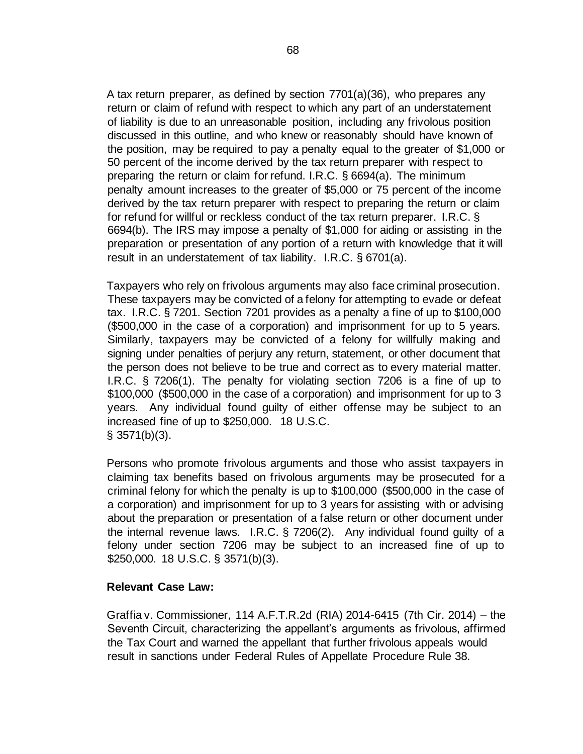A tax return preparer, as defined by section 7701(a)(36), who prepares any return or claim of refund with respect to which any part of an understatement of liability is due to an unreasonable position, including any frivolous position discussed in this outline, and who knew or reasonably should have known of the position, may be required to pay a penalty equal to the greater of \$1,000 or 50 percent of the income derived by the tax return preparer with respect to preparing the return or claim for refund. I.R.C. § 6694(a). The minimum penalty amount increases to the greater of \$5,000 or 75 percent of the income derived by the tax return preparer with respect to preparing the return or claim for refund for willful or reckless conduct of the tax return preparer. I.R.C. § 6694(b). The IRS may impose a penalty of \$1,000 for aiding or assisting in the preparation or presentation of any portion of a return with knowledge that it will result in an understatement of tax liability. I.R.C. § 6701(a).

Taxpayers who rely on frivolous arguments may also face criminal prosecution. These taxpayers may be convicted of a felony for attempting to evade or defeat tax. I.R.C. § 7201. Section 7201 provides as a penalty a fine of up to \$100,000 (\$500,000 in the case of a corporation) and imprisonment for up to 5 years. Similarly, taxpayers may be convicted of a felony for willfully making and signing under penalties of perjury any return, statement, or other document that the person does not believe to be true and correct as to every material matter. I.R.C. § 7206(1). The penalty for violating section 7206 is a fine of up to \$100,000 (\$500,000 in the case of a corporation) and imprisonment for up to 3 years. Any individual found guilty of either offense may be subject to an increased fine of up to \$250,000. 18 U.S.C. § 3571(b)(3).

Persons who promote frivolous arguments and those who assist taxpayers in claiming tax benefits based on frivolous arguments may be prosecuted for a criminal felony for which the penalty is up to \$100,000 (\$500,000 in the case of a corporation) and imprisonment for up to 3 years for assisting with or advising about the preparation or presentation of a false return or other document under the internal revenue laws. I.R.C. § 7206(2). Any individual found guilty of a felony under section 7206 may be subject to an increased fine of up to \$250,000. 18 U.S.C. § 3571(b)(3).

#### **Relevant Case Law:**

Graffia v. Commissioner, 114 A.F.T.R.2d (RIA) 2014-6415 (7th Cir. 2014) – the Seventh Circuit, characterizing the appellant's arguments as frivolous, affirmed the Tax Court and warned the appellant that further frivolous appeals would result in sanctions under Federal Rules of Appellate Procedure Rule 38.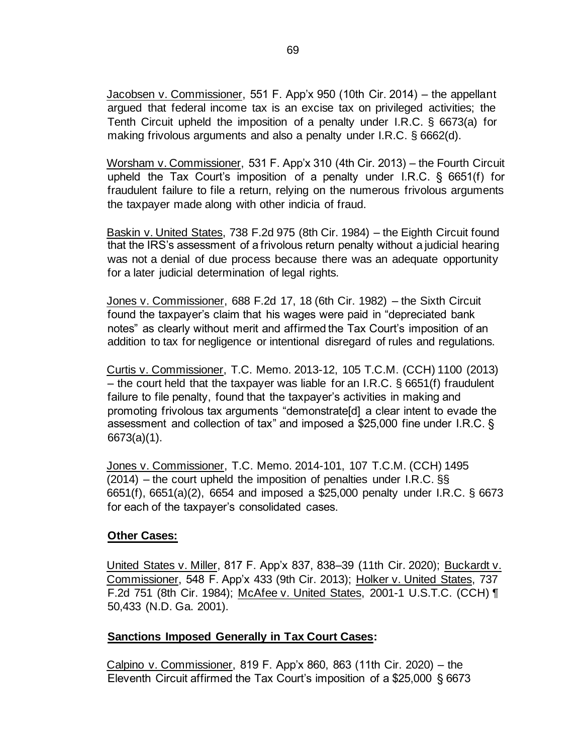Jacobsen v. Commissioner, 551 F. App'x 950 (10th Cir. 2014) – the appellant argued that federal income tax is an excise tax on privileged activities; the Tenth Circuit upheld the imposition of a penalty under I.R.C. § 6673(a) for making frivolous arguments and also a penalty under I.R.C. § 6662(d).

Worsham v. Commissioner, 531 F. App'x 310 (4th Cir. 2013) – the Fourth Circuit upheld the Tax Court's imposition of a penalty under I.R.C. § 6651(f) for fraudulent failure to file a return, relying on the numerous frivolous arguments the taxpayer made along with other indicia of fraud.

Baskin v. United States, 738 F.2d 975 (8th Cir. 1984) – the Eighth Circuit found that the IRS's assessment of a frivolous return penalty without a judicial hearing was not a denial of due process because there was an adequate opportunity for a later judicial determination of legal rights.

Jones v. Commissioner, 688 F.2d 17, 18 (6th Cir. 1982) – the Sixth Circuit found the taxpayer's claim that his wages were paid in "depreciated bank notes" as clearly without merit and affirmed the Tax Court's imposition of an addition to tax for negligence or intentional disregard of rules and regulations.

Curtis v. Commissioner, T.C. Memo. 2013-12, 105 T.C.M. (CCH) 1100 (2013) – the court held that the taxpayer was liable for an I.R.C.  $\S$  6651(f) fraudulent failure to file penalty, found that the taxpayer's activities in making and promoting frivolous tax arguments "demonstrate[d] a clear intent to evade the assessment and collection of tax" and imposed a \$25,000 fine under I.R.C. § 6673(a)(1).

Jones v. Commissioner, T.C. Memo. 2014-101, 107 T.C.M. (CCH) 1495  $(2014)$  – the court upheld the imposition of penalties under I.R.C. §§ 6651(f), 6651(a)(2), 6654 and imposed a \$25,000 penalty under I.R.C. § 6673 for each of the taxpayer's consolidated cases.

## **Other Cases:**

United States v. Miller, 817 F. App'x 837, 838–39 (11th Cir. 2020); Buckardt v. Commissioner, 548 F. App'x 433 (9th Cir. 2013); Holker v. United States, 737 F.2d 751 (8th Cir. 1984); McAfee v. United States, 2001-1 U.S.T.C. (CCH) ¶ 50,433 (N.D. Ga. 2001).

## **Sanctions Imposed Generally in Tax Court Cases:**

Calpino v. Commissioner, 819 F. App'x 860, 863 (11th Cir. 2020) – the Eleventh Circuit affirmed the Tax Court's imposition of a \$25,000 § 6673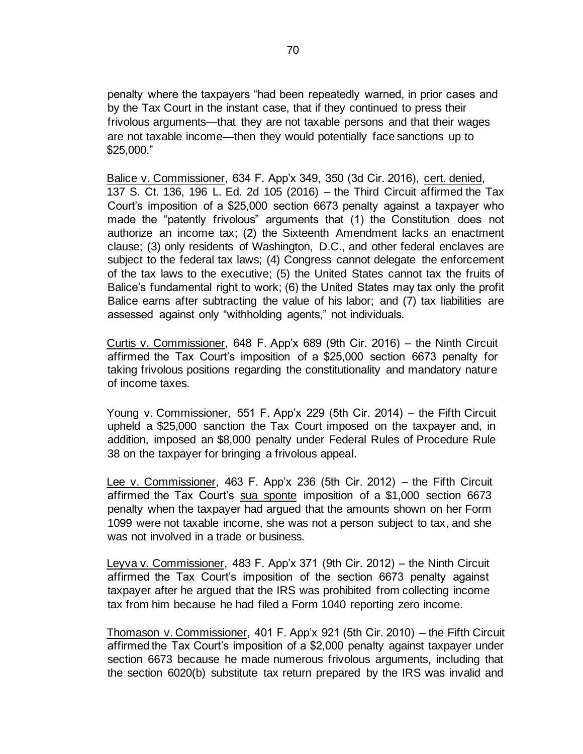penalty where the taxpayers "had been repeatedly warned, in prior cases and by the Tax Court in the instant case, that if they continued to press their frivolous arguments—that they are not taxable persons and that their wages are not taxable income—then they would potentially face sanctions up to \$25,000."

Balice v. Commissioner, 634 F. App'x 349, 350 (3d Cir. 2016), cert. denied, 137 S. Ct. 136, 196 L. Ed. 2d 105 (2016) – the Third Circuit affirmed the Tax Court's imposition of a \$25,000 section 6673 penalty against a taxpayer who made the "patently frivolous" arguments that (1) the Constitution does not authorize an income tax; (2) the Sixteenth Amendment lacks an enactment clause; (3) only residents of Washington, D.C., and other federal enclaves are subject to the federal tax laws; (4) Congress cannot delegate the enforcement of the tax laws to the executive; (5) the United States cannot tax the fruits of Balice's fundamental right to work; (6) the United States may tax only the profit Balice earns after subtracting the value of his labor; and (7) tax liabilities are assessed against only "withholding agents," not individuals.

Curtis v. Commissioner, 648 F. App'x 689 (9th Cir. 2016) – the Ninth Circuit affirmed the Tax Court's imposition of a \$25,000 section 6673 penalty for taking frivolous positions regarding the constitutionality and mandatory nature of income taxes.

Young v. Commissioner, 551 F. App'x 229 (5th Cir. 2014) – the Fifth Circuit upheld a \$25,000 sanction the Tax Court imposed on the taxpayer and, in addition, imposed an \$8,000 penalty under Federal Rules of Procedure Rule 38 on the taxpayer for bringing a frivolous appeal.

Lee v. Commissioner, 463 F. App'x 236 (5th Cir. 2012) – the Fifth Circuit affirmed the Tax Court's sua sponte imposition of a \$1,000 section 6673 penalty when the taxpayer had argued that the amounts shown on her Form 1099 were not taxable income, she was not a person subject to tax, and she was not involved in a trade or business.

Leyva v. Commissioner, 483 F. App'x 371 (9th Cir. 2012) – the Ninth Circuit affirmed the Tax Court's imposition of the section 6673 penalty against taxpayer after he argued that the IRS was prohibited from collecting income tax from him because he had filed a Form 1040 reporting zero income.

Thomason v. Commissioner, 401 F. App'x 921 (5th Cir. 2010) – the Fifth Circuit affirmed the Tax Court's imposition of a \$2,000 penalty against taxpayer under section 6673 because he made numerous frivolous arguments, including that the section 6020(b) substitute tax return prepared by the IRS was invalid and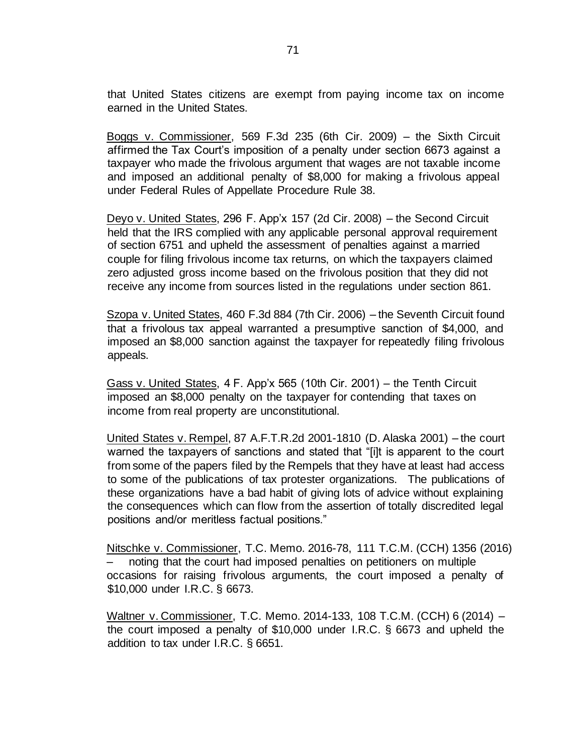that United States citizens are exempt from paying income tax on income earned in the United States.

Boggs v. Commissioner, 569 F.3d 235 (6th Cir. 2009) – the Sixth Circuit affirmed the Tax Court's imposition of a penalty under section 6673 against a taxpayer who made the frivolous argument that wages are not taxable income and imposed an additional penalty of \$8,000 for making a frivolous appeal under Federal Rules of Appellate Procedure Rule 38.

Deyo v. United States, 296 F. App'x 157 (2d Cir. 2008) – the Second Circuit held that the IRS complied with any applicable personal approval requirement of section 6751 and upheld the assessment of penalties against a married couple for filing frivolous income tax returns, on which the taxpayers claimed zero adjusted gross income based on the frivolous position that they did not receive any income from sources listed in the regulations under section 861.

Szopa v. United States, 460 F.3d 884 (7th Cir. 2006) – the Seventh Circuit found that a frivolous tax appeal warranted a presumptive sanction of \$4,000, and imposed an \$8,000 sanction against the taxpayer for repeatedly filing frivolous appeals.

Gass v. United States, 4 F. App'x 565 (10th Cir. 2001) – the Tenth Circuit imposed an \$8,000 penalty on the taxpayer for contending that taxes on income from real property are unconstitutional.

United States v. Rempel, 87 A.F.T.R.2d 2001-1810 (D. Alaska 2001) – the court warned the taxpayers of sanctions and stated that "[i]t is apparent to the court from some of the papers filed by the Rempels that they have at least had access to some of the publications of tax protester organizations. The publications of these organizations have a bad habit of giving lots of advice without explaining the consequences which can flow from the assertion of totally discredited legal positions and/or meritless factual positions."

Nitschke v. Commissioner, T.C. Memo. 2016-78, 111 T.C.M. (CCH) 1356 (2016) – noting that the court had imposed penalties on petitioners on multiple occasions for raising frivolous arguments, the court imposed a penalty of \$10,000 under I.R.C. § 6673.

Waltner v. Commissioner, T.C. Memo. 2014-133, 108 T.C.M. (CCH) 6 (2014) – the court imposed a penalty of \$10,000 under I.R.C. § 6673 and upheld the addition to tax under I.R.C. § 6651.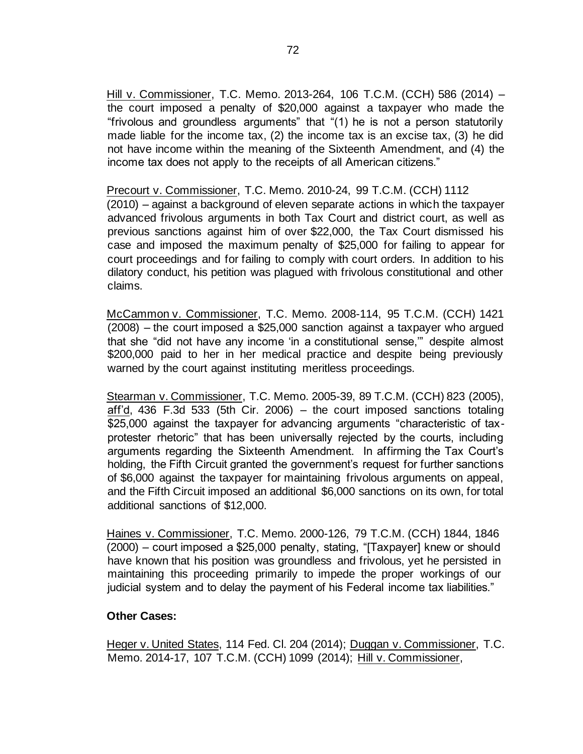Hill v. Commissioner, T.C. Memo. 2013-264, 106 T.C.M. (CCH) 586 (2014) – the court imposed a penalty of \$20,000 against a taxpayer who made the "frivolous and groundless arguments" that "(1) he is not a person statutorily made liable for the income tax, (2) the income tax is an excise tax, (3) he did not have income within the meaning of the Sixteenth Amendment, and (4) the income tax does not apply to the receipts of all American citizens."

Precourt v. Commissioner, T.C. Memo. 2010-24, 99 T.C.M. (CCH) 1112 (2010) – against a background of eleven separate actions in which the taxpayer advanced frivolous arguments in both Tax Court and district court, as well as previous sanctions against him of over \$22,000, the Tax Court dismissed his case and imposed the maximum penalty of \$25,000 for failing to appear for court proceedings and for failing to comply with court orders. In addition to his dilatory conduct, his petition was plagued with frivolous constitutional and other claims.

McCammon v. Commissioner, T.C. Memo. 2008-114, 95 T.C.M. (CCH) 1421 (2008) – the court imposed a \$25,000 sanction against a taxpayer who argued that she "did not have any income 'in a constitutional sense,'" despite almost \$200,000 paid to her in her medical practice and despite being previously warned by the court against instituting meritless proceedings.

Stearman v. Commissioner, T.C. Memo. 2005-39, 89 T.C.M. (CCH) 823 (2005), aff'd, 436 F.3d 533 (5th Cir. 2006) – the court imposed sanctions totaling \$25,000 against the taxpayer for advancing arguments "characteristic of taxprotester rhetoric" that has been universally rejected by the courts, including arguments regarding the Sixteenth Amendment. In affirming the Tax Court's holding, the Fifth Circuit granted the government's request for further sanctions of \$6,000 against the taxpayer for maintaining frivolous arguments on appeal, and the Fifth Circuit imposed an additional \$6,000 sanctions on its own, for total additional sanctions of \$12,000.

Haines v. Commissioner, T.C. Memo. 2000-126, 79 T.C.M. (CCH) 1844, 1846 (2000) – court imposed a \$25,000 penalty, stating, "[Taxpayer] knew or should have known that his position was groundless and frivolous, yet he persisted in maintaining this proceeding primarily to impede the proper workings of our judicial system and to delay the payment of his Federal income tax liabilities."

#### **Other Cases:**

Heger v. United States, 114 Fed. Cl. 204 (2014); Duggan v. Commissioner, T.C. Memo. 2014-17, 107 T.C.M. (CCH) 1099 (2014); Hill v. Commissioner,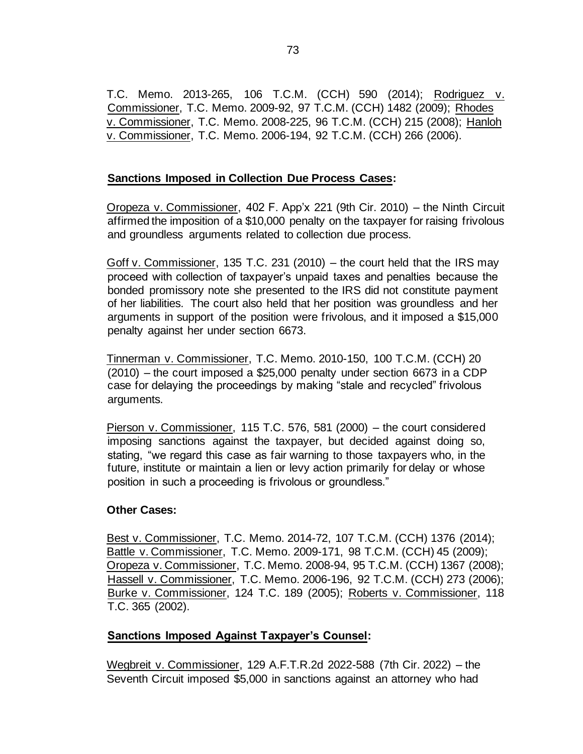T.C. Memo. 2013-265, 106 T.C.M. (CCH) 590 (2014); Rodriguez v. Commissioner, T.C. Memo. 2009-92, 97 T.C.M. (CCH) 1482 (2009); Rhodes v. Commissioner, T.C. Memo. 2008-225, 96 T.C.M. (CCH) 215 (2008); Hanloh v. Commissioner, T.C. Memo. 2006-194, 92 T.C.M. (CCH) 266 (2006).

## **Sanctions Imposed in Collection Due Process Cases:**

Oropeza v. Commissioner, 402 F. App'x 221 (9th Cir. 2010) – the Ninth Circuit affirmed the imposition of a \$10,000 penalty on the taxpayer for raising frivolous and groundless arguments related to collection due process.

Goff v. Commissioner, 135 T.C. 231 (2010) – the court held that the IRS may proceed with collection of taxpayer's unpaid taxes and penalties because the bonded promissory note she presented to the IRS did not constitute payment of her liabilities. The court also held that her position was groundless and her arguments in support of the position were frivolous, and it imposed a \$15,000 penalty against her under section 6673.

Tinnerman v. Commissioner, T.C. Memo. 2010-150, 100 T.C.M. (CCH) 20 (2010) – the court imposed a \$25,000 penalty under section 6673 in a CDP case for delaying the proceedings by making "stale and recycled" frivolous arguments.

Pierson v. Commissioner, 115 T.C. 576, 581 (2000) – the court considered imposing sanctions against the taxpayer, but decided against doing so, stating, "we regard this case as fair warning to those taxpayers who, in the future, institute or maintain a lien or levy action primarily for delay or whose position in such a proceeding is frivolous or groundless."

## **Other Cases:**

Best v. Commissioner, T.C. Memo. 2014-72, 107 T.C.M. (CCH) 1376 (2014); Battle v. Commissioner, T.C. Memo. 2009-171, 98 T.C.M. (CCH) 45 (2009); Oropeza v. Commissioner, T.C. Memo. 2008-94, 95 T.C.M. (CCH) 1367 (2008); Hassell v. Commissioner, T.C. Memo. 2006-196, 92 T.C.M. (CCH) 273 (2006); Burke v. Commissioner, 124 T.C. 189 (2005); Roberts v. Commissioner, 118 T.C. 365 (2002).

# **Sanctions Imposed Against Taxpayer's Counsel:**

Wegbreit v. Commissioner, 129 A.F.T.R.2d 2022-588 (7th Cir. 2022) – the Seventh Circuit imposed \$5,000 in sanctions against an attorney who had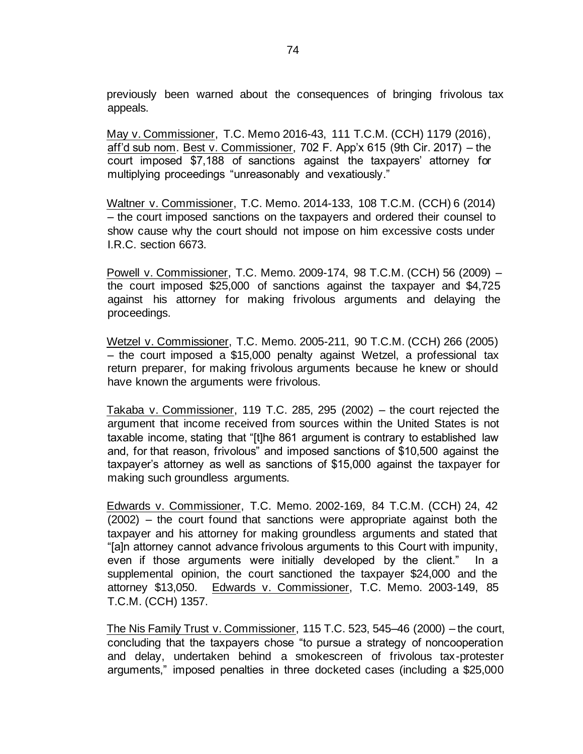previously been warned about the consequences of bringing frivolous tax appeals.

May v. Commissioner, T.C. Memo 2016-43, 111 T.C.M. (CCH) 1179 (2016), aff'd sub nom. Best v. Commissioner, 702 F. App'x 615 (9th Cir. 2017) – the court imposed \$7,188 of sanctions against the taxpayers' attorney for multiplying proceedings "unreasonably and vexatiously."

Waltner v. Commissioner, T.C. Memo. 2014-133, 108 T.C.M. (CCH) 6 (2014) – the court imposed sanctions on the taxpayers and ordered their counsel to show cause why the court should not impose on him excessive costs under I.R.C. section 6673.

Powell v. Commissioner, T.C. Memo. 2009-174, 98 T.C.M. (CCH) 56 (2009) – the court imposed \$25,000 of sanctions against the taxpayer and \$4,725 against his attorney for making frivolous arguments and delaying the proceedings.

Wetzel v. Commissioner, T.C. Memo. 2005-211, 90 T.C.M. (CCH) 266 (2005) – the court imposed a \$15,000 penalty against Wetzel, a professional tax return preparer, for making frivolous arguments because he knew or should have known the arguments were frivolous.

Takaba v. Commissioner, 119 T.C. 285, 295 (2002) – the court rejected the argument that income received from sources within the United States is not taxable income, stating that "[t]he 861 argument is contrary to established law and, for that reason, frivolous" and imposed sanctions of \$10,500 against the taxpayer's attorney as well as sanctions of \$15,000 against the taxpayer for making such groundless arguments.

Edwards v. Commissioner, T.C. Memo. 2002-169, 84 T.C.M. (CCH) 24, 42 (2002) – the court found that sanctions were appropriate against both the taxpayer and his attorney for making groundless arguments and stated that "[a]n attorney cannot advance frivolous arguments to this Court with impunity, even if those arguments were initially developed by the client." In a supplemental opinion, the court sanctioned the taxpayer \$24,000 and the attorney \$13,050. Edwards v. Commissioner, T.C. Memo. 2003-149, 85 T.C.M. (CCH) 1357.

The Nis Family Trust v. Commissioner, 115 T.C. 523, 545–46 (2000) – the court, concluding that the taxpayers chose "to pursue a strategy of noncooperation and delay, undertaken behind a smokescreen of frivolous tax-protester arguments," imposed penalties in three docketed cases (including a \$25,000